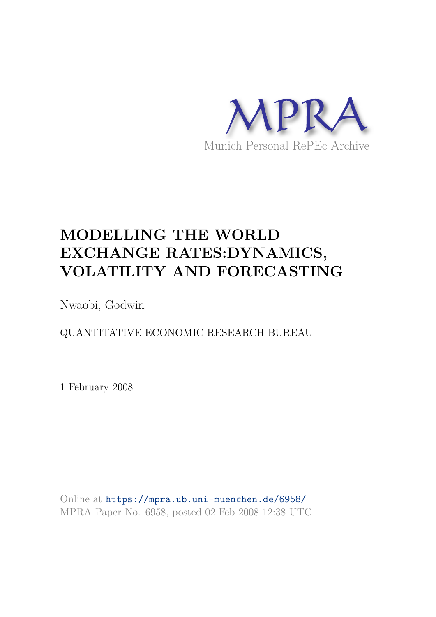

## **MODELLING THE WORLD EXCHANGE RATES:DYNAMICS, VOLATILITY AND FORECASTING**

Nwaobi, Godwin

QUANTITATIVE ECONOMIC RESEARCH BUREAU

1 February 2008

Online at https://mpra.ub.uni-muenchen.de/6958/ MPRA Paper No. 6958, posted 02 Feb 2008 12:38 UTC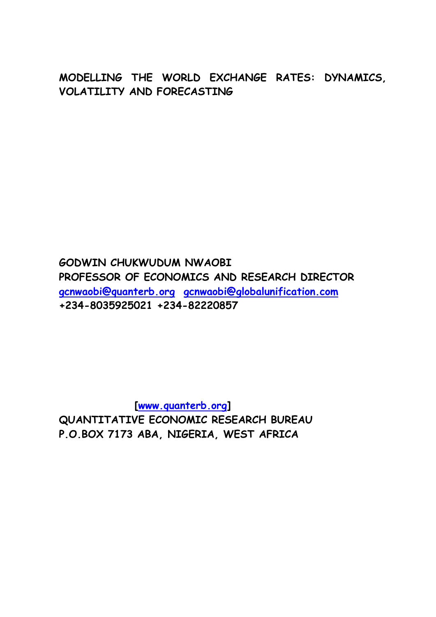**MODELLING THE WORLD EXCHANGE RATES: DYNAMICS, VOLATILITY AND FORECASTING** 

**GODWIN CHUKWUDUM NWAOBI PROFESSOR OF ECONOMICS AND RESEARCH DIRECTOR gcnwaobi@quanterb.org gcnwaobi@globalunification.com +234-8035925021 +234-82220857** 

 **[www.quanterb.org] QUANTITATIVE ECONOMIC RESEARCH BUREAU P.O.BOX 7173 ABA, NIGERIA, WEST AFRICA**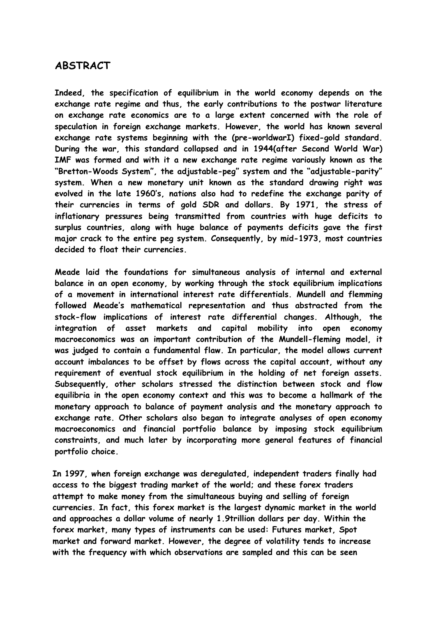### **ABSTRACT**

**Indeed, the specification of equilibrium in the world economy depends on the exchange rate regime and thus, the early contributions to the postwar literature on exchange rate economics are to a large extent concerned with the role of speculation in foreign exchange markets. However, the world has known several exchange rate systems beginning with the (pre-worldwarI) fixed-gold standard. During the war, this standard collapsed and in 1944(after Second World War) IMF was formed and with it a new exchange rate regime variously known as the "Bretton-Woods System", the adjustable-peg" system and the "adjustable-parity" system. When a new monetary unit known as the standard drawing right was evolved in the late 1960's, nations also had to redefine the exchange parity of their currencies in terms of gold SDR and dollars. By 1971, the stress of inflationary pressures being transmitted from countries with huge deficits to surplus countries, along with huge balance of payments deficits gave the first major crack to the entire peg system. Consequently, by mid-1973, most countries decided to float their currencies.** 

**Meade laid the foundations for simultaneous analysis of internal and external balance in an open economy, by working through the stock equilibrium implications of a movement in international interest rate differentials. Mundell and flemming followed Meade's mathematical representation and thus abstracted from the stock-flow implications of interest rate differential changes. Although, the integration of asset markets and capital mobility into open economy macroeconomics was an important contribution of the Mundell-fleming model, it was judged to contain a fundamental flaw. In particular, the model allows current account imbalances to be offset by flows across the capital account, without any requirement of eventual stock equilibrium in the holding of net foreign assets. Subsequently, other scholars stressed the distinction between stock and flow equilibria in the open economy context and this was to become a hallmark of the monetary approach to balance of payment analysis and the monetary approach to exchange rate. Other scholars also began to integrate analyses of open economy macroeconomics and financial portfolio balance by imposing stock equilibrium constraints, and much later by incorporating more general features of financial portfolio choice.** 

**In 1997, when foreign exchange was deregulated, independent traders finally had access to the biggest trading market of the world; and these forex traders attempt to make money from the simultaneous buying and selling of foreign currencies. In fact, this forex market is the largest dynamic market in the world and approaches a dollar volume of nearly 1.9trillion dollars per day. Within the forex market, many types of instruments can be used: Futures market, Spot market and forward market. However, the degree of volatility tends to increase with the frequency with which observations are sampled and this can be seen**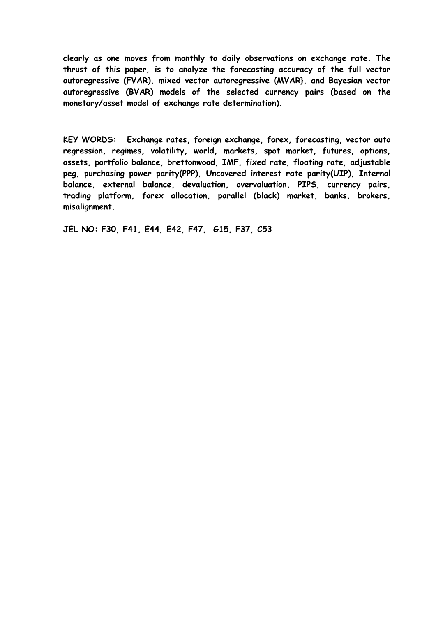**clearly as one moves from monthly to daily observations on exchange rate. The thrust of this paper, is to analyze the forecasting accuracy of the full vector autoregressive (FVAR), mixed vector autoregressive (MVAR}, and Bayesian vector autoregressive (BVAR) models of the selected currency pairs (based on the monetary/asset model of exchange rate determination).** 

**KEY WORDS: Exchange rates, foreign exchange, forex, forecasting, vector auto regression, regimes, volatility, world, markets, spot market, futures, options, assets, portfolio balance, brettonwood, IMF, fixed rate, floating rate, adjustable peg, purchasing power parity(PPP), Uncovered interest rate parity(UIP), Internal balance, external balance, devaluation, overvaluation, PIPS, currency pairs, trading platform, forex allocation, parallel (black) market, banks, brokers, misalignment.** 

**JEL NO: F30, F41, E44, E42, F47, G15, F37, C53**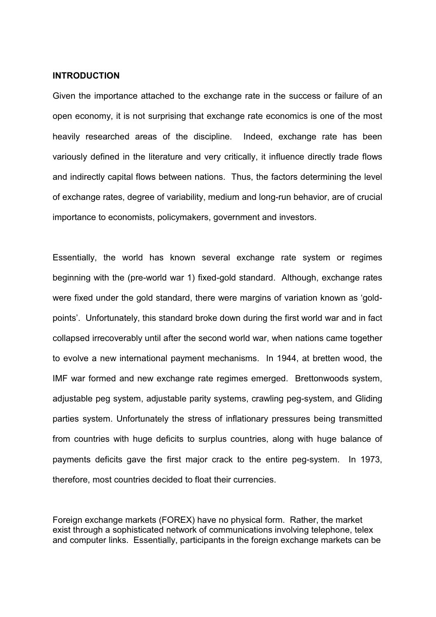#### **INTRODUCTION**

Given the importance attached to the exchange rate in the success or failure of an open economy, it is not surprising that exchange rate economics is one of the most heavily researched areas of the discipline. Indeed, exchange rate has been variously defined in the literature and very critically, it influence directly trade flows and indirectly capital flows between nations. Thus, the factors determining the level of exchange rates, degree of variability, medium and long-run behavior, are of crucial importance to economists, policymakers, government and investors.

Essentially, the world has known several exchange rate system or regimes beginning with the (pre-world war 1) fixed-gold standard. Although, exchange rates were fixed under the gold standard, there were margins of variation known as 'goldpoints'. Unfortunately, this standard broke down during the first world war and in fact collapsed irrecoverably until after the second world war, when nations came together to evolve a new international payment mechanisms. In 1944, at bretten wood, the IMF war formed and new exchange rate regimes emerged. Brettonwoods system, adjustable peg system, adjustable parity systems, crawling peg-system, and Gliding parties system. Unfortunately the stress of inflationary pressures being transmitted from countries with huge deficits to surplus countries, along with huge balance of payments deficits gave the first major crack to the entire peg-system. In 1973, therefore, most countries decided to float their currencies.

Foreign exchange markets (FOREX) have no physical form. Rather, the market exist through a sophisticated network of communications involving telephone, telex and computer links. Essentially, participants in the foreign exchange markets can be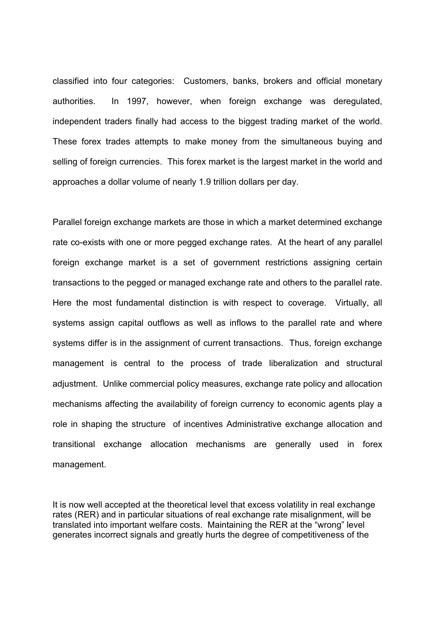classified into four categories: Customers, banks, brokers and official monetary authorities. In 1997, however, when foreign exchange was deregulated, independent traders finally had access to the biggest trading market of the world. These forex trades attempts to make money from the simultaneous buying and selling of foreign currencies. This forex market is the largest market in the world and approaches a dollar volume of nearly 1.9 trillion dollars per day.

Parallel foreign exchange markets are those in which a market determined exchange rate co-exists with one or more pegged exchange rates. At the heart of any parallel foreign exchange market is a set of government restrictions assigning certain transactions to the pegged or managed exchange rate and others to the parallel rate. Here the most fundamental distinction is with respect to coverage. Virtually, all systems assign capital outflows as well as inflows to the parallel rate and where systems differ is in the assignment of current transactions. Thus, foreign exchange management is central to the process of trade liberalization and structural adjustment. Unlike commercial policy measures, exchange rate policy and allocation mechanisms affecting the availability of foreign currency to economic agents play a role in shaping the structure of incentives Administrative exchange allocation and transitional exchange allocation mechanisms are generally used in forex management.

It is now well accepted at the theoretical level that excess volatility in real exchange rates (RER) and in particular situations of real exchange rate misalignment, will be translated into important welfare costs. Maintaining the RER at the "wrong" level generates incorrect signals and greatly hurts the degree of competitiveness of the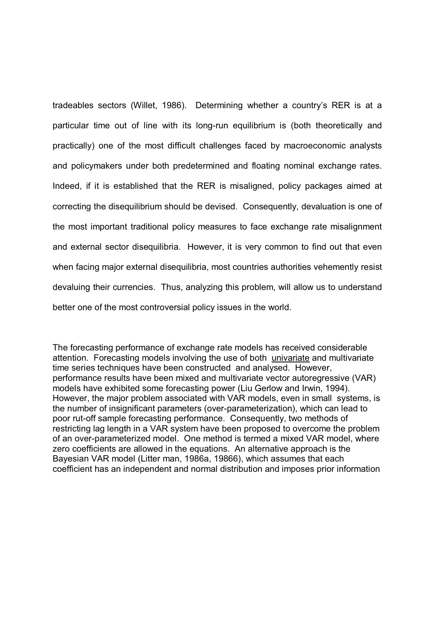tradeables sectors (Willet, 1986). Determining whether a country's RER is at a particular time out of line with its long-run equilibrium is (both theoretically and practically) one of the most difficult challenges faced by macroeconomic analysts and policymakers under both predetermined and floating nominal exchange rates. Indeed, if it is established that the RER is misaligned, policy packages aimed at correcting the disequilibrium should be devised. Consequently, devaluation is one of the most important traditional policy measures to face exchange rate misalignment and external sector disequilibria. However, it is very common to find out that even when facing major external disequilibria, most countries authorities vehemently resist devaluing their currencies. Thus, analyzing this problem, will allow us to understand better one of the most controversial policy issues in the world.

The forecasting performance of exchange rate models has received considerable attention. Forecasting models involving the use of both univariate and multivariate time series techniques have been constructed and analysed. However, performance results have been mixed and multivariate vector autoregressive (VAR) models have exhibited some forecasting power (Liu Gerlow and Irwin, 1994). However, the major problem associated with VAR models, even in small systems, is the number of insignificant parameters (over-parameterization), which can lead to poor rut-off sample forecasting performance. Consequently, two methods of restricting lag length in a VAR system have been proposed to overcome the problem of an over-parameterized model. One method is termed a mixed VAR model, where zero coefficients are allowed in the equations. An alternative approach is the Bayesian VAR model (Litter man, 1986a, 19866), which assumes that each coefficient has an independent and normal distribution and imposes prior information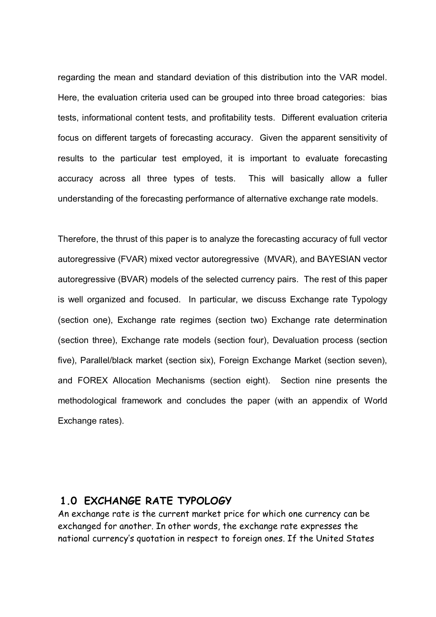regarding the mean and standard deviation of this distribution into the VAR model. Here, the evaluation criteria used can be grouped into three broad categories: bias tests, informational content tests, and profitability tests. Different evaluation criteria focus on different targets of forecasting accuracy. Given the apparent sensitivity of results to the particular test employed, it is important to evaluate forecasting accuracy across all three types of tests. This will basically allow a fuller understanding of the forecasting performance of alternative exchange rate models.

Therefore, the thrust of this paper is to analyze the forecasting accuracy of full vector autoregressive (FVAR) mixed vector autoregressive (MVAR), and BAYESIAN vector autoregressive (BVAR) models of the selected currency pairs. The rest of this paper is well organized and focused. In particular, we discuss Exchange rate Typology (section one), Exchange rate regimes (section two) Exchange rate determination (section three), Exchange rate models (section four), Devaluation process (section five), Parallel/black market (section six), Foreign Exchange Market (section seven), and FOREX Allocation Mechanisms (section eight). Section nine presents the methodological framework and concludes the paper (with an appendix of World Exchange rates).

#### **1.0 EXCHANGE RATE TYPOLOGY**

An exchange rate is the current market price for which one currency can be exchanged for another. In other words, the exchange rate expresses the national currency's quotation in respect to foreign ones. If the United States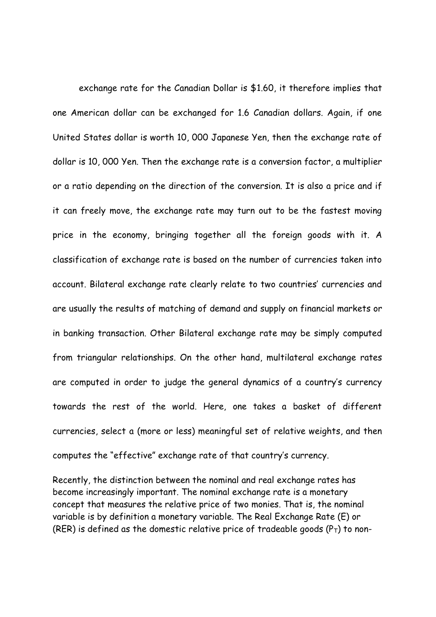exchange rate for the Canadian Dollar is \$1.60, it therefore implies that one American dollar can be exchanged for 1.6 Canadian dollars. Again, if one United States dollar is worth 10, 000 Japanese Yen, then the exchange rate of dollar is 10, 000 Yen. Then the exchange rate is a conversion factor, a multiplier or a ratio depending on the direction of the conversion. It is also a price and if it can freely move, the exchange rate may turn out to be the fastest moving price in the economy, bringing together all the foreign goods with it. A classification of exchange rate is based on the number of currencies taken into account. Bilateral exchange rate clearly relate to two countries' currencies and are usually the results of matching of demand and supply on financial markets or in banking transaction. Other Bilateral exchange rate may be simply computed from triangular relationships. On the other hand, multilateral exchange rates are computed in order to judge the general dynamics of a country's currency towards the rest of the world. Here, one takes a basket of different currencies, select a (more or less) meaningful set of relative weights, and then computes the "effective" exchange rate of that country's currency.

Recently, the distinction between the nominal and real exchange rates has become increasingly important. The nominal exchange rate is a monetary concept that measures the relative price of two monies. That is, the nominal variable is by definition a monetary variable. The Real Exchange Rate (E) or (RER) is defined as the domestic relative price of tradeable goods ( $P_T$ ) to non-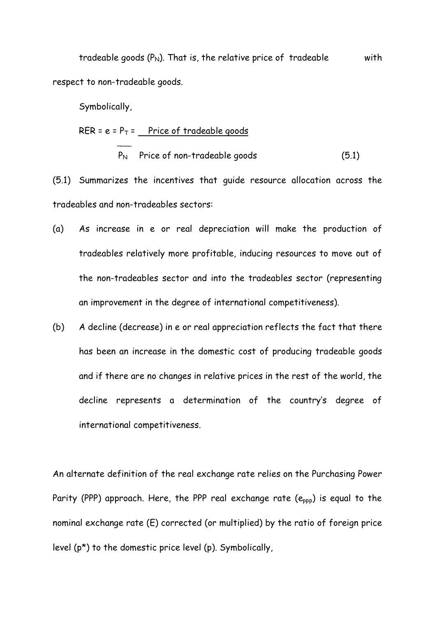tradeable goods  $(P_N)$ . That is, the relative price of tradeable with respect to non-tradeable goods.

Symbolically,

RER =  $e = P_T =$  Price of tradeable goods

$$
P_N \quad \text{Price of non-tradeable goods} \tag{5.1}
$$

(5.1) Summarizes the incentives that guide resource allocation across the tradeables and non-tradeables sectors:

- (a) As increase in e or real depreciation will make the production of tradeables relatively more profitable, inducing resources to move out of the non-tradeables sector and into the tradeables sector (representing an improvement in the degree of international competitiveness).
- (b) A decline (decrease) in e or real appreciation reflects the fact that there has been an increase in the domestic cost of producing tradeable goods and if there are no changes in relative prices in the rest of the world, the decline represents a determination of the country's degree of international competitiveness.

An alternate definition of the real exchange rate relies on the Purchasing Power Parity (PPP) approach. Here, the PPP real exchange rate  $(e_{app})$  is equal to the nominal exchange rate (E) corrected (or multiplied) by the ratio of foreign price level (p\*) to the domestic price level (p). Symbolically,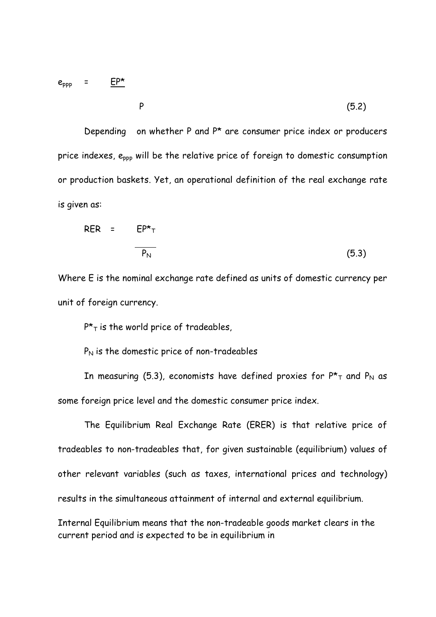#### $e_{\text{ppp}}$  =  $\frac{\text{EP}^{\star}}{2}$

$$
P \tag{5.2}
$$

 Depending on whether P and P\* are consumer price index or producers price indexes,  $e_{\text{app}}$  will be the relative price of foreign to domestic consumption or production baskets. Yet, an operational definition of the real exchange rate is given as:

$$
RER = EP^* \top
$$
  
\n
$$
P_N
$$
\n(5.3)

Where E is the nominal exchange rate defined as units of domestic currency per unit of foreign currency.

 $P^{\star}$ <sub>T</sub> is the world price of tradeables,

 $P_N$  is the domestic price of non-tradeables

In measuring (5.3), economists have defined proxies for  $P^{\star}$ <sub>T</sub> and P<sub>N</sub> as some foreign price level and the domestic consumer price index.

 The Equilibrium Real Exchange Rate (ERER) is that relative price of tradeables to non-tradeables that, for given sustainable (equilibrium) values of other relevant variables (such as taxes, international prices and technology) results in the simultaneous attainment of internal and external equilibrium.

Internal Equilibrium means that the non-tradeable goods market clears in the current period and is expected to be in equilibrium in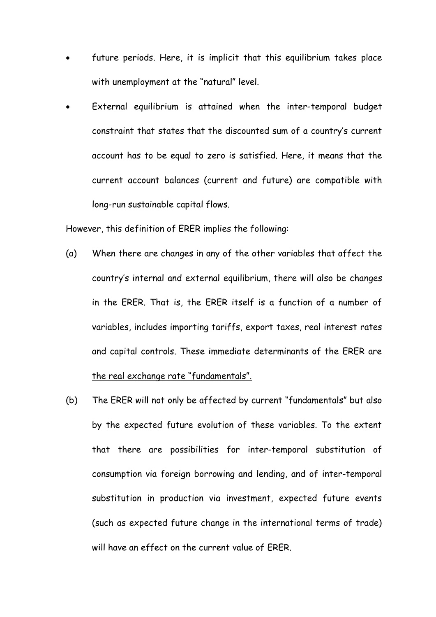- future periods. Here, it is implicit that this equilibrium takes place with unemployment at the "natural" level.
- External equilibrium is attained when the inter-temporal budget constraint that states that the discounted sum of a country's current account has to be equal to zero is satisfied. Here, it means that the current account balances (current and future) are compatible with long-run sustainable capital flows.

However, this definition of ERER implies the following:

- (a) When there are changes in any of the other variables that affect the country's internal and external equilibrium, there will also be changes in the ERER. That is, the ERER itself is a function of a number of variables, includes importing tariffs, export taxes, real interest rates and capital controls. These immediate determinants of the ERER are the real exchange rate "fundamentals".
- (b) The ERER will not only be affected by current "fundamentals" but also by the expected future evolution of these variables. To the extent that there are possibilities for inter-temporal substitution of consumption via foreign borrowing and lending, and of inter-temporal substitution in production via investment, expected future events (such as expected future change in the international terms of trade) will have an effect on the current value of ERER.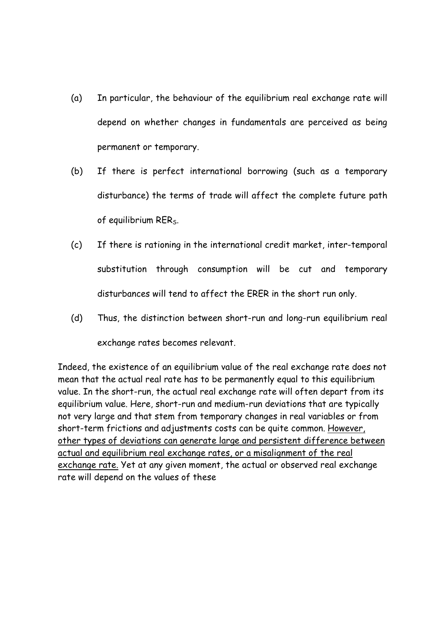- (a) In particular, the behaviour of the equilibrium real exchange rate will depend on whether changes in fundamentals are perceived as being permanent or temporary.
- (b) If there is perfect international borrowing (such as a temporary disturbance) the terms of trade will affect the complete future path of equilibrium RER<sub>S</sub>.
- (c) If there is rationing in the international credit market, inter-temporal substitution through consumption will be cut and temporary disturbances will tend to affect the ERER in the short run only.
- (d) Thus, the distinction between short-run and long-run equilibrium real exchange rates becomes relevant.

Indeed, the existence of an equilibrium value of the real exchange rate does not mean that the actual real rate has to be permanently equal to this equilibrium value. In the short-run, the actual real exchange rate will often depart from its equilibrium value. Here, short-run and medium-run deviations that are typically not very large and that stem from temporary changes in real variables or from short-term frictions and adjustments costs can be quite common. However, other types of deviations can generate large and persistent difference between actual and equilibrium real exchange rates, or a misalignment of the real exchange rate. Yet at any given moment, the actual or observed real exchange rate will depend on the values of these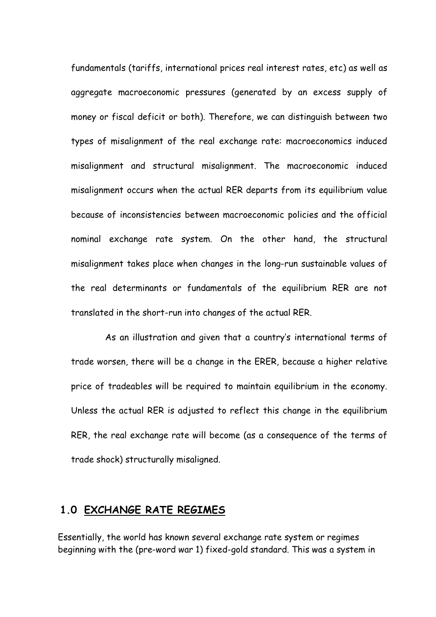fundamentals (tariffs, international prices real interest rates, etc) as well as aggregate macroeconomic pressures (generated by an excess supply of money or fiscal deficit or both). Therefore, we can distinguish between two types of misalignment of the real exchange rate: macroeconomics induced misalignment and structural misalignment. The macroeconomic induced misalignment occurs when the actual RER departs from its equilibrium value because of inconsistencies between macroeconomic policies and the official nominal exchange rate system. On the other hand, the structural misalignment takes place when changes in the long-run sustainable values of the real determinants or fundamentals of the equilibrium RER are not translated in the short-run into changes of the actual RER.

 As an illustration and given that a country's international terms of trade worsen, there will be a change in the ERER, because a higher relative price of tradeables will be required to maintain equilibrium in the economy. Unless the actual RER is adjusted to reflect this change in the equilibrium RER, the real exchange rate will become (as a consequence of the terms of trade shock) structurally misaligned.

#### **1.0 EXCHANGE RATE REGIMES**

Essentially, the world has known several exchange rate system or regimes beginning with the (pre-word war 1) fixed-gold standard. This was a system in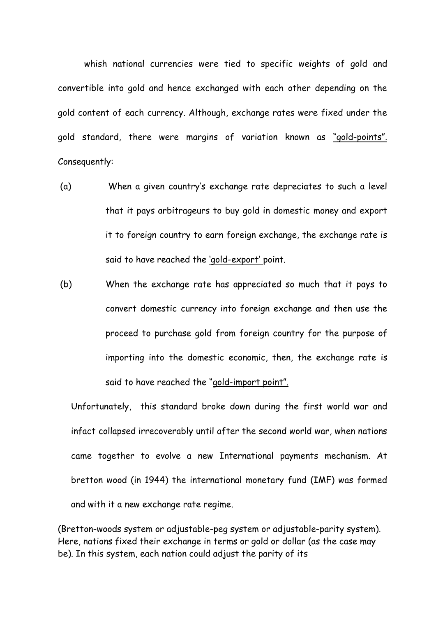whish national currencies were tied to specific weights of gold and convertible into gold and hence exchanged with each other depending on the gold content of each currency. Although, exchange rates were fixed under the gold standard, there were margins of variation known as "gold-points". Consequently:

- (a) When a given country's exchange rate depreciates to such a level that it pays arbitrageurs to buy gold in domestic money and export it to foreign country to earn foreign exchange, the exchange rate is said to have reached the 'gold-export' point.
- (b) When the exchange rate has appreciated so much that it pays to convert domestic currency into foreign exchange and then use the proceed to purchase gold from foreign country for the purpose of importing into the domestic economic, then, the exchange rate is said to have reached the "gold-import point".

Unfortunately, this standard broke down during the first world war and infact collapsed irrecoverably until after the second world war, when nations came together to evolve a new International payments mechanism. At bretton wood (in 1944) the international monetary fund (IMF) was formed and with it a new exchange rate regime.

(Bretton-woods system or adjustable-peg system or adjustable-parity system). Here, nations fixed their exchange in terms or gold or dollar (as the case may be). In this system, each nation could adjust the parity of its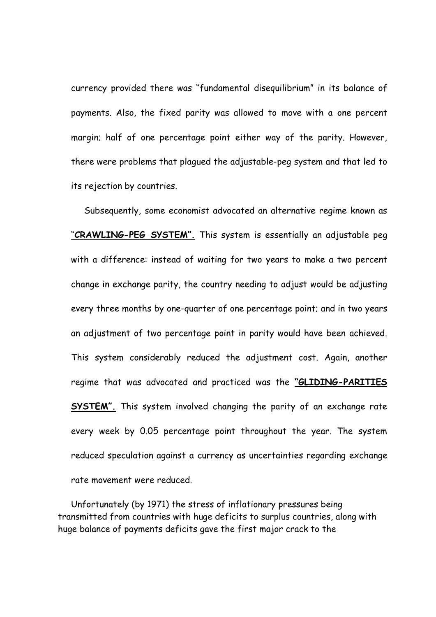currency provided there was "fundamental disequilibrium" in its balance of payments. Also, the fixed parity was allowed to move with a one percent margin; half of one percentage point either way of the parity. However, there were problems that plagued the adjustable-peg system and that led to its rejection by countries.

Subsequently, some economist advocated an alternative regime known as "**CRAWLING-PEG SYSTEM".** This system is essentially an adjustable peg with a difference: instead of waiting for two years to make a two percent change in exchange parity, the country needing to adjust would be adjusting every three months by one-quarter of one percentage point; and in two years an adjustment of two percentage point in parity would have been achieved. This system considerably reduced the adjustment cost. Again, another regime that was advocated and practiced was the **"GLIDING-PARITIES SYSTEM".** This system involved changing the parity of an exchange rate every week by 0.05 percentage point throughout the year. The system reduced speculation against a currency as uncertainties regarding exchange rate movement were reduced.

 Unfortunately (by 1971) the stress of inflationary pressures being transmitted from countries with huge deficits to surplus countries, along with huge balance of payments deficits gave the first major crack to the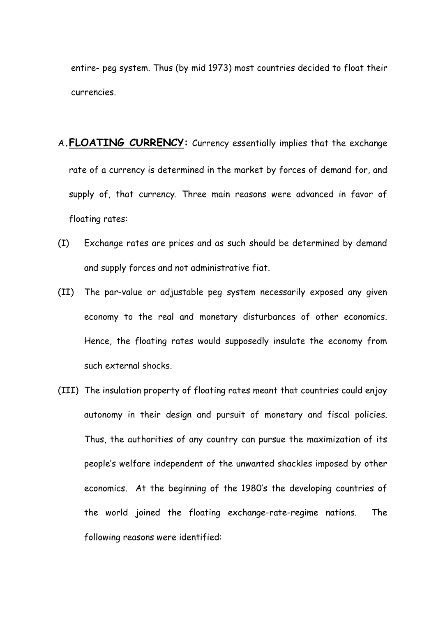entire- peg system. Thus (by mid 1973) most countries decided to float their currencies.

- A**. FLOATING CURRENCY:** Currency essentially implies that the exchange rate of a currency is determined in the market by forces of demand for, and supply of, that currency. Three main reasons were advanced in favor of floating rates:
- (I) Exchange rates are prices and as such should be determined by demand and supply forces and not administrative fiat.
- (II) The par-value or adjustable peg system necessarily exposed any given economy to the real and monetary disturbances of other economics. Hence, the floating rates would supposedly insulate the economy from such external shocks.
- (III) The insulation property of floating rates meant that countries could enjoy autonomy in their design and pursuit of monetary and fiscal policies. Thus, the authorities of any country can pursue the maximization of its people's welfare independent of the unwanted shackles imposed by other economics. At the beginning of the 1980's the developing countries of the world joined the floating exchange-rate-regime nations. The following reasons were identified: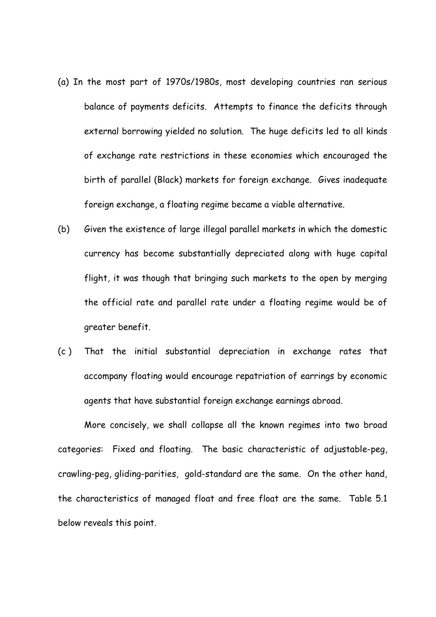- (a) In the most part of 1970s/1980s, most developing countries ran serious balance of payments deficits. Attempts to finance the deficits through external borrowing yielded no solution. The huge deficits led to all kinds of exchange rate restrictions in these economies which encouraged the birth of parallel (Black) markets for foreign exchange. Gives inadequate foreign exchange, a floating regime became a viable alternative.
- (b) Given the existence of large illegal parallel markets in which the domestic currency has become substantially depreciated along with huge capital flight, it was though that bringing such markets to the open by merging the official rate and parallel rate under a floating regime would be of greater benefit.
- (c ) That the initial substantial depreciation in exchange rates that accompany floating would encourage repatriation of earrings by economic agents that have substantial foreign exchange earnings abroad.

More concisely, we shall collapse all the known regimes into two broad categories: Fixed and floating. The basic characteristic of adjustable-peg, crawling-peg, gliding-parities, gold-standard are the same. On the other hand, the characteristics of managed float and free float are the same. Table 5.1 below reveals this point.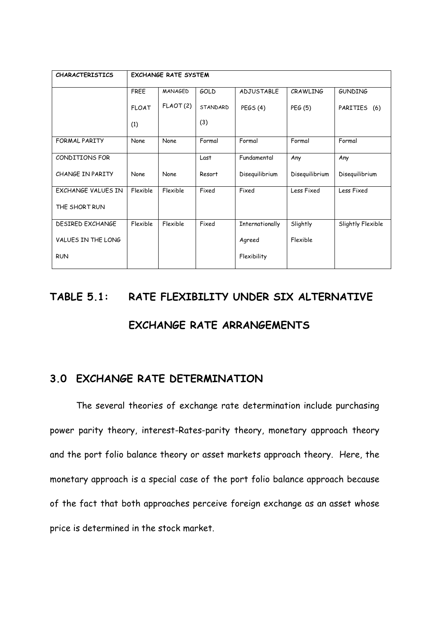| <b>CHARACTERISTICS</b>    | <b>EXCHANGE RATE SYSTEM</b> |                |                 |                 |                 |                   |  |  |
|---------------------------|-----------------------------|----------------|-----------------|-----------------|-----------------|-------------------|--|--|
|                           | <b>FREE</b>                 | <b>MANAGED</b> | GOLD            | ADJUSTABLE      | <b>CRAWLING</b> | <b>GUNDING</b>    |  |  |
|                           | <b>FLOAT</b>                | FLAOT(2)       | <b>STANDARD</b> | <b>PEGS (4)</b> | PEG (5)         | PARITIES<br>(6)   |  |  |
|                           | (1)                         |                | (3)             |                 |                 |                   |  |  |
| <b>FORMAL PARITY</b>      | None                        | None           | Formal          | Formal          | Formal          | Formal            |  |  |
| CONDITIONS FOR            |                             |                | Last            | Fundamental     | Any             | Any               |  |  |
| <b>CHANGE IN PARITY</b>   | None                        | None           | Resort          | Disequilibrium  | Disequilibrium  | Disequilibrium    |  |  |
| <b>EXCHANGE VALUES IN</b> | Flexible                    | Flexible       | Fixed           | Fixed           | Less Fixed      | Less Fixed        |  |  |
| THE SHORT RUN             |                             |                |                 |                 |                 |                   |  |  |
| <b>DESIRED EXCHANGE</b>   | Flexible                    | Flexible       | Fixed           | Internationally | Slightly        | Slightly Flexible |  |  |
| VALUES IN THE LONG        |                             |                |                 | Agreed          | Flexible        |                   |  |  |
| <b>RUN</b>                |                             |                |                 | Flexibility     |                 |                   |  |  |

#### **TABLE 5.1: RATE FLEXIBILITY UNDER SIX ALTERNATIVE**

## **EXCHANGE RATE ARRANGEMENTS**

## **3.0 EXCHANGE RATE DETERMINATION**

The several theories of exchange rate determination include purchasing power parity theory, interest-Rates-parity theory, monetary approach theory and the port folio balance theory or asset markets approach theory. Here, the monetary approach is a special case of the port folio balance approach because of the fact that both approaches perceive foreign exchange as an asset whose price is determined in the stock market.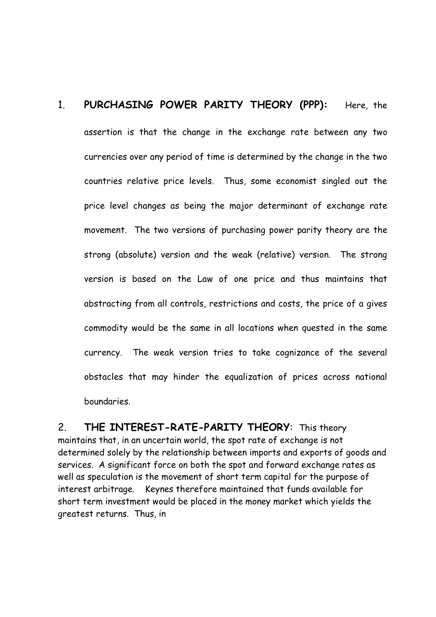# 1. **PURCHASING POWER PARITY THEORY (PPP):** Here, the assertion is that the change in the exchange rate between any two currencies over any period of time is determined by the change in the two countries relative price levels. Thus, some economist singled out the price level changes as being the major determinant of exchange rate movement. The two versions of purchasing power parity theory are the strong (absolute) version and the weak (relative) version. The strong version is based on the Law of one price and thus maintains that abstracting from all controls, restrictions and costs, the price of a gives commodity would be the same in all locations when quested in the same currency. The weak version tries to take cognizance of the several obstacles that may hinder the equalization of prices across national boundaries.

2. **THE INTEREST-RATE-PARITY THEORY**: This theory maintains that, in an uncertain world, the spot rate of exchange is not determined solely by the relationship between imports and exports of goods and services. A significant force on both the spot and forward exchange rates as well as speculation is the movement of short term capital for the purpose of interest arbitrage. Keynes therefore maintained that funds available for short term investment would be placed in the money market which yields the greatest returns. Thus, in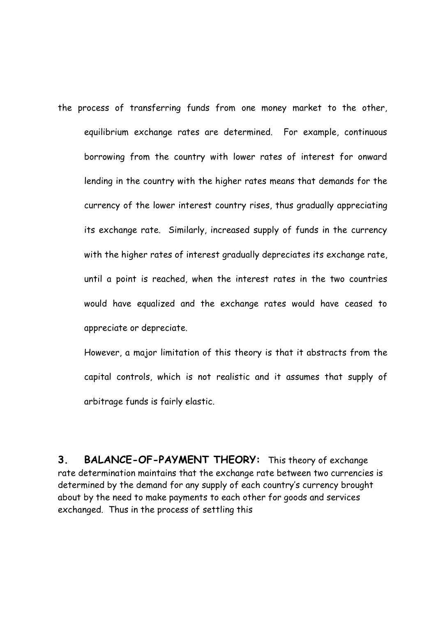the process of transferring funds from one money market to the other, equilibrium exchange rates are determined. For example, continuous borrowing from the country with lower rates of interest for onward lending in the country with the higher rates means that demands for the currency of the lower interest country rises, thus gradually appreciating its exchange rate. Similarly, increased supply of funds in the currency with the higher rates of interest gradually depreciates its exchange rate, until a point is reached, when the interest rates in the two countries would have equalized and the exchange rates would have ceased to appreciate or depreciate.

However, a major limitation of this theory is that it abstracts from the capital controls, which is not realistic and it assumes that supply of arbitrage funds is fairly elastic.

**3. BALANCE-OF-PAYMENT THEORY:** This theory of exchange rate determination maintains that the exchange rate between two currencies is determined by the demand for any supply of each country's currency brought about by the need to make payments to each other for goods and services exchanged. Thus in the process of settling this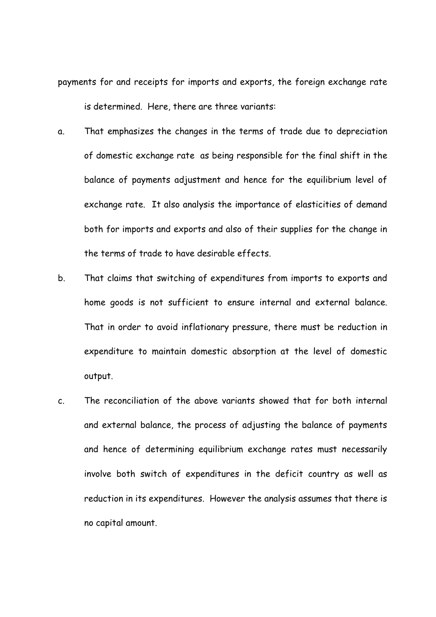payments for and receipts for imports and exports, the foreign exchange rate is determined. Here, there are three variants:

- a. That emphasizes the changes in the terms of trade due to depreciation of domestic exchange rate as being responsible for the final shift in the balance of payments adjustment and hence for the equilibrium level of exchange rate. It also analysis the importance of elasticities of demand both for imports and exports and also of their supplies for the change in the terms of trade to have desirable effects.
- b. That claims that switching of expenditures from imports to exports and home goods is not sufficient to ensure internal and external balance. That in order to avoid inflationary pressure, there must be reduction in expenditure to maintain domestic absorption at the level of domestic output.
- c. The reconciliation of the above variants showed that for both internal and external balance, the process of adjusting the balance of payments and hence of determining equilibrium exchange rates must necessarily involve both switch of expenditures in the deficit country as well as reduction in its expenditures. However the analysis assumes that there is no capital amount.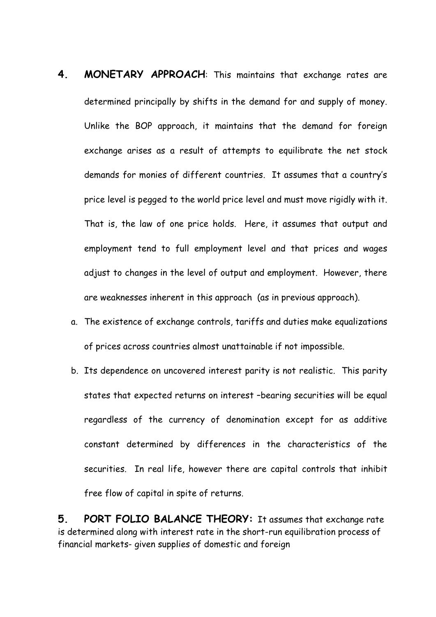- **4. MONETARY APPROACH**: This maintains that exchange rates are determined principally by shifts in the demand for and supply of money. Unlike the BOP approach, it maintains that the demand for foreign exchange arises as a result of attempts to equilibrate the net stock demands for monies of different countries. It assumes that a country's price level is pegged to the world price level and must move rigidly with it. That is, the law of one price holds. Here, it assumes that output and employment tend to full employment level and that prices and wages adjust to changes in the level of output and employment. However, there are weaknesses inherent in this approach (as in previous approach).
	- a. The existence of exchange controls, tariffs and duties make equalizations of prices across countries almost unattainable if not impossible.
	- b. Its dependence on uncovered interest parity is not realistic. This parity states that expected returns on interest –bearing securities will be equal regardless of the currency of denomination except for as additive constant determined by differences in the characteristics of the securities. In real life, however there are capital controls that inhibit free flow of capital in spite of returns.

**5. PORT FOLIO BALANCE THEORY:** It assumes that exchange rate is determined along with interest rate in the short-run equilibration process of financial markets- given supplies of domestic and foreign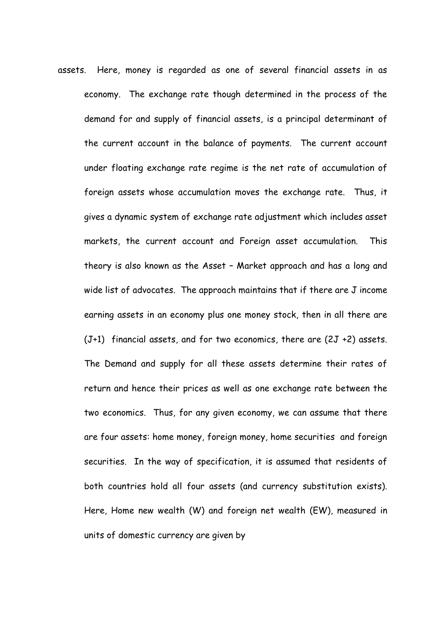assets. Here, money is regarded as one of several financial assets in as economy. The exchange rate though determined in the process of the demand for and supply of financial assets, is a principal determinant of the current account in the balance of payments. The current account under floating exchange rate regime is the net rate of accumulation of foreign assets whose accumulation moves the exchange rate. Thus, it gives a dynamic system of exchange rate adjustment which includes asset markets, the current account and Foreign asset accumulation. This theory is also known as the Asset – Market approach and has a long and wide list of advocates. The approach maintains that if there are J income earning assets in an economy plus one money stock, then in all there are  $(J+1)$  financial assets, and for two economics, there are  $(2J +2)$  assets. The Demand and supply for all these assets determine their rates of return and hence their prices as well as one exchange rate between the two economics. Thus, for any given economy, we can assume that there are four assets: home money, foreign money, home securities and foreign securities. In the way of specification, it is assumed that residents of both countries hold all four assets (and currency substitution exists). Here, Home new wealth (W) and foreign net wealth (EW), measured in units of domestic currency are given by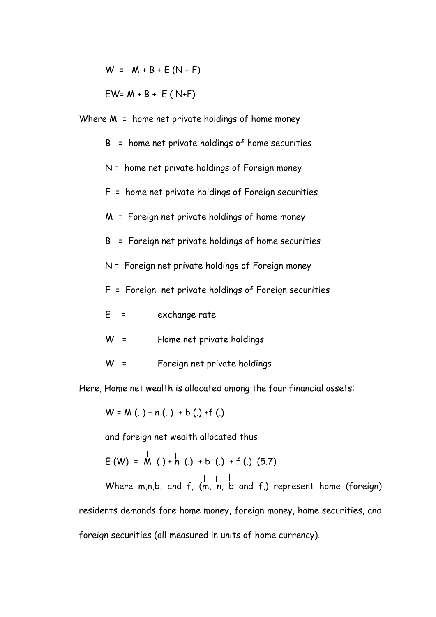$$
W = M + B + E (N + F)
$$

$$
EW = M + B + E (N+F)
$$

Where M = home net private holdings of home money

- B = home net private holdings of home securities
- N = home net private holdings of Foreign money
- F = home net private holdings of Foreign securities
- M = Foreign net private holdings of home money
- B = Foreign net private holdings of home securities
- N = Foreign net private holdings of Foreign money
- F = Foreign net private holdings of Foreign securities
- E = exchange rate
- W = Home net private holdings
- W = Foreign net private holdings

Here, Home net wealth is allocated among the four financial assets:

$$
W = M(.)+n(.)+b(.)+f(.)
$$

and foreign net wealth allocated thus

$$
E(W) = M(.) + h(.) + b(.) + f(.) (5.7)
$$

Where m,n,b, and f, (m, n, b and f,) represent home (foreign) residents demands fore home money, foreign money, home securities, and foreign securities (all measured in units of home currency).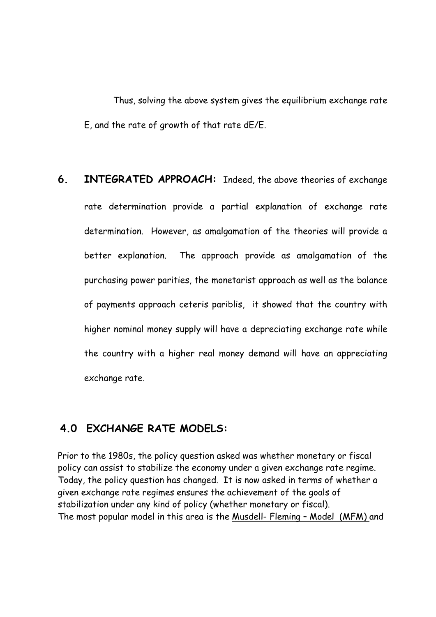Thus, solving the above system gives the equilibrium exchange rate E, and the rate of growth of that rate dE/E.

## **6. INTEGRATED APPROACH:** Indeed, the above theories of exchange rate determination provide a partial explanation of exchange rate determination. However, as amalgamation of the theories will provide a better explanation. The approach provide as amalgamation of the purchasing power parities, the monetarist approach as well as the balance of payments approach ceteris pariblis, it showed that the country with higher nominal money supply will have a depreciating exchange rate while the country with a higher real money demand will have an appreciating exchange rate.

### **4.0 EXCHANGE RATE MODELS:**

Prior to the 1980s, the policy question asked was whether monetary or fiscal policy can assist to stabilize the economy under a given exchange rate regime. Today, the policy question has changed. It is now asked in terms of whether a given exchange rate regimes ensures the achievement of the goals of stabilization under any kind of policy (whether monetary or fiscal). The most popular model in this area is the Musdell- Fleming – Model (MFM) and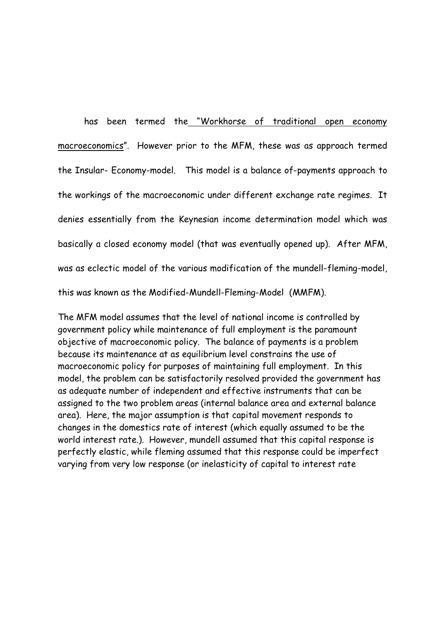has been termed the "Workhorse of traditional open economy macroeconomics". However prior to the MFM, these was as approach termed the Insular- Economy-model. This model is a balance of-payments approach to the workings of the macroeconomic under different exchange rate regimes. It denies essentially from the Keynesian income determination model which was basically a closed economy model (that was eventually opened up). After MFM, was as eclectic model of the various modification of the mundell-fleming-model, this was known as the Modified-Mundell-Fleming-Model (MMFM).

The MFM model assumes that the level of national income is controlled by government policy while maintenance of full employment is the paramount objective of macroeconomic policy. The balance of payments is a problem because its maintenance at as equilibrium level constrains the use of macroeconomic policy for purposes of maintaining full employment. In this model, the problem can be satisfactorily resolved provided the government has as adequate number of independent and effective instruments that can be assigned to the two problem areas (internal balance area and external balance area). Here, the major assumption is that capital movement responds to changes in the domestics rate of interest (which equally assumed to be the world interest rate.). However, mundell assumed that this capital response is perfectly elastic, while fleming assumed that this response could be imperfect varying from very low response (or inelasticity of capital to interest rate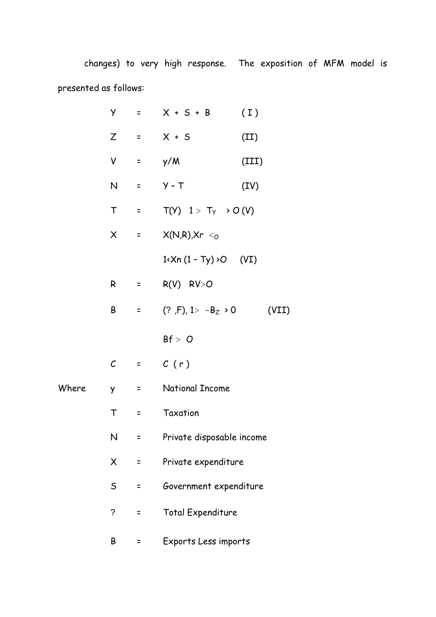changes) to very high response. The exposition of MFM model is presented as follows:

|       | У            | $\Xi_{\rm{max}}$          | $X + S + B$<br>(I)                      |  |  |
|-------|--------------|---------------------------|-----------------------------------------|--|--|
|       |              |                           | $Z = X + S$<br>(TI)                     |  |  |
|       | V            |                           | $=$ $\gamma/M$<br>(III)                 |  |  |
|       |              |                           | $N = V - T$<br>(IV)                     |  |  |
|       |              |                           | T = T(Y) 1 > T <sub>y</sub> > O(V)      |  |  |
|       | $\times$     | $\mathbf{z} = \mathbf{z}$ | $X(N,R)$ , $Xr o$                       |  |  |
|       |              |                           | $1 \times Xn (1 - Ty) > 0$ (VI)         |  |  |
|       |              |                           | $R = R(V) R V > 0$                      |  |  |
|       |              |                           | B = $(? , F)$ , 1 > $-B_Z > 0$<br>(VII) |  |  |
|       |              |                           | Bf > 0                                  |  |  |
|       | $\mathcal C$ |                           | $=$ $C(r)$                              |  |  |
| Where |              |                           | y = National Income                     |  |  |
|       |              | $T =$                     | Taxation                                |  |  |
|       | N.           |                           | Private disposable income               |  |  |
|       | $\mathsf{X}$ | $\equiv$                  | Private expenditure                     |  |  |
|       | $\mathsf S$  | $\equiv$                  | Government expenditure                  |  |  |
|       | ?            | $\equiv$                  | <b>Total Expenditure</b>                |  |  |
|       | Β            | $\equiv$                  | Exports Less imports                    |  |  |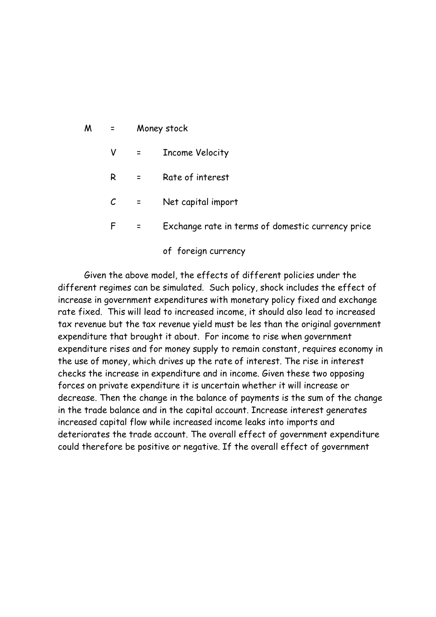|  |           | $M =$ Money stock                                 |
|--|-----------|---------------------------------------------------|
|  |           | $V =$ Income Velocity                             |
|  | $R =$     | Rate of interest                                  |
|  | $C =$     | Net capital import                                |
|  | $F = \pm$ | Exchange rate in terms of domestic currency price |
|  |           |                                                   |

of foreign currency

 Given the above model, the effects of different policies under the different regimes can be simulated. Such policy, shock includes the effect of increase in government expenditures with monetary policy fixed and exchange rate fixed. This will lead to increased income, it should also lead to increased tax revenue but the tax revenue yield must be les than the original government expenditure that brought it about. For income to rise when government expenditure rises and for money supply to remain constant, requires economy in the use of money, which drives up the rate of interest. The rise in interest checks the increase in expenditure and in income. Given these two opposing forces on private expenditure it is uncertain whether it will increase or decrease. Then the change in the balance of payments is the sum of the change in the trade balance and in the capital account. Increase interest generates increased capital flow while increased income leaks into imports and deteriorates the trade account. The overall effect of government expenditure could therefore be positive or negative. If the overall effect of government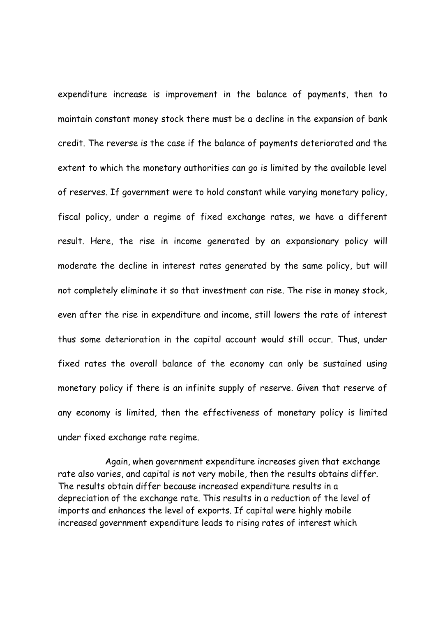expenditure increase is improvement in the balance of payments, then to maintain constant money stock there must be a decline in the expansion of bank credit. The reverse is the case if the balance of payments deteriorated and the extent to which the monetary authorities can go is limited by the available level of reserves. If government were to hold constant while varying monetary policy, fiscal policy, under a regime of fixed exchange rates, we have a different result. Here, the rise in income generated by an expansionary policy will moderate the decline in interest rates generated by the same policy, but will not completely eliminate it so that investment can rise. The rise in money stock, even after the rise in expenditure and income, still lowers the rate of interest thus some deterioration in the capital account would still occur. Thus, under fixed rates the overall balance of the economy can only be sustained using monetary policy if there is an infinite supply of reserve. Given that reserve of any economy is limited, then the effectiveness of monetary policy is limited under fixed exchange rate regime.

 Again, when government expenditure increases given that exchange rate also varies, and capital is not very mobile, then the results obtains differ. The results obtain differ because increased expenditure results in a depreciation of the exchange rate. This results in a reduction of the level of imports and enhances the level of exports. If capital were highly mobile increased government expenditure leads to rising rates of interest which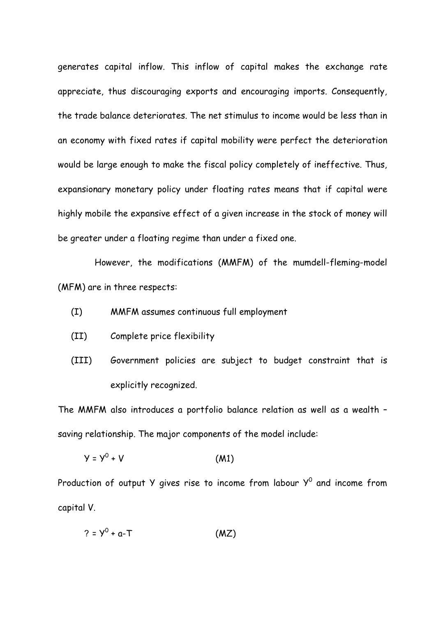generates capital inflow. This inflow of capital makes the exchange rate appreciate, thus discouraging exports and encouraging imports. Consequently, the trade balance deteriorates. The net stimulus to income would be less than in an economy with fixed rates if capital mobility were perfect the deterioration would be large enough to make the fiscal policy completely of ineffective. Thus, expansionary monetary policy under floating rates means that if capital were highly mobile the expansive effect of a given increase in the stock of money will be greater under a floating regime than under a fixed one.

 However, the modifications (MMFM) of the mumdell-fleming-model (MFM) are in three respects:

- (I) MMFM assumes continuous full employment
- (II) Complete price flexibility
- (III) Government policies are subject to budget constraint that is explicitly recognized.

The MMFM also introduces a portfolio balance relation as well as a wealth – saving relationship. The major components of the model include:

$$
Y = Y^0 + V \tag{M1}
$$

Production of output Y gives rise to income from labour  $\mathsf{Y}^0$  and income from capital V.

$$
? = Y^0 + a - T \qquad (MZ)
$$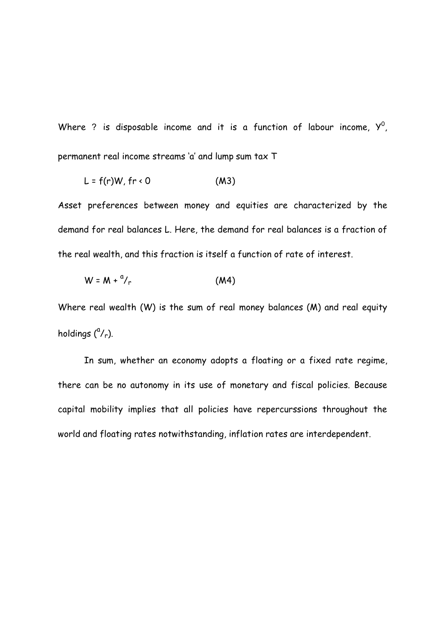Where ? is disposable income and it is a function of labour income,  $Y^0$ , permanent real income streams 'a' and lump sum tax T

$$
L = f(r)W, fr < 0 \tag{M3}
$$

Asset preferences between money and equities are characterized by the demand for real balances L. Here, the demand for real balances is a fraction of the real wealth, and this fraction is itself a function of rate of interest.

$$
W = M + \frac{a}{r}
$$
 (M4)

Where real wealth (W) is the sum of real money balances (M) and real equity holdings  $(^a/r)$ .

 In sum, whether an economy adopts a floating or a fixed rate regime, there can be no autonomy in its use of monetary and fiscal policies. Because capital mobility implies that all policies have repercurssions throughout the world and floating rates notwithstanding, inflation rates are interdependent.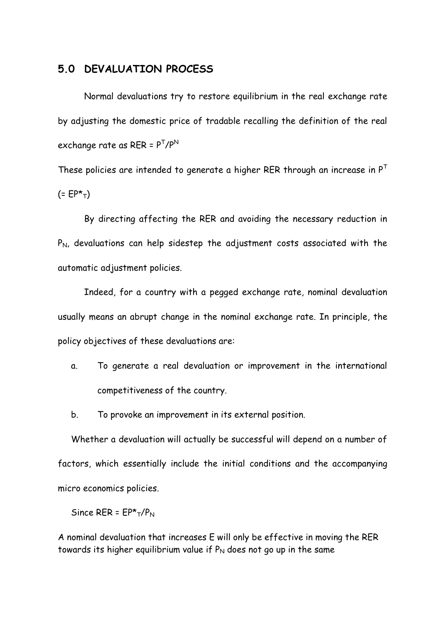#### **5.0 DEVALUATION PROCESS**

 Normal devaluations try to restore equilibrium in the real exchange rate by adjusting the domestic price of tradable recalling the definition of the real exchange rate as RER =  $\mathsf{P}^\mathsf{T}/\mathsf{P}^\mathsf{N}$ 

These policies are intended to generate a higher RER through an increase in  $P<sup>T</sup>$  $(= E P^*T)$ 

By directing affecting the RER and avoiding the necessary reduction in  $P_N$ , devaluations can help sidestep the adjustment costs associated with the automatic adjustment policies.

 Indeed, for a country with a pegged exchange rate, nominal devaluation usually means an abrupt change in the nominal exchange rate. In principle, the policy objectives of these devaluations are:

a. To generate a real devaluation or improvement in the international competitiveness of the country.

b. To provoke an improvement in its external position.

Whether a devaluation will actually be successful will depend on a number of factors, which essentially include the initial conditions and the accompanying micro economics policies.

Since RER =  $EP^{\star}T/P_N$ 

A nominal devaluation that increases E will only be effective in moving the RER towards its higher equilibrium value if  $P_N$  does not go up in the same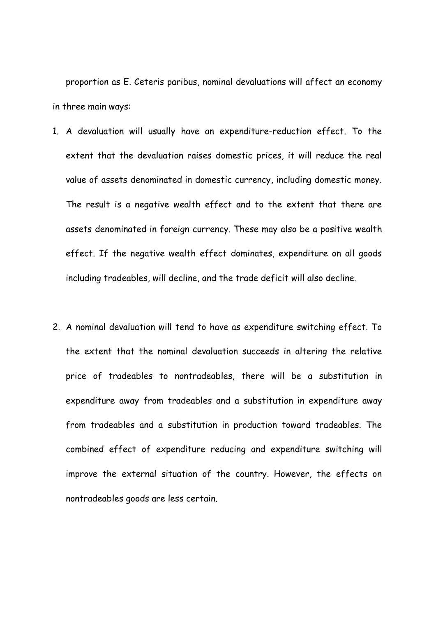proportion as E. Ceteris paribus, nominal devaluations will affect an economy in three main ways:

- 1. A devaluation will usually have an expenditure-reduction effect. To the extent that the devaluation raises domestic prices, it will reduce the real value of assets denominated in domestic currency, including domestic money. The result is a negative wealth effect and to the extent that there are assets denominated in foreign currency. These may also be a positive wealth effect. If the negative wealth effect dominates, expenditure on all goods including tradeables, will decline, and the trade deficit will also decline.
- 2. A nominal devaluation will tend to have as expenditure switching effect. To the extent that the nominal devaluation succeeds in altering the relative price of tradeables to nontradeables, there will be a substitution in expenditure away from tradeables and a substitution in expenditure away from tradeables and a substitution in production toward tradeables. The combined effect of expenditure reducing and expenditure switching will improve the external situation of the country. However, the effects on nontradeables goods are less certain.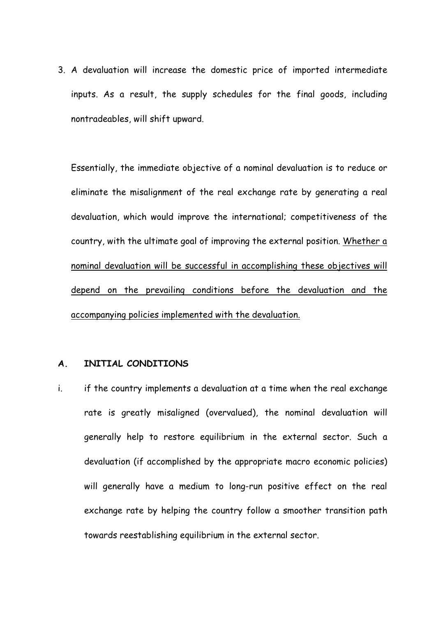3. A devaluation will increase the domestic price of imported intermediate inputs. As a result, the supply schedules for the final goods, including nontradeables, will shift upward.

Essentially, the immediate objective of a nominal devaluation is to reduce or eliminate the misalignment of the real exchange rate by generating a real devaluation, which would improve the international; competitiveness of the country, with the ultimate goal of improving the external position. Whether a nominal devaluation will be successful in accomplishing these objectives will depend on the prevailing conditions before the devaluation and the accompanying policies implemented with the devaluation.

#### **A. INITIAL CONDITIONS**

i. if the country implements a devaluation at a time when the real exchange rate is greatly misaligned (overvalued), the nominal devaluation will generally help to restore equilibrium in the external sector. Such a devaluation (if accomplished by the appropriate macro economic policies) will generally have a medium to long-run positive effect on the real exchange rate by helping the country follow a smoother transition path towards reestablishing equilibrium in the external sector.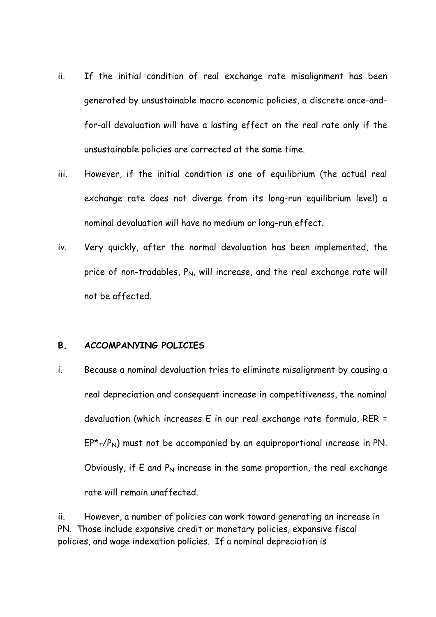- ii. If the initial condition of real exchange rate misalignment has been generated by unsustainable macro economic policies, a discrete once-andfor-all devaluation will have a lasting effect on the real rate only if the unsustainable policies are corrected at the same time.
- iii. However, if the initial condition is one of equilibrium (the actual real exchange rate does not diverge from its long-run equilibrium level) a nominal devaluation will have no medium or long-run effect.
- iv. Very quickly, after the normal devaluation has been implemented, the price of non-tradables,  $P_N$ , will increase, and the real exchange rate will not be affected.

#### **B. ACCOMPANYING POLICIES**

i. Because a nominal devaluation tries to eliminate misalignment by causing a real depreciation and consequent increase in competitiveness, the nominal devaluation (which increases E in our real exchange rate formula, RER =  $EP^{\star}T/P_{N}$ ) must not be accompanied by an equiproportional increase in PN. Obviously, if  $E$  and  $P_N$  increase in the same proportion, the real exchange rate will remain unaffected.

ii. However, a number of policies can work toward generating an increase in PN. Those include expansive credit or monetary policies, expansive fiscal policies, and wage indexation policies. If a nominal depreciation is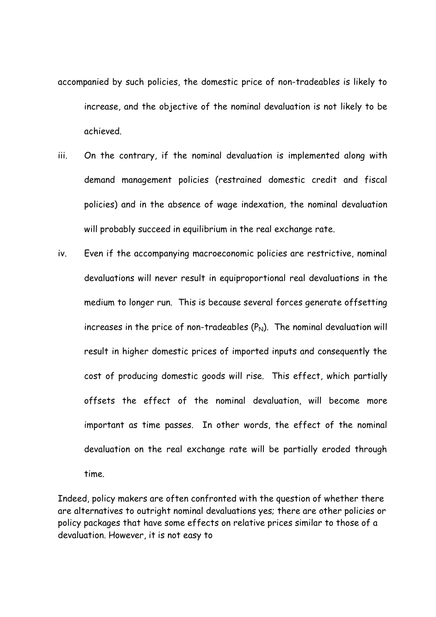- accompanied by such policies, the domestic price of non-tradeables is likely to increase, and the objective of the nominal devaluation is not likely to be achieved.
- iii. On the contrary, if the nominal devaluation is implemented along with demand management policies (restrained domestic credit and fiscal policies) and in the absence of wage indexation, the nominal devaluation will probably succeed in equilibrium in the real exchange rate.
- iv. Even if the accompanying macroeconomic policies are restrictive, nominal devaluations will never result in equiproportional real devaluations in the medium to longer run. This is because several forces generate offsetting increases in the price of non-tradeables  $(P_N)$ . The nominal devaluation will result in higher domestic prices of imported inputs and consequently the cost of producing domestic goods will rise. This effect, which partially offsets the effect of the nominal devaluation, will become more important as time passes. In other words, the effect of the nominal devaluation on the real exchange rate will be partially eroded through time.

Indeed, policy makers are often confronted with the question of whether there are alternatives to outright nominal devaluations yes; there are other policies or policy packages that have some effects on relative prices similar to those of a devaluation. However, it is not easy to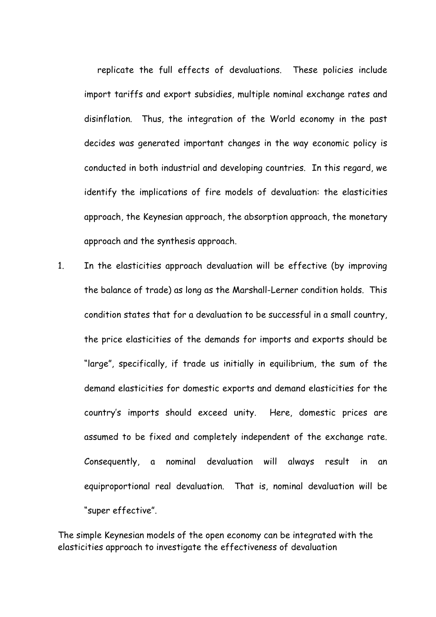replicate the full effects of devaluations. These policies include import tariffs and export subsidies, multiple nominal exchange rates and disinflation. Thus, the integration of the World economy in the past decides was generated important changes in the way economic policy is conducted in both industrial and developing countries. In this regard, we identify the implications of fire models of devaluation: the elasticities approach, the Keynesian approach, the absorption approach, the monetary approach and the synthesis approach.

1. In the elasticities approach devaluation will be effective (by improving the balance of trade) as long as the Marshall-Lerner condition holds. This condition states that for a devaluation to be successful in a small country, the price elasticities of the demands for imports and exports should be "large", specifically, if trade us initially in equilibrium, the sum of the demand elasticities for domestic exports and demand elasticities for the country's imports should exceed unity. Here, domestic prices are assumed to be fixed and completely independent of the exchange rate. Consequently, a nominal devaluation will always result in an equiproportional real devaluation. That is, nominal devaluation will be "super effective".

The simple Keynesian models of the open economy can be integrated with the elasticities approach to investigate the effectiveness of devaluation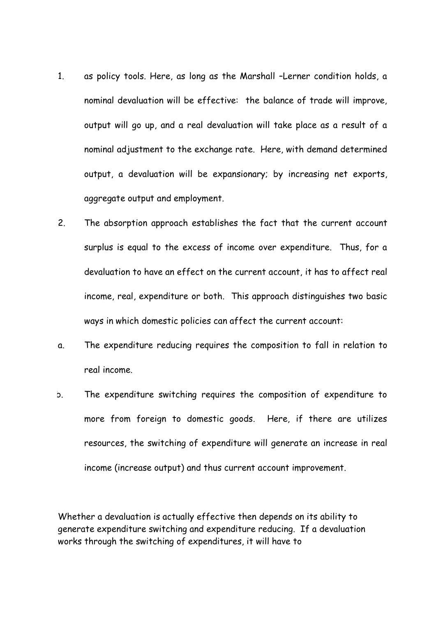- 1. as policy tools. Here, as long as the Marshall –Lerner condition holds, a nominal devaluation will be effective: the balance of trade will improve, output will go up, and a real devaluation will take place as a result of a nominal adjustment to the exchange rate. Here, with demand determined output, a devaluation will be expansionary; by increasing net exports, aggregate output and employment.
- 2. The absorption approach establishes the fact that the current account surplus is equal to the excess of income over expenditure. Thus, for a devaluation to have an effect on the current account, it has to affect real income, real, expenditure or both. This approach distinguishes two basic ways in which domestic policies can affect the current account:
- a. The expenditure reducing requires the composition to fall in relation to real income.
- b. The expenditure switching requires the composition of expenditure to more from foreign to domestic goods. Here, if there are utilizes resources, the switching of expenditure will generate an increase in real income (increase output) and thus current account improvement.

Whether a devaluation is actually effective then depends on its ability to generate expenditure switching and expenditure reducing. If a devaluation works through the switching of expenditures, it will have to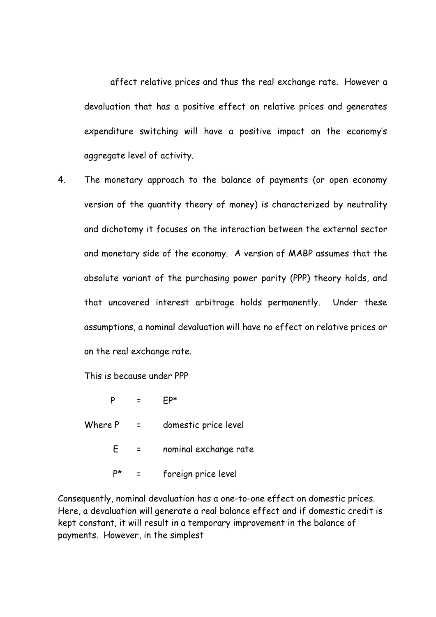affect relative prices and thus the real exchange rate. However a devaluation that has a positive effect on relative prices and generates expenditure switching will have a positive impact on the economy's aggregate level of activity.

4. The monetary approach to the balance of payments (or open economy version of the quantity theory of money) is characterized by neutrality and dichotomy it focuses on the interaction between the external sector and monetary side of the economy. A version of MABP assumes that the absolute variant of the purchasing power parity (PPP) theory holds, and that uncovered interest arbitrage holds permanently. Under these assumptions, a nominal devaluation will have no effect on relative prices or on the real exchange rate.

This is because under PPP

| Where P | domestic price level  |
|---------|-----------------------|
| F.      | nominal exchange rate |
| D∗      | foreign price level   |

Consequently, nominal devaluation has a one-to-one effect on domestic prices. Here, a devaluation will generate a real balance effect and if domestic credit is kept constant, it will result in a temporary improvement in the balance of payments. However, in the simplest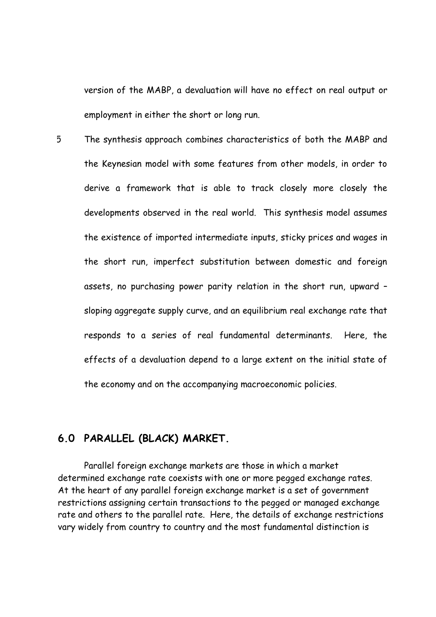version of the MABP, a devaluation will have no effect on real output or employment in either the short or long run.

5 The synthesis approach combines characteristics of both the MABP and the Keynesian model with some features from other models, in order to derive a framework that is able to track closely more closely the developments observed in the real world. This synthesis model assumes the existence of imported intermediate inputs, sticky prices and wages in the short run, imperfect substitution between domestic and foreign assets, no purchasing power parity relation in the short run, upward – sloping aggregate supply curve, and an equilibrium real exchange rate that responds to a series of real fundamental determinants. Here, the effects of a devaluation depend to a large extent on the initial state of the economy and on the accompanying macroeconomic policies.

## **6.0 PARALLEL (BLACK) MARKET.**

 Parallel foreign exchange markets are those in which a market determined exchange rate coexists with one or more pegged exchange rates. At the heart of any parallel foreign exchange market is a set of government restrictions assigning certain transactions to the pegged or managed exchange rate and others to the parallel rate. Here, the details of exchange restrictions vary widely from country to country and the most fundamental distinction is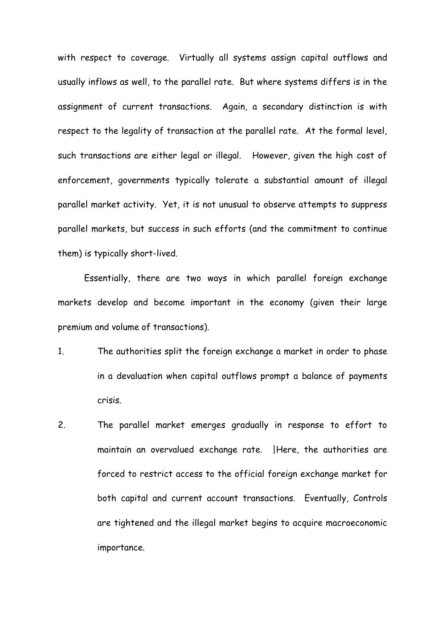with respect to coverage. Virtually all systems assign capital outflows and usually inflows as well, to the parallel rate. But where systems differs is in the assignment of current transactions. Again, a secondary distinction is with respect to the legality of transaction at the parallel rate. At the formal level, such transactions are either legal or illegal. However, given the high cost of enforcement, governments typically tolerate a substantial amount of illegal parallel market activity. Yet, it is not unusual to observe attempts to suppress parallel markets, but success in such efforts (and the commitment to continue them) is typically short-lived.

 Essentially, there are two ways in which parallel foreign exchange markets develop and become important in the economy (given their large premium and volume of transactions).

- 1. The authorities split the foreign exchange a market in order to phase in a devaluation when capital outflows prompt a balance of payments crisis.
- 2. The parallel market emerges gradually in response to effort to maintain an overvalued exchange rate. |Here, the authorities are forced to restrict access to the official foreign exchange market for both capital and current account transactions. Eventually, Controls are tightened and the illegal market begins to acquire macroeconomic importance.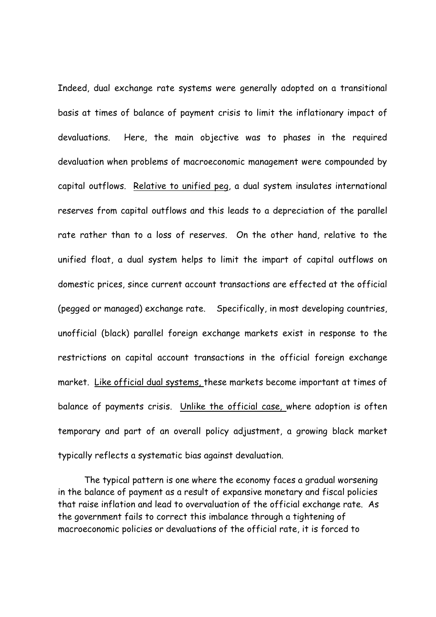Indeed, dual exchange rate systems were generally adopted on a transitional basis at times of balance of payment crisis to limit the inflationary impact of devaluations. Here, the main objective was to phases in the required devaluation when problems of macroeconomic management were compounded by capital outflows. Relative to unified peg, a dual system insulates international reserves from capital outflows and this leads to a depreciation of the parallel rate rather than to a loss of reserves. On the other hand, relative to the unified float, a dual system helps to limit the impart of capital outflows on domestic prices, since current account transactions are effected at the official (pegged or managed) exchange rate. Specifically, in most developing countries, unofficial (black) parallel foreign exchange markets exist in response to the restrictions on capital account transactions in the official foreign exchange market. Like official dual systems, these markets become important at times of balance of payments crisis. Unlike the official case, where adoption is often temporary and part of an overall policy adjustment, a growing black market typically reflects a systematic bias against devaluation.

 The typical pattern is one where the economy faces a gradual worsening in the balance of payment as a result of expansive monetary and fiscal policies that raise inflation and lead to overvaluation of the official exchange rate. As the government fails to correct this imbalance through a tightening of macroeconomic policies or devaluations of the official rate, it is forced to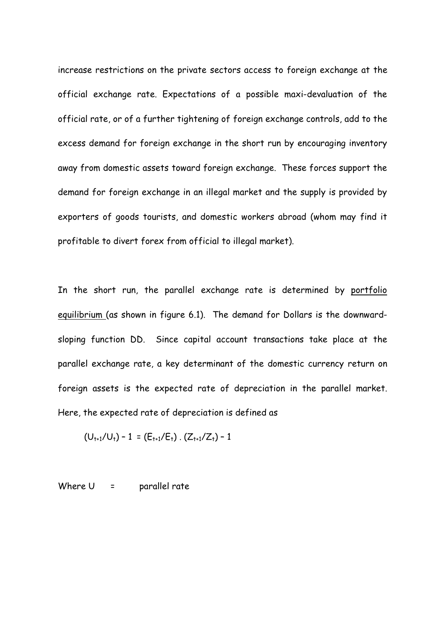increase restrictions on the private sectors access to foreign exchange at the official exchange rate. Expectations of a possible maxi-devaluation of the official rate, or of a further tightening of foreign exchange controls, add to the excess demand for foreign exchange in the short run by encouraging inventory away from domestic assets toward foreign exchange. These forces support the demand for foreign exchange in an illegal market and the supply is provided by exporters of goods tourists, and domestic workers abroad (whom may find it profitable to divert forex from official to illegal market).

In the short run, the parallel exchange rate is determined by portfolio equilibrium (as shown in figure 6.1). The demand for Dollars is the downwardsloping function DD. Since capital account transactions take place at the parallel exchange rate, a key determinant of the domestic currency return on foreign assets is the expected rate of depreciation in the parallel market. Here, the expected rate of depreciation is defined as

$$
(U_{t+1}/U_t) - 1 = (E_{t+1}/E_t) \cdot (Z_{t+1}/Z_t) - 1
$$

Where  $U =$  parallel rate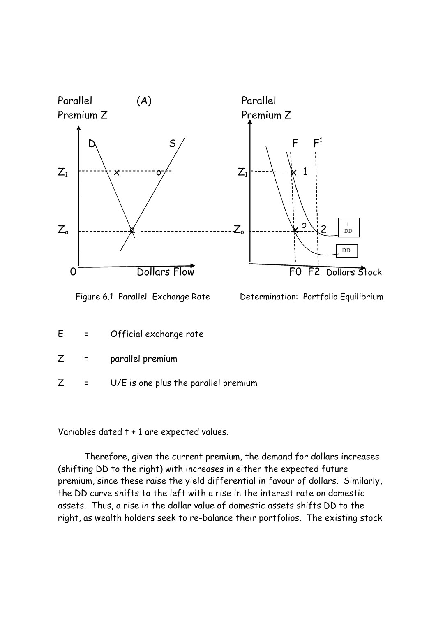

Figure 6.1 Parallel Exchange Rate Determination: Portfolio Equilibrium

|  |  | Official exchange rate |  |
|--|--|------------------------|--|
|--|--|------------------------|--|

Z = parallel premium

 $Z = U/E$  is one plus the parallel premium

Variables dated t + 1 are expected values.

 Therefore, given the current premium, the demand for dollars increases (shifting DD to the right) with increases in either the expected future premium, since these raise the yield differential in favour of dollars. Similarly, the DD curve shifts to the left with a rise in the interest rate on domestic assets. Thus, a rise in the dollar value of domestic assets shifts DD to the right, as wealth holders seek to re-balance their portfolios. The existing stock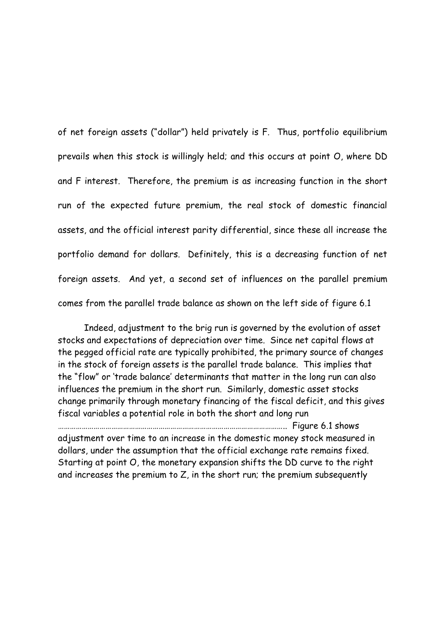of net foreign assets ("dollar") held privately is F. Thus, portfolio equilibrium prevails when this stock is willingly held; and this occurs at point O, where DD and F interest. Therefore, the premium is as increasing function in the short run of the expected future premium, the real stock of domestic financial assets, and the official interest parity differential, since these all increase the portfolio demand for dollars. Definitely, this is a decreasing function of net foreign assets. And yet, a second set of influences on the parallel premium comes from the parallel trade balance as shown on the left side of figure 6.1

 Indeed, adjustment to the brig run is governed by the evolution of asset stocks and expectations of depreciation over time. Since net capital flows at the pegged official rate are typically prohibited, the primary source of changes in the stock of foreign assets is the parallel trade balance. This implies that the "flow" or 'trade balance' determinants that matter in the long run can also influences the premium in the short run. Similarly, domestic asset stocks change primarily through monetary financing of the fiscal deficit, and this gives fiscal variables a potential role in both the short and long run …………………………………………………………………………………………………….. Figure 6.1 shows

adjustment over time to an increase in the domestic money stock measured in dollars, under the assumption that the official exchange rate remains fixed. Starting at point O, the monetary expansion shifts the DD curve to the right and increases the premium to Z, in the short run; the premium subsequently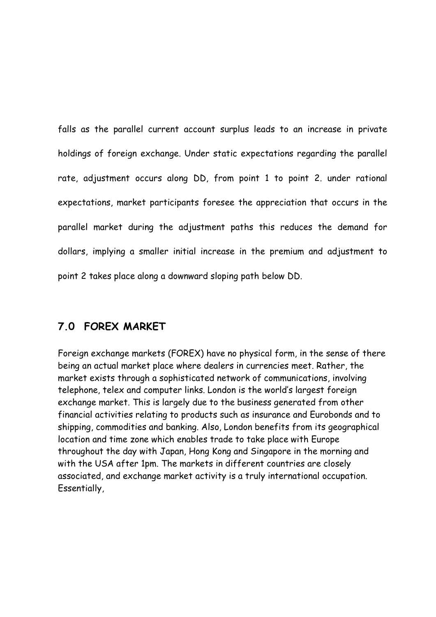falls as the parallel current account surplus leads to an increase in private holdings of foreign exchange. Under static expectations regarding the parallel rate, adjustment occurs along DD, from point 1 to point 2. under rational expectations, market participants foresee the appreciation that occurs in the parallel market during the adjustment paths this reduces the demand for dollars, implying a smaller initial increase in the premium and adjustment to point 2 takes place along a downward sloping path below DD.

## **7.0 FOREX MARKET**

Foreign exchange markets (FOREX) have no physical form, in the sense of there being an actual market place where dealers in currencies meet. Rather, the market exists through a sophisticated network of communications, involving telephone, telex and computer links. London is the world's largest foreign exchange market. This is largely due to the business generated from other financial activities relating to products such as insurance and Eurobonds and to shipping, commodities and banking. Also, London benefits from its geographical location and time zone which enables trade to take place with Europe throughout the day with Japan, Hong Kong and Singapore in the morning and with the USA after 1pm. The markets in different countries are closely associated, and exchange market activity is a truly international occupation. Essentially,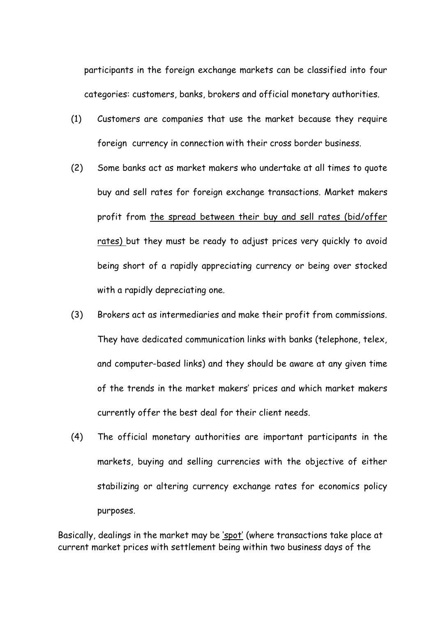participants in the foreign exchange markets can be classified into four categories: customers, banks, brokers and official monetary authorities.

- (1) Customers are companies that use the market because they require foreign currency in connection with their cross border business.
- (2) Some banks act as market makers who undertake at all times to quote buy and sell rates for foreign exchange transactions. Market makers profit from the spread between their buy and sell rates (bid/offer rates) but they must be ready to adjust prices very quickly to avoid being short of a rapidly appreciating currency or being over stocked with a rapidly depreciating one.
- (3) Brokers act as intermediaries and make their profit from commissions. They have dedicated communication links with banks (telephone, telex, and computer-based links) and they should be aware at any given time of the trends in the market makers' prices and which market makers currently offer the best deal for their client needs.
- (4) The official monetary authorities are important participants in the markets, buying and selling currencies with the objective of either stabilizing or altering currency exchange rates for economics policy purposes.

Basically, dealings in the market may be 'spot' (where transactions take place at current market prices with settlement being within two business days of the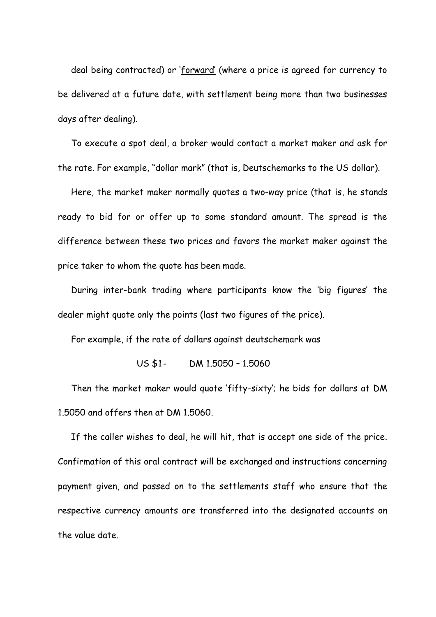deal being contracted) or 'forward' (where a price is agreed for currency to be delivered at a future date, with settlement being more than two businesses days after dealing).

To execute a spot deal, a broker would contact a market maker and ask for the rate. For example, "dollar mark" (that is, Deutschemarks to the US dollar).

Here, the market maker normally quotes a two-way price (that is, he stands ready to bid for or offer up to some standard amount. The spread is the difference between these two prices and favors the market maker against the price taker to whom the quote has been made.

During inter-bank trading where participants know the 'big figures' the dealer might quote only the points (last two figures of the price).

For example, if the rate of dollars against deutschemark was

 $US$  \$1 - DM 1.5050 - 1.5060

Then the market maker would quote 'fifty-sixty'; he bids for dollars at DM 1.5050 and offers then at DM 1.5060.

If the caller wishes to deal, he will hit, that is accept one side of the price. Confirmation of this oral contract will be exchanged and instructions concerning payment given, and passed on to the settlements staff who ensure that the respective currency amounts are transferred into the designated accounts on the value date.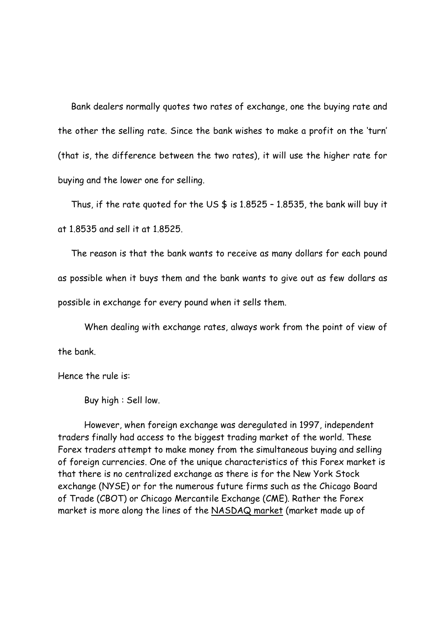Bank dealers normally quotes two rates of exchange, one the buying rate and the other the selling rate. Since the bank wishes to make a profit on the 'turn' (that is, the difference between the two rates), it will use the higher rate for buying and the lower one for selling.

Thus, if the rate quoted for the US  $$$  is 1.8525 - 1.8535, the bank will buy it at 1.8535 and sell it at 1.8525.

The reason is that the bank wants to receive as many dollars for each pound as possible when it buys them and the bank wants to give out as few dollars as possible in exchange for every pound when it sells them.

 When dealing with exchange rates, always work from the point of view of the bank.

Hence the rule is:

Buy high : Sell low.

 However, when foreign exchange was deregulated in 1997, independent traders finally had access to the biggest trading market of the world. These Forex traders attempt to make money from the simultaneous buying and selling of foreign currencies. One of the unique characteristics of this Forex market is that there is no centralized exchange as there is for the New York Stock exchange (NYSE) or for the numerous future firms such as the Chicago Board of Trade (CBOT) or Chicago Mercantile Exchange (CME). Rather the Forex market is more along the lines of the NASDAQ market (market made up of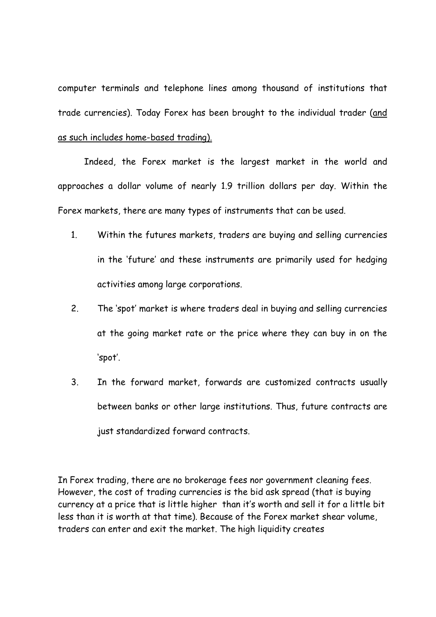computer terminals and telephone lines among thousand of institutions that trade currencies). Today Forex has been brought to the individual trader (and as such includes home-based trading).

 Indeed, the Forex market is the largest market in the world and approaches a dollar volume of nearly 1.9 trillion dollars per day. Within the Forex markets, there are many types of instruments that can be used.

- 1. Within the futures markets, traders are buying and selling currencies in the 'future' and these instruments are primarily used for hedging activities among large corporations.
- 2. The 'spot' market is where traders deal in buying and selling currencies at the going market rate or the price where they can buy in on the 'spot'.
- 3. In the forward market, forwards are customized contracts usually between banks or other large institutions. Thus, future contracts are just standardized forward contracts.

In Forex trading, there are no brokerage fees nor government cleaning fees. However, the cost of trading currencies is the bid ask spread (that is buying currency at a price that is little higher than it's worth and sell it for a little bit less than it is worth at that time). Because of the Forex market shear volume, traders can enter and exit the market. The high liquidity creates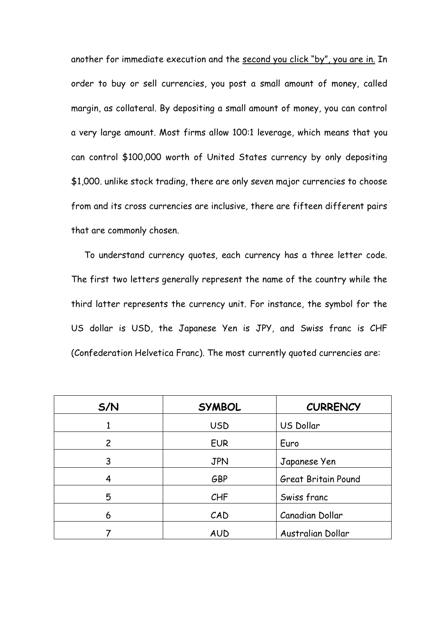another for immediate execution and the second you click "by", you are in. In order to buy or sell currencies, you post a small amount of money, called margin, as collateral. By depositing a small amount of money, you can control a very large amount. Most firms allow 100:1 leverage, which means that you can control \$100,000 worth of United States currency by only depositing \$1,000. unlike stock trading, there are only seven major currencies to choose from and its cross currencies are inclusive, there are fifteen different pairs that are commonly chosen.

 To understand currency quotes, each currency has a three letter code. The first two letters generally represent the name of the country while the third latter represents the currency unit. For instance, the symbol for the US dollar is USD, the Japanese Yen is JPY, and Swiss franc is CHF (Confederation Helvetica Franc). The most currently quoted currencies are:

| S/N            | <b>SYMBOL</b> | <b>CURRENCY</b>        |
|----------------|---------------|------------------------|
|                | <b>USD</b>    | US Dollar              |
| $\overline{2}$ | <b>EUR</b>    | Euro                   |
| 3              | <b>JPN</b>    | Japanese Yen           |
| 4              | <b>GBP</b>    | Great Britain Pound    |
| 5              | CHF           | Swiss franc            |
| 6              | CAD           | <b>Canadian Dollar</b> |
|                | <b>AUD</b>    | Australian Dollar      |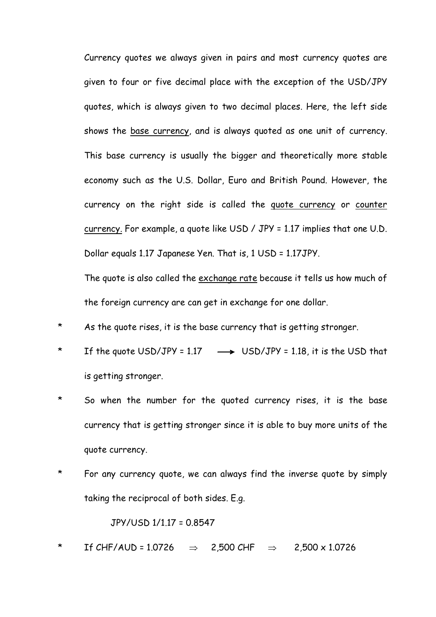Currency quotes we always given in pairs and most currency quotes are given to four or five decimal place with the exception of the USD/JPY quotes, which is always given to two decimal places. Here, the left side shows the base currency, and is always quoted as one unit of currency. This base currency is usually the bigger and theoretically more stable economy such as the U.S. Dollar, Euro and British Pound. However, the currency on the right side is called the quote currency or counter currency. For example, a quote like USD / JPY = 1.17 implies that one U.D. Dollar equals 1.17 Japanese Yen. That is, 1 USD = 1.17JPY.

The quote is also called the exchange rate because it tells us how much of the foreign currency are can get in exchange for one dollar.

\* As the quote rises, it is the base currency that is getting stronger.

- If the quote USD/JPY = 1.17  $\longrightarrow$  USD/JPY = 1.18, it is the USD that is getting stronger.
- So when the number for the quoted currency rises, it is the base currency that is getting stronger since it is able to buy more units of the quote currency.
- For any currency quote, we can always find the inverse quote by simply taking the reciprocal of both sides. E.g.

JPY/USD 1/1.17 = 0.8547

If CHF/AUD =  $1.0726$   $\Rightarrow$  2.500 CHF  $\Rightarrow$  2.500 x 1.0726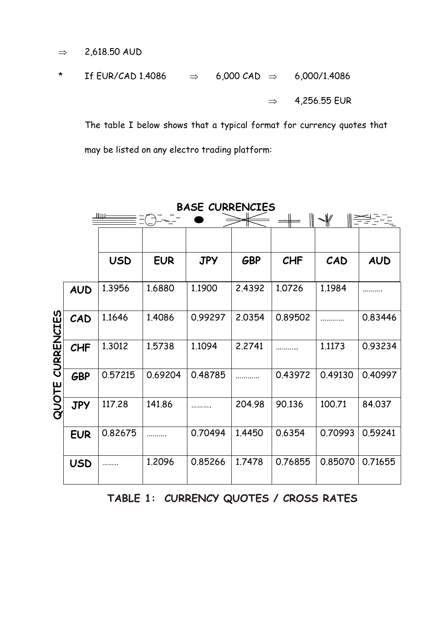$\Rightarrow$  2,618.50 AUD

\* If EUR/CAD 1.4086 
$$
\Rightarrow
$$
 6,000 CAD  $\Rightarrow$  6,000/1.4086  
 $\Rightarrow$  4,256.55 EUR

The table I below shows that a typical format for currency quotes that may be listed on any electro trading platform:

|            | <b>BASE CURRENCIES</b> |            |            |                      |            |            |         |            |
|------------|------------------------|------------|------------|----------------------|------------|------------|---------|------------|
|            |                        | -llut      | EQ-1       | $\blacktriangledown$ |            |            |         |            |
|            |                        |            |            |                      |            |            |         |            |
|            |                        | <b>USD</b> | <b>EUR</b> | <b>JPY</b>           | <b>GBP</b> | <b>CHF</b> | CAD     | <b>AUD</b> |
|            | <b>AUD</b>             | 1.3956     | 1.6880     | 1.1900               | 2.4392     | 1.0726     | 1.1984  |            |
| CURRENCIES | CAD                    | 1.1646     | 1.4086     | 0.99297              | 2.0354     | 0.89502    |         | 0.83446    |
|            | <b>CHF</b>             | 1.3012     | 1.5738     | 1.1094               | 2.2741     |            | 1.1173  | 0.93234    |
|            | <b>GBP</b>             | 0.57215    | 0.69204    | 0.48785              |            | 0.43972    | 0.49130 | 0.40997    |
| QUOTE      | <b>JPY</b>             | 117.28     | 141.86     |                      | 204.98     | 90.136     | 100.71  | 84.037     |
|            | <b>EUR</b>             | 0.82675    |            | 0.70494              | 1.4450     | 0.6354     | 0.70993 | 0.59241    |
|            | <b>USD</b>             |            | 1.2096     | 0.85266              | 1.7478     | 0.76855    | 0.85070 | 0.71655    |

# **TABLE 1: CURRENCY QUOTES / CROSS RATES**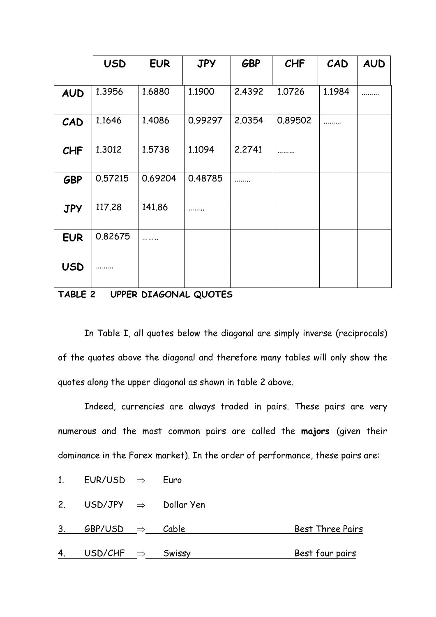|            | <b>USD</b> | <b>EUR</b> | <b>JPY</b> | <b>GBP</b> | <b>CHF</b> | CAD    | <b>AUD</b> |
|------------|------------|------------|------------|------------|------------|--------|------------|
| <b>AUD</b> | 1.3956     | 1.6880     | 1.1900     | 2.4392     | 1.0726     | 1.1984 |            |
| CAD        | 1.1646     | 1.4086     | 0.99297    | 2.0354     | 0.89502    | .      |            |
| <b>CHF</b> | 1.3012     | 1.5738     | 1.1094     | 2,2741     | .          |        |            |
| <b>GBP</b> | 0.57215    | 0.69204    | 0.48785    |            |            |        |            |
| <b>JPY</b> | 117.28     | 141.86     | .          |            |            |        |            |
| <b>EUR</b> | 0.82675    |            |            |            |            |        |            |
| <b>USD</b> | .          |            |            |            |            |        |            |

**TABLE 2 UPPER DIAGONAL QUOTES** 

In Table I, all quotes below the diagonal are simply inverse (reciprocals) of the quotes above the diagonal and therefore many tables will only show the quotes along the upper diagonal as shown in table 2 above.

 Indeed, currencies are always traded in pairs. These pairs are very numerous and the most common pairs are called the **majors** (given their dominance in the Forex market). In the order of performance, these pairs are:

|    | 1. EUR/USD $\Rightarrow$ Euro       |  |                         |
|----|-------------------------------------|--|-------------------------|
|    | 2. USD/JPY $\Rightarrow$ Dollar Yen |  |                         |
|    | 3. GBP/USD $\Rightarrow$ Cable      |  | <b>Best Three Pairs</b> |
| 4. | $USD/CHF \Rightarrow$ Swissy        |  | Best four pairs         |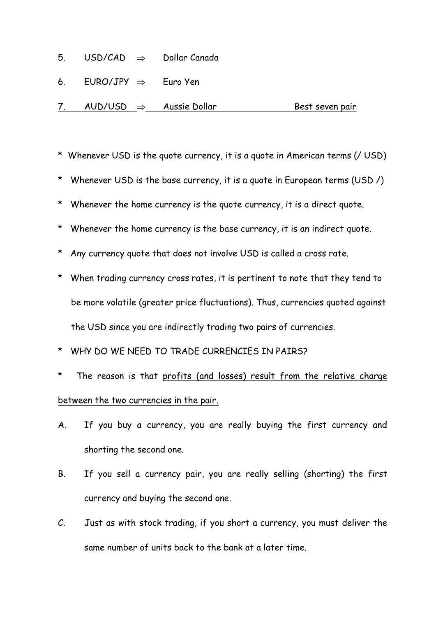- 5.  $USD/CAD \Rightarrow$  Dollar Canada
- 6. EURO/JPY  $\Rightarrow$  Euro Yen

7.  $AUD/USD \Rightarrow Aussie Dollar$  Best seven pair

- \* Whenever USD is the quote currency, it is a quote in American terms (/ USD)
- \* Whenever USD is the base currency, it is a quote in European terms (USD /)
- \* Whenever the home currency is the quote currency, it is a direct quote.
- \* Whenever the home currency is the base currency, it is an indirect quote.
- \* Any currency quote that does not involve USD is called a cross rate.
- \* When trading currency cross rates, it is pertinent to note that they tend to be more volatile (greater price fluctuations). Thus, currencies quoted against the USD since you are indirectly trading two pairs of currencies.
- \* WHY DO WE NEED TO TRADE CURRENCIES IN PAIRS?
- \* The reason is that profits (and losses) result from the relative charge between the two currencies in the pair.
- A. If you buy a currency, you are really buying the first currency and shorting the second one.
- B. If you sell a currency pair, you are really selling (shorting) the first currency and buying the second one.
- C. Just as with stock trading, if you short a currency, you must deliver the same number of units back to the bank at a later time.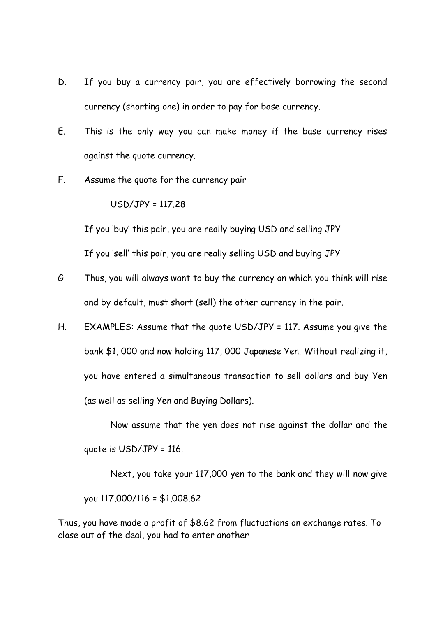- D. If you buy a currency pair, you are effectively borrowing the second currency (shorting one) in order to pay for base currency.
- E. This is the only way you can make money if the base currency rises against the quote currency.
- F. Assume the quote for the currency pair

USD/JPY = 117.28

If you 'buy' this pair, you are really buying USD and selling JPY

If you 'sell' this pair, you are really selling USD and buying JPY

- G. Thus, you will always want to buy the currency on which you think will rise and by default, must short (sell) the other currency in the pair.
- H. EXAMPLES: Assume that the quote USD/JPY = 117. Assume you give the bank \$1, 000 and now holding 117, 000 Japanese Yen. Without realizing it, you have entered a simultaneous transaction to sell dollars and buy Yen (as well as selling Yen and Buying Dollars).

Now assume that the yen does not rise against the dollar and the quote is USD/JPY = 116.

Next, you take your 117,000 yen to the bank and they will now give you 117,000/116 = \$1,008.62

Thus, you have made a profit of \$8.62 from fluctuations on exchange rates. To close out of the deal, you had to enter another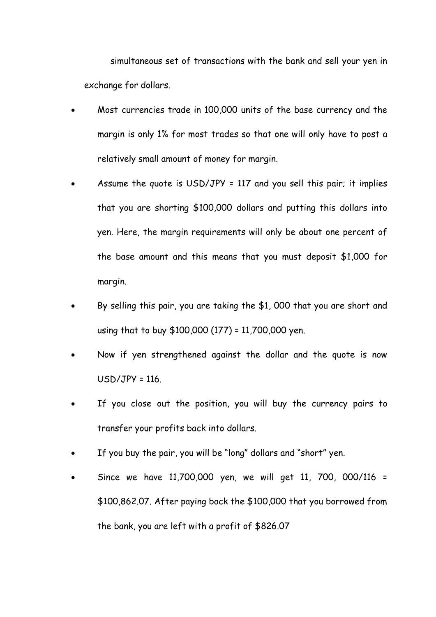simultaneous set of transactions with the bank and sell your yen in exchange for dollars.

- Most currencies trade in 100,000 units of the base currency and the margin is only 1% for most trades so that one will only have to post a relatively small amount of money for margin.
- Assume the quote is USD/JPY = 117 and you sell this pair; it implies that you are shorting \$100,000 dollars and putting this dollars into yen. Here, the margin requirements will only be about one percent of the base amount and this means that you must deposit \$1,000 for margin.
- By selling this pair, you are taking the \$1, 000 that you are short and using that to buy \$100,000 (177) = 11,700,000 yen.
- Now if yen strengthened against the dollar and the quote is now  $USD/JPY = 116.$
- If you close out the position, you will buy the currency pairs to transfer your profits back into dollars.
- If you buy the pair, you will be "long" dollars and "short" yen.
- Since we have 11,700,000 yen, we will get 11, 700, 000/116 = \$100,862.07. After paying back the \$100,000 that you borrowed from the bank, you are left with a profit of \$826.07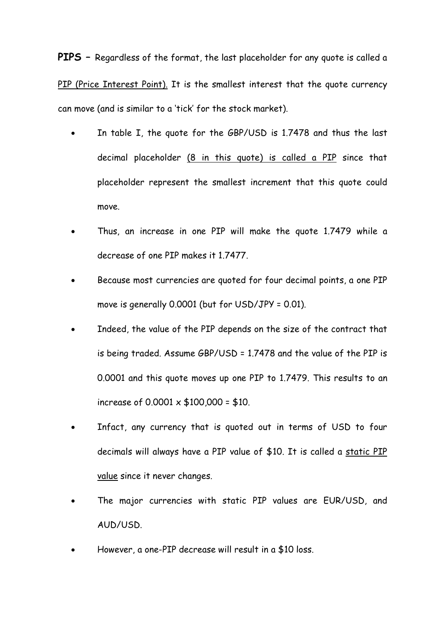**PIPS –** Regardless of the format, the last placeholder for any quote is called a PIP (Price Interest Point). It is the smallest interest that the quote currency can move (and is similar to a 'tick' for the stock market).

- In table I, the quote for the GBP/USD is 1.7478 and thus the last decimal placeholder (8 in this quote) is called a PIP since that placeholder represent the smallest increment that this quote could move.
- Thus, an increase in one PIP will make the quote 1.7479 while a decrease of one PIP makes it 1.7477.
- Because most currencies are quoted for four decimal points, a one PIP move is generally 0.0001 (but for USD/JPY = 0.01).
- Indeed, the value of the PIP depends on the size of the contract that is being traded. Assume GBP/USD = 1.7478 and the value of the PIP is 0.0001 and this quote moves up one PIP to 1.7479. This results to an increase of  $0.0001 \times $100,000 = $10$ .
- Infact, any currency that is quoted out in terms of USD to four decimals will always have a PIP value of \$10. It is called a static PIP value since it never changes.
- The major currencies with static PIP values are EUR/USD, and AUD/USD.
- However, a one-PIP decrease will result in a \$10 loss.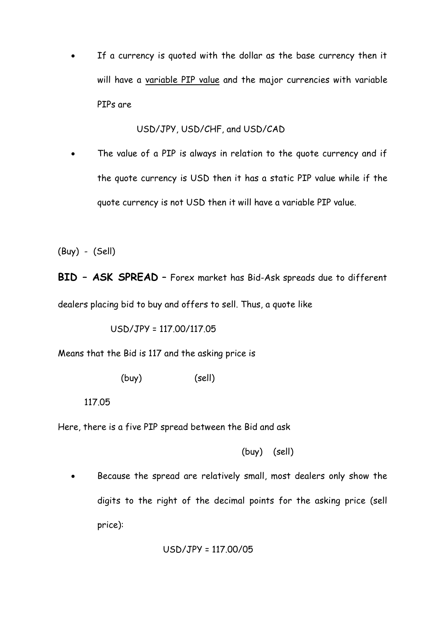If a currency is quoted with the dollar as the base currency then it will have a variable PIP value and the major currencies with variable PIPs are

USD/JPY, USD/CHF, and USD/CAD

 The value of a PIP is always in relation to the quote currency and if the quote currency is USD then it has a static PIP value while if the quote currency is not USD then it will have a variable PIP value.

(Buy) - (Sell)

**BID – ASK SPREAD** – Forex market has Bid-Ask spreads due to different dealers placing bid to buy and offers to sell. Thus, a quote like

USD/JPY = 117.00/117.05

Means that the Bid is 117 and the asking price is

(buy) (sell)

117.05

Here, there is a five PIP spread between the Bid and ask

(buy) (sell)

• Because the spread are relatively small, most dealers only show the digits to the right of the decimal points for the asking price (sell price):

$$
USD/JPY = 117.00/05
$$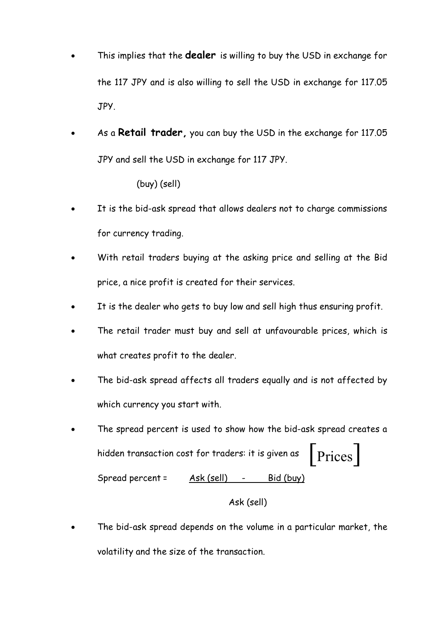- This implies that the **dealer** is willing to buy the USD in exchange for the 117 JPY and is also willing to sell the USD in exchange for 117.05 JPY.
- As a **Retail trader,** you can buy the USD in the exchange for 117.05 JPY and sell the USD in exchange for 117 JPY.

(buy) (sell)

- It is the bid-ask spread that allows dealers not to charge commissions for currency trading.
- With retail traders buying at the asking price and selling at the Bid price, a nice profit is created for their services.
- It is the dealer who gets to buy low and sell high thus ensuring profit.
- The retail trader must buy and sell at unfavourable prices, which is what creates profit to the dealer.
- The bid-ask spread affects all traders equally and is not affected by which currency you start with.
- The spread percent is used to show how the bid-ask spread creates a hidden transaction cost for traders: it is given as Spread percent = Ask (sell) - Bid (buy) [Prices]

#### Ask (sell)

 The bid-ask spread depends on the volume in a particular market, the volatility and the size of the transaction.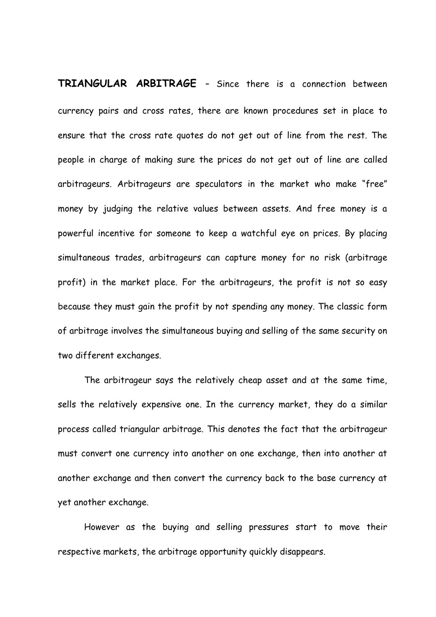**TRIANGULAR ARBITRAGE** – Since there is a connection between currency pairs and cross rates, there are known procedures set in place to ensure that the cross rate quotes do not get out of line from the rest. The people in charge of making sure the prices do not get out of line are called arbitrageurs. Arbitrageurs are speculators in the market who make "free" money by judging the relative values between assets. And free money is a powerful incentive for someone to keep a watchful eye on prices. By placing simultaneous trades, arbitrageurs can capture money for no risk (arbitrage profit) in the market place. For the arbitrageurs, the profit is not so easy because they must gain the profit by not spending any money. The classic form of arbitrage involves the simultaneous buying and selling of the same security on two different exchanges.

 The arbitrageur says the relatively cheap asset and at the same time, sells the relatively expensive one. In the currency market, they do a similar process called triangular arbitrage. This denotes the fact that the arbitrageur must convert one currency into another on one exchange, then into another at another exchange and then convert the currency back to the base currency at yet another exchange.

 However as the buying and selling pressures start to move their respective markets, the arbitrage opportunity quickly disappears.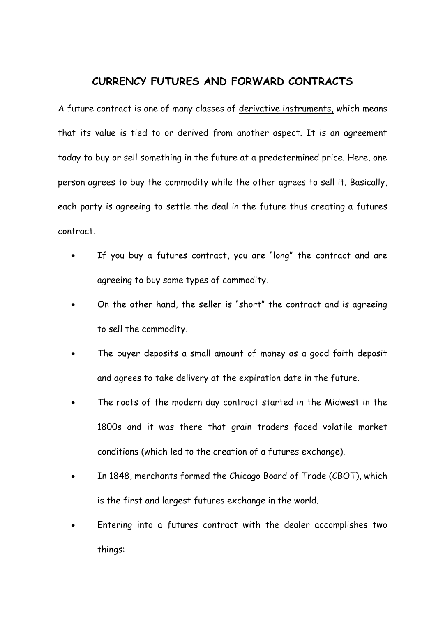### **CURRENCY FUTURES AND FORWARD CONTRACTS**

A future contract is one of many classes of derivative instruments, which means that its value is tied to or derived from another aspect. It is an agreement today to buy or sell something in the future at a predetermined price. Here, one person agrees to buy the commodity while the other agrees to sell it. Basically, each party is agreeing to settle the deal in the future thus creating a futures contract.

- If you buy a futures contract, you are "long" the contract and are agreeing to buy some types of commodity.
- On the other hand, the seller is "short" the contract and is agreeing to sell the commodity.
- The buyer deposits a small amount of money as a good faith deposit and agrees to take delivery at the expiration date in the future.
- The roots of the modern day contract started in the Midwest in the 1800s and it was there that grain traders faced volatile market conditions (which led to the creation of a futures exchange).
- In 1848, merchants formed the Chicago Board of Trade (CBOT), which is the first and largest futures exchange in the world.
- Entering into a futures contract with the dealer accomplishes two things: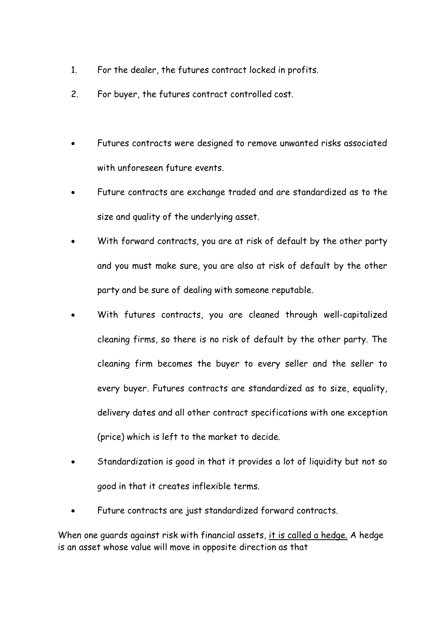- 1. For the dealer, the futures contract locked in profits.
- 2. For buyer, the futures contract controlled cost.
- Futures contracts were designed to remove unwanted risks associated with unforeseen future events.
- Future contracts are exchange traded and are standardized as to the size and quality of the underlying asset.
- With forward contracts, you are at risk of default by the other party and you must make sure, you are also at risk of default by the other party and be sure of dealing with someone reputable.
- With futures contracts, you are cleaned through well-capitalized cleaning firms, so there is no risk of default by the other party. The cleaning firm becomes the buyer to every seller and the seller to every buyer. Futures contracts are standardized as to size, equality, delivery dates and all other contract specifications with one exception (price) which is left to the market to decide.
- Standardization is good in that it provides a lot of liquidity but not so good in that it creates inflexible terms.
- Future contracts are just standardized forward contracts.

When one guards against risk with financial assets, it is called a hedge. A hedge is an asset whose value will move in opposite direction as that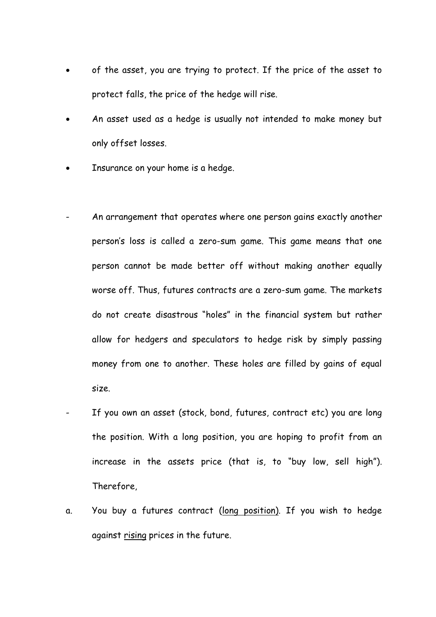- of the asset, you are trying to protect. If the price of the asset to protect falls, the price of the hedge will rise.
- An asset used as a hedge is usually not intended to make money but only offset losses.
- Insurance on your home is a hedge.
- An arrangement that operates where one person gains exactly another person's loss is called a zero-sum game. This game means that one person cannot be made better off without making another equally worse off. Thus, futures contracts are a zero-sum game. The markets do not create disastrous "holes" in the financial system but rather allow for hedgers and speculators to hedge risk by simply passing money from one to another. These holes are filled by gains of equal size.
- If you own an asset (stock, bond, futures, contract etc) you are long the position. With a long position, you are hoping to profit from an increase in the assets price (that is, to "buy low, sell high"). Therefore,
- a. You buy a futures contract (long position). If you wish to hedge against rising prices in the future.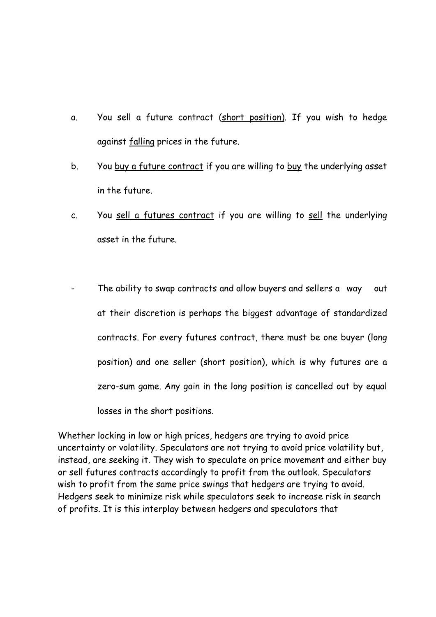- a. You sell a future contract (short position). If you wish to hedge against falling prices in the future.
- b. You buy a future contract if you are willing to buy the underlying asset in the future.
- c. You sell a futures contract if you are willing to sell the underlying asset in the future.
- The ability to swap contracts and allow buyers and sellers a way out at their discretion is perhaps the biggest advantage of standardized contracts. For every futures contract, there must be one buyer (long position) and one seller (short position), which is why futures are a zero-sum game. Any gain in the long position is cancelled out by equal losses in the short positions.

Whether locking in low or high prices, hedgers are trying to avoid price uncertainty or volatility. Speculators are not trying to avoid price volatility but, instead, are seeking it. They wish to speculate on price movement and either buy or sell futures contracts accordingly to profit from the outlook. Speculators wish to profit from the same price swings that hedgers are trying to avoid. Hedgers seek to minimize risk while speculators seek to increase risk in search of profits. It is this interplay between hedgers and speculators that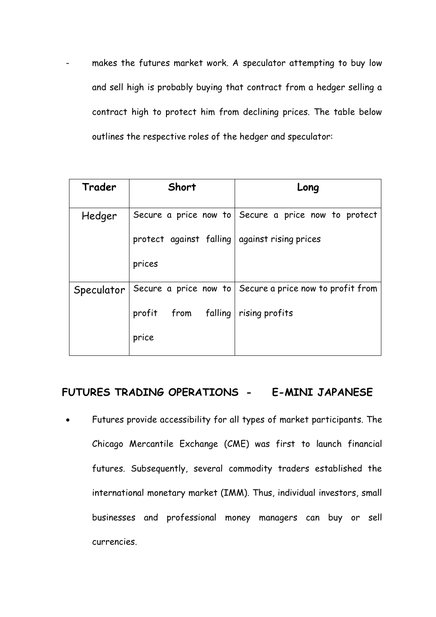makes the futures market work. A speculator attempting to buy low and sell high is probably buying that contract from a hedger selling a contract high to protect him from declining prices. The table below outlines the respective roles of the hedger and speculator:

| Trader     | Short                                           | Long                                                    |
|------------|-------------------------------------------------|---------------------------------------------------------|
| Hedger     |                                                 | Secure a price now to Secure a price now to protect     |
|            | protect against falling   against rising prices |                                                         |
|            | prices                                          |                                                         |
| Speculator |                                                 | Secure a price now to Secure a price now to profit from |
|            | profit from falling rising profits              |                                                         |
|            | price                                           |                                                         |

## **FUTURES TRADING OPERATIONS - E-MINI JAPANESE**

 Futures provide accessibility for all types of market participants. The Chicago Mercantile Exchange (CME) was first to launch financial futures. Subsequently, several commodity traders established the international monetary market (IMM). Thus, individual investors, small businesses and professional money managers can buy or sell currencies.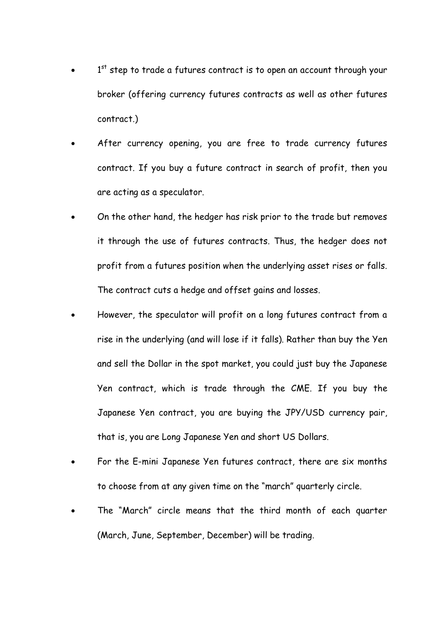- $\bullet$   $1^\text{st}$  step to trade a futures contract is to open an account through your broker (offering currency futures contracts as well as other futures contract.)
- After currency opening, you are free to trade currency futures contract. If you buy a future contract in search of profit, then you are acting as a speculator.
- On the other hand, the hedger has risk prior to the trade but removes it through the use of futures contracts. Thus, the hedger does not profit from a futures position when the underlying asset rises or falls. The contract cuts a hedge and offset gains and losses.
- However, the speculator will profit on a long futures contract from a rise in the underlying (and will lose if it falls). Rather than buy the Yen and sell the Dollar in the spot market, you could just buy the Japanese Yen contract, which is trade through the CME. If you buy the Japanese Yen contract, you are buying the JPY/USD currency pair, that is, you are Long Japanese Yen and short US Dollars.
- For the E-mini Japanese Yen futures contract, there are six months to choose from at any given time on the "march" quarterly circle.
- The "March" circle means that the third month of each quarter (March, June, September, December) will be trading.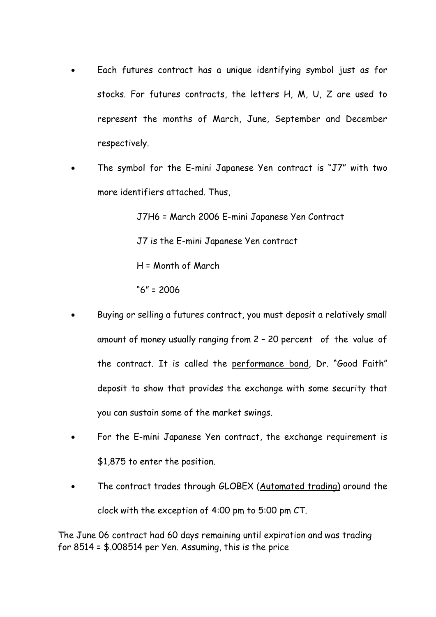- Each futures contract has a unique identifying symbol just as for stocks. For futures contracts, the letters H, M, U, Z are used to represent the months of March, June, September and December respectively.
- The symbol for the E-mini Japanese Yen contract is "J7" with two more identifiers attached. Thus,

J7H6 = March 2006 E-mini Japanese Yen Contract

J7 is the E-mini Japanese Yen contract

H = Month of March

"6" = 2006

- Buying or selling a futures contract, you must deposit a relatively small amount of money usually ranging from 2 – 20 percent of the value of the contract. It is called the performance bond, Dr. "Good Faith" deposit to show that provides the exchange with some security that you can sustain some of the market swings.
- For the E-mini Japanese Yen contract, the exchange requirement is \$1,875 to enter the position.
- The contract trades through GLOBEX (Automated trading) around the clock with the exception of 4:00 pm to 5:00 pm CT.

The June 06 contract had 60 days remaining until expiration and was trading for 8514 = \$.008514 per Yen. Assuming, this is the price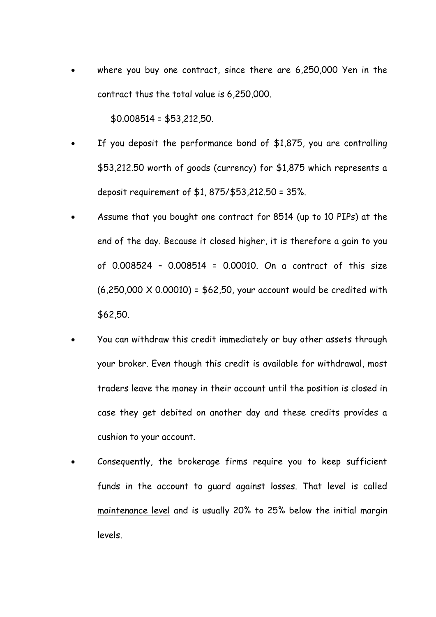where you buy one contract, since there are 6,250,000 Yen in the contract thus the total value is 6,250,000.

\$0.008514 = \$53,212,50.

- If you deposit the performance bond of \$1,875, you are controlling \$53,212.50 worth of goods (currency) for \$1,875 which represents a deposit requirement of \$1, 875/\$53,212.50 = 35%.
- Assume that you bought one contract for 8514 (up to 10 PIPs) at the end of the day. Because it closed higher, it is therefore a gain to you of 0.008524 – 0.008514 = 0.00010. On a contract of this size (6,250,000 X 0.00010) = \$62,50, your account would be credited with \$62,50.
- You can withdraw this credit immediately or buy other assets through your broker. Even though this credit is available for withdrawal, most traders leave the money in their account until the position is closed in case they get debited on another day and these credits provides a cushion to your account.
- Consequently, the brokerage firms require you to keep sufficient funds in the account to guard against losses. That level is called maintenance level and is usually 20% to 25% below the initial margin levels.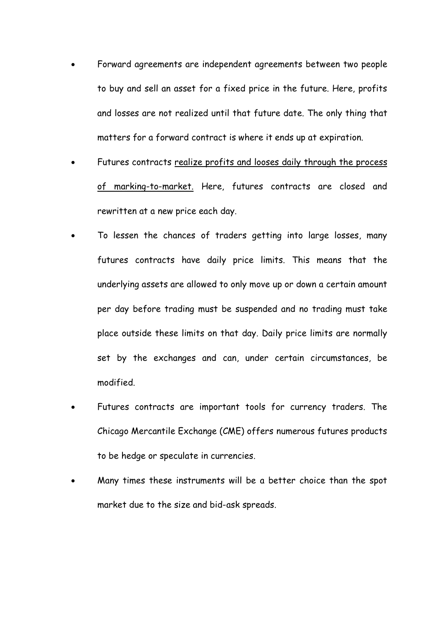- Forward agreements are independent agreements between two people to buy and sell an asset for a fixed price in the future. Here, profits and losses are not realized until that future date. The only thing that matters for a forward contract is where it ends up at expiration.
- Futures contracts realize profits and looses daily through the process of marking-to-market. Here, futures contracts are closed and rewritten at a new price each day.
- To lessen the chances of traders getting into large losses, many futures contracts have daily price limits. This means that the underlying assets are allowed to only move up or down a certain amount per day before trading must be suspended and no trading must take place outside these limits on that day. Daily price limits are normally set by the exchanges and can, under certain circumstances, be modified.
- Futures contracts are important tools for currency traders. The Chicago Mercantile Exchange (CME) offers numerous futures products to be hedge or speculate in currencies.
- Many times these instruments will be a better choice than the spot market due to the size and bid-ask spreads.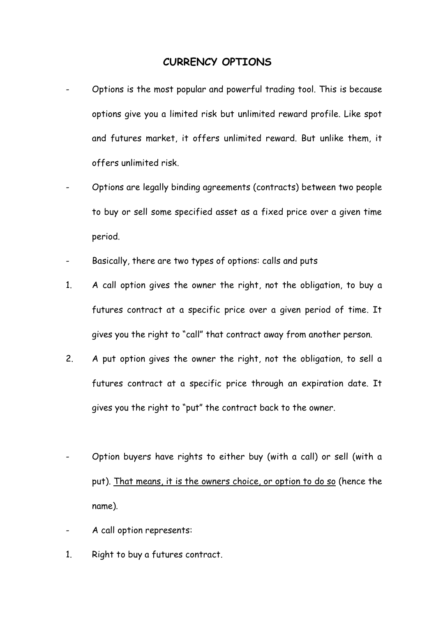#### **CURRENCY OPTIONS**

- Options is the most popular and powerful trading tool. This is because options give you a limited risk but unlimited reward profile. Like spot and futures market, it offers unlimited reward. But unlike them, it offers unlimited risk.
- Options are legally binding agreements (contracts) between two people to buy or sell some specified asset as a fixed price over a given time period.
- Basically, there are two types of options: calls and puts
- 1. A call option gives the owner the right, not the obligation, to buy a futures contract at a specific price over a given period of time. It gives you the right to "call" that contract away from another person.
- 2. A put option gives the owner the right, not the obligation, to sell a futures contract at a specific price through an expiration date. It gives you the right to "put" the contract back to the owner.
- Option buyers have rights to either buy (with a call) or sell (with a put). That means, it is the owners choice, or option to do so (hence the name).
- A call option represents:
- 1. Right to buy a futures contract.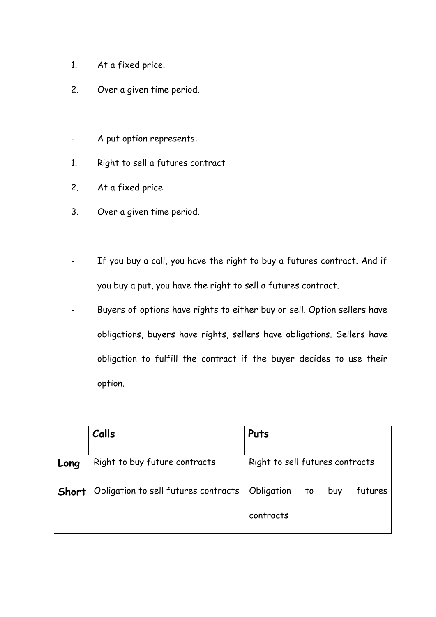- 1. At a fixed price.
- 2. Over a given time period.
- A put option represents:
- 1. Right to sell a futures contract
- 2. At a fixed price.
- 3. Over a given time period.
- If you buy a call, you have the right to buy a futures contract. And if you buy a put, you have the right to sell a futures contract.
- Buyers of options have rights to either buy or sell. Option sellers have obligations, buyers have rights, sellers have obligations. Sellers have obligation to fulfill the contract if the buyer decides to use their option.

|       | Calls                                | Puts                               |
|-------|--------------------------------------|------------------------------------|
| Long  | Right to buy future contracts        | Right to sell futures contracts    |
| Short | Obligation to sell futures contracts | Obligation<br>futures<br>to<br>buy |
|       |                                      | contracts                          |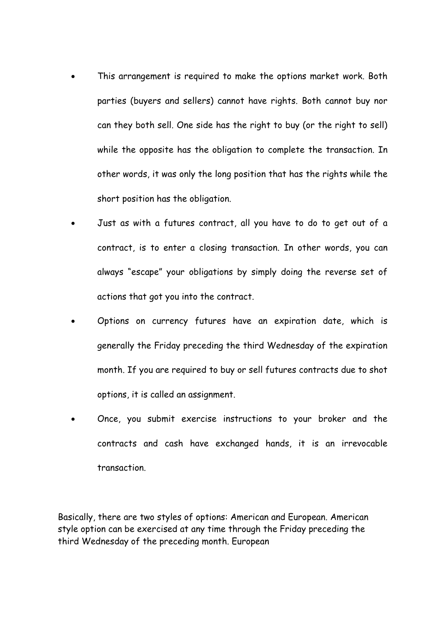- This arrangement is required to make the options market work. Both parties (buyers and sellers) cannot have rights. Both cannot buy nor can they both sell. One side has the right to buy (or the right to sell) while the opposite has the obligation to complete the transaction. In other words, it was only the long position that has the rights while the short position has the obligation.
- Just as with a futures contract, all you have to do to get out of a contract, is to enter a closing transaction. In other words, you can always "escape" your obligations by simply doing the reverse set of actions that got you into the contract.
- Options on currency futures have an expiration date, which is generally the Friday preceding the third Wednesday of the expiration month. If you are required to buy or sell futures contracts due to shot options, it is called an assignment.
- Once, you submit exercise instructions to your broker and the contracts and cash have exchanged hands, it is an irrevocable transaction.

Basically, there are two styles of options: American and European. American style option can be exercised at any time through the Friday preceding the third Wednesday of the preceding month. European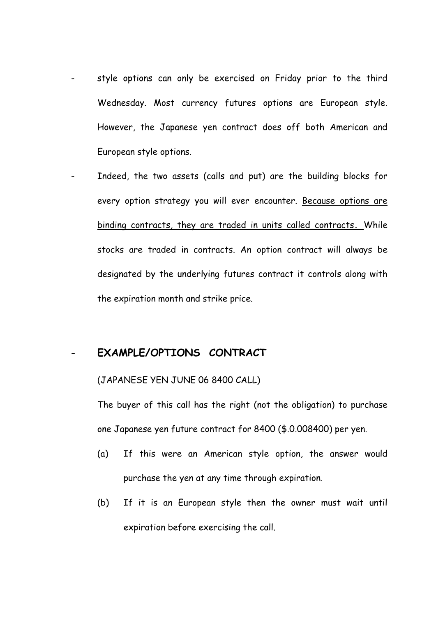- style options can only be exercised on Friday prior to the third Wednesday. Most currency futures options are European style. However, the Japanese yen contract does off both American and European style options.
- Indeed, the two assets (calls and put) are the building blocks for every option strategy you will ever encounter. Because options are binding contracts, they are traded in units called contracts**.** While stocks are traded in contracts. An option contract will always be designated by the underlying futures contract it controls along with the expiration month and strike price.

### - **EXAMPLE/OPTIONS CONTRACT**

### (JAPANESE YEN JUNE 06 8400 CALL)

The buyer of this call has the right (not the obligation) to purchase one Japanese yen future contract for 8400 (\$.0.008400) per yen.

- (a) If this were an American style option, the answer would purchase the yen at any time through expiration.
- (b) If it is an European style then the owner must wait until expiration before exercising the call.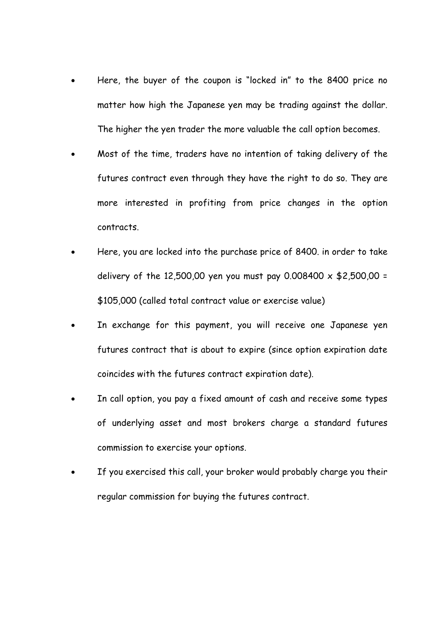- Here, the buyer of the coupon is "locked in" to the 8400 price no matter how high the Japanese yen may be trading against the dollar. The higher the yen trader the more valuable the call option becomes.
- Most of the time, traders have no intention of taking delivery of the futures contract even through they have the right to do so. They are more interested in profiting from price changes in the option contracts.
- Here, you are locked into the purchase price of 8400. in order to take delivery of the 12,500,00 yen you must pay 0.008400  $\times$  \$2,500,00 = \$105,000 (called total contract value or exercise value)
- In exchange for this payment, you will receive one Japanese yen futures contract that is about to expire (since option expiration date coincides with the futures contract expiration date).
- In call option, you pay a fixed amount of cash and receive some types of underlying asset and most brokers charge a standard futures commission to exercise your options.
- If you exercised this call, your broker would probably charge you their regular commission for buying the futures contract.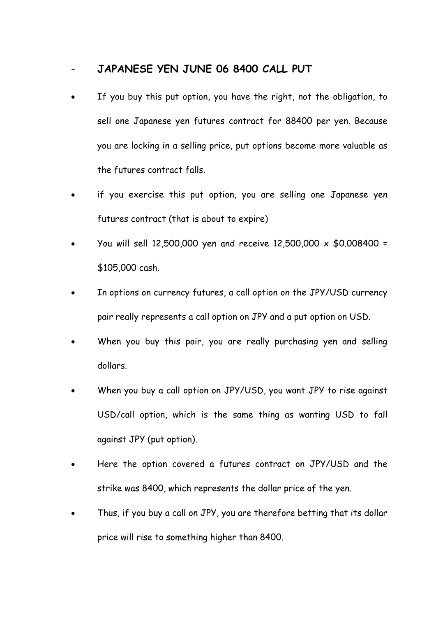## - **JAPANESE YEN JUNE 06 8400 CALL PUT**

- If you buy this put option, you have the right, not the obligation, to sell one Japanese yen futures contract for 88400 per yen. Because you are locking in a selling price, put options become more valuable as the futures contract falls.
- if you exercise this put option, you are selling one Japanese yen futures contract (that is about to expire)
- You will sell 12,500,000 yen and receive 12,500,000  $\times$  \$0.008400 = \$105,000 cash.
- In options on currency futures, a call option on the JPY/USD currency pair really represents a call option on JPY and a put option on USD.
- When you buy this pair, you are really purchasing yen and selling dollars.
- When you buy a call option on JPY/USD, you want JPY to rise against USD/call option, which is the same thing as wanting USD to fall against JPY (put option).
- Here the option covered a futures contract on JPY/USD and the strike was 8400, which represents the dollar price of the yen.
- Thus, if you buy a call on JPY, you are therefore betting that its dollar price will rise to something higher than 8400.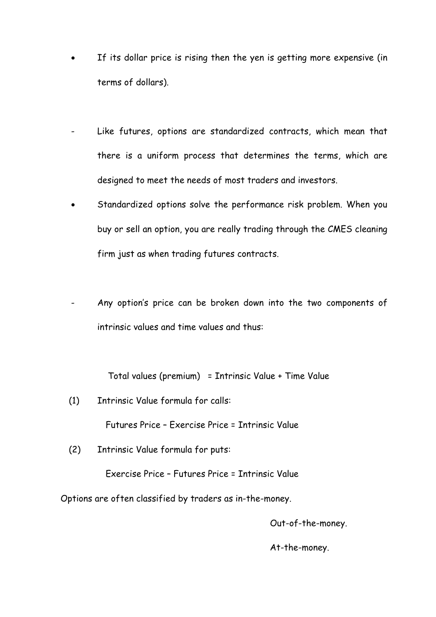- If its dollar price is rising then the yen is getting more expensive (in terms of dollars).
- Like futures, options are standardized contracts, which mean that there is a uniform process that determines the terms, which are designed to meet the needs of most traders and investors.
- Standardized options solve the performance risk problem. When you buy or sell an option, you are really trading through the CMES cleaning firm just as when trading futures contracts.
- Any option's price can be broken down into the two components of intrinsic values and time values and thus:

Total values (premium) = Intrinsic Value + Time Value

(1) Intrinsic Value formula for calls:

Futures Price – Exercise Price = Intrinsic Value

(2) Intrinsic Value formula for puts:

Exercise Price – Futures Price = Intrinsic Value

Options are often classified by traders as in-the-money.

Out-of-the-money.

At-the-money.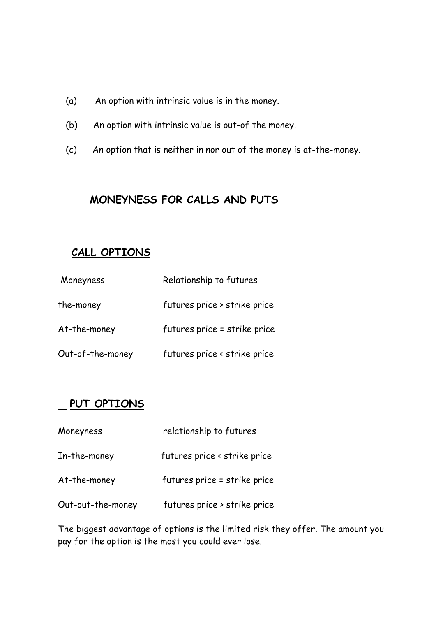- (a) An option with intrinsic value is in the money.
- (b) An option with intrinsic value is out-of the money.
- (c) An option that is neither in nor out of the money is at-the-money.

# **MONEYNESS FOR CALLS AND PUTS**

# **CALL OPTIONS**

| Moneyness        | Relationship to futures      |
|------------------|------------------------------|
| the-money        | futures price > strike price |
| At-the-money     | futures price = strike price |
| Out-of-the-money | futures price < strike price |

## **PUT OPTIONS**

| Moneyness         | relationship to futures      |
|-------------------|------------------------------|
| In-the-money      | futures price < strike price |
| At-the-money      | futures price = strike price |
| Out-out-the-money | futures price > strike price |

The biggest advantage of options is the limited risk they offer. The amount you pay for the option is the most you could ever lose.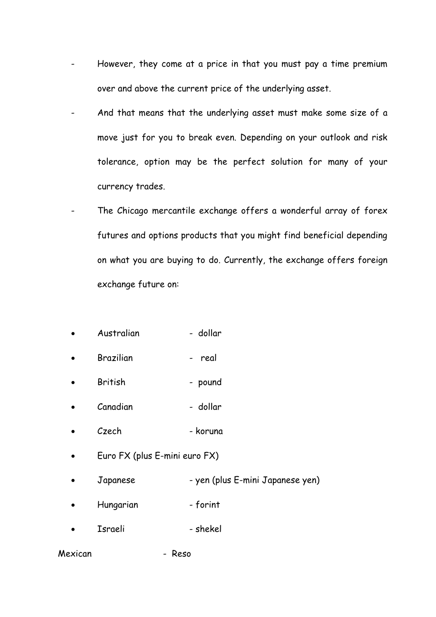- However, they come at a price in that you must pay a time premium over and above the current price of the underlying asset.
- And that means that the underlying asset must make some size of a move just for you to break even. Depending on your outlook and risk tolerance, option may be the perfect solution for many of your currency trades.
- The Chicago mercantile exchange offers a wonderful array of forex futures and options products that you might find beneficial depending on what you are buying to do. Currently, the exchange offers foreign exchange future on:
- Australian dollar
- Brazilian real
- British pound
- Canadian dollar
- Czech koruna
- Euro FX (plus E-mini euro FX)
- Japanese yen (plus E-mini Japanese yen)
- Hungarian forint
- Israeli shekel

### Mexican - Reso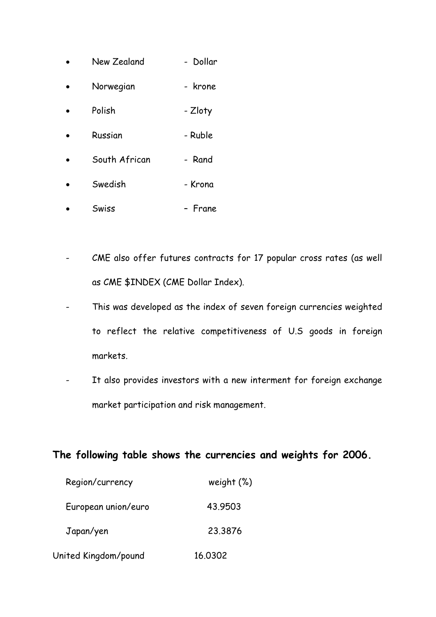- New Zealand Dollar
- Norwegian krone
- Polish Zloty
- Russian Ruble
- South African Rand
- Swedish Krona
- Swiss Frane
- CME also offer futures contracts for 17 popular cross rates (as well as CME \$INDEX (CME Dollar Index).
- This was developed as the index of seven foreign currencies weighted to reflect the relative competitiveness of U.S goods in foreign markets.
- It also provides investors with a new interment for foreign exchange market participation and risk management.

## **The following table shows the currencies and weights for 2006.**

| Region/currency      | weight $(\%)$ |
|----------------------|---------------|
| European union/euro  | 43.9503       |
| Japan/yen            | 23.3876       |
| United Kingdom/pound | 16.0302       |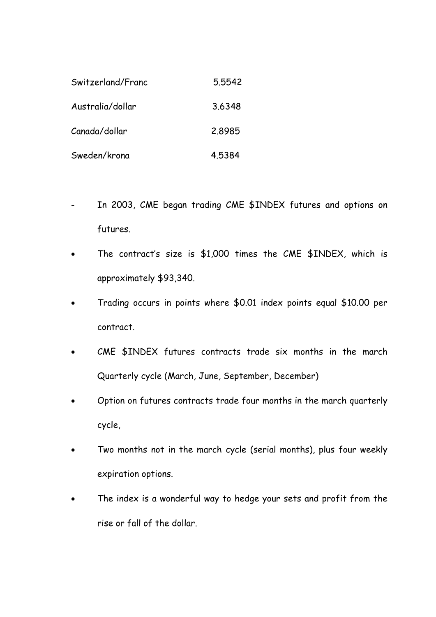| Switzerland/Franc | 5.5542 |
|-------------------|--------|
| Australia/dollar  | 3.6348 |
| Canada/dollar     | 2.8985 |
| Sweden/krona      | 4.5384 |

- In 2003, CME began trading CME \$INDEX futures and options on futures.
- The contract's size is \$1,000 times the CME \$INDEX, which is approximately \$93,340.
- Trading occurs in points where \$0.01 index points equal \$10.00 per contract.
- CME \$INDEX futures contracts trade six months in the march Quarterly cycle (March, June, September, December)
- Option on futures contracts trade four months in the march quarterly cycle,
- Two months not in the march cycle (serial months), plus four weekly expiration options.
- The index is a wonderful way to hedge your sets and profit from the rise or fall of the dollar.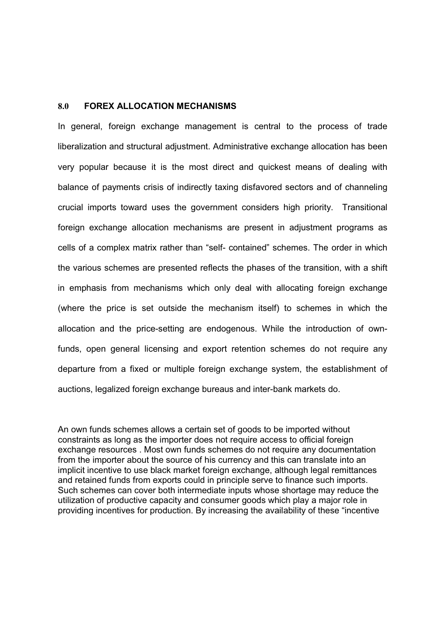### **8.0 FOREX ALLOCATION MECHANISMS**

In general, foreign exchange management is central to the process of trade liberalization and structural adjustment. Administrative exchange allocation has been very popular because it is the most direct and quickest means of dealing with balance of payments crisis of indirectly taxing disfavored sectors and of channeling crucial imports toward uses the government considers high priority. Transitional foreign exchange allocation mechanisms are present in adjustment programs as cells of a complex matrix rather than "self- contained" schemes. The order in which the various schemes are presented reflects the phases of the transition, with a shift in emphasis from mechanisms which only deal with allocating foreign exchange (where the price is set outside the mechanism itself) to schemes in which the allocation and the price-setting are endogenous. While the introduction of ownfunds, open general licensing and export retention schemes do not require any departure from a fixed or multiple foreign exchange system, the establishment of auctions, legalized foreign exchange bureaus and inter-bank markets do.

An own funds schemes allows a certain set of goods to be imported without constraints as long as the importer does not require access to official foreign exchange resources . Most own funds schemes do not require any documentation from the importer about the source of his currency and this can translate into an implicit incentive to use black market foreign exchange, although legal remittances and retained funds from exports could in principle serve to finance such imports. Such schemes can cover both intermediate inputs whose shortage may reduce the utilization of productive capacity and consumer goods which play a major role in providing incentives for production. By increasing the availability of these "incentive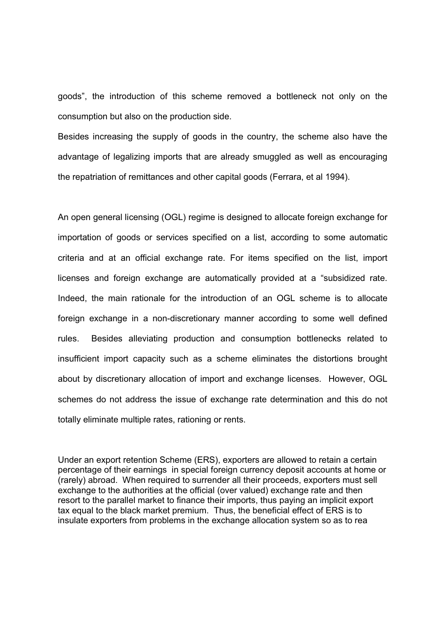goods", the introduction of this scheme removed a bottleneck not only on the consumption but also on the production side.

Besides increasing the supply of goods in the country, the scheme also have the advantage of legalizing imports that are already smuggled as well as encouraging the repatriation of remittances and other capital goods (Ferrara, et al 1994).

An open general licensing (OGL) regime is designed to allocate foreign exchange for importation of goods or services specified on a list, according to some automatic criteria and at an official exchange rate. For items specified on the list, import licenses and foreign exchange are automatically provided at a "subsidized rate. Indeed, the main rationale for the introduction of an OGL scheme is to allocate foreign exchange in a non-discretionary manner according to some well defined rules. Besides alleviating production and consumption bottlenecks related to insufficient import capacity such as a scheme eliminates the distortions brought about by discretionary allocation of import and exchange licenses. However, OGL schemes do not address the issue of exchange rate determination and this do not totally eliminate multiple rates, rationing or rents.

Under an export retention Scheme (ERS), exporters are allowed to retain a certain percentage of their earnings in special foreign currency deposit accounts at home or (rarely) abroad. When required to surrender all their proceeds, exporters must sell exchange to the authorities at the official (over valued) exchange rate and then resort to the parallel market to finance their imports, thus paying an implicit export tax equal to the black market premium. Thus, the beneficial effect of ERS is to insulate exporters from problems in the exchange allocation system so as to rea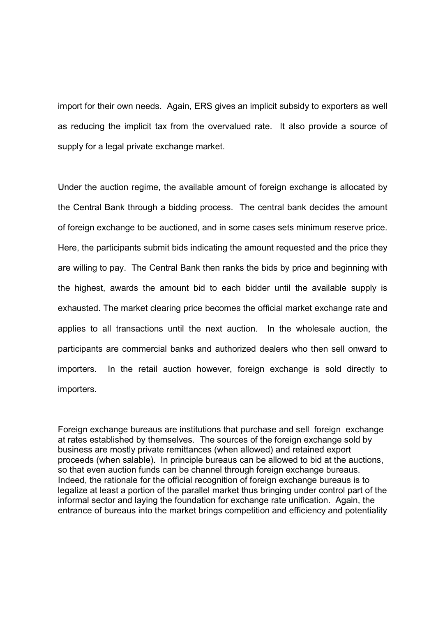import for their own needs. Again, ERS gives an implicit subsidy to exporters as well as reducing the implicit tax from the overvalued rate. It also provide a source of supply for a legal private exchange market.

Under the auction regime, the available amount of foreign exchange is allocated by the Central Bank through a bidding process. The central bank decides the amount of foreign exchange to be auctioned, and in some cases sets minimum reserve price. Here, the participants submit bids indicating the amount requested and the price they are willing to pay. The Central Bank then ranks the bids by price and beginning with the highest, awards the amount bid to each bidder until the available supply is exhausted. The market clearing price becomes the official market exchange rate and applies to all transactions until the next auction. In the wholesale auction, the participants are commercial banks and authorized dealers who then sell onward to importers. In the retail auction however, foreign exchange is sold directly to importers.

Foreign exchange bureaus are institutions that purchase and sell foreign exchange at rates established by themselves. The sources of the foreign exchange sold by business are mostly private remittances (when allowed) and retained export proceeds (when salable). In principle bureaus can be allowed to bid at the auctions, so that even auction funds can be channel through foreign exchange bureaus. Indeed, the rationale for the official recognition of foreign exchange bureaus is to legalize at least a portion of the parallel market thus bringing under control part of the informal sector and laying the foundation for exchange rate unification. Again, the entrance of bureaus into the market brings competition and efficiency and potentiality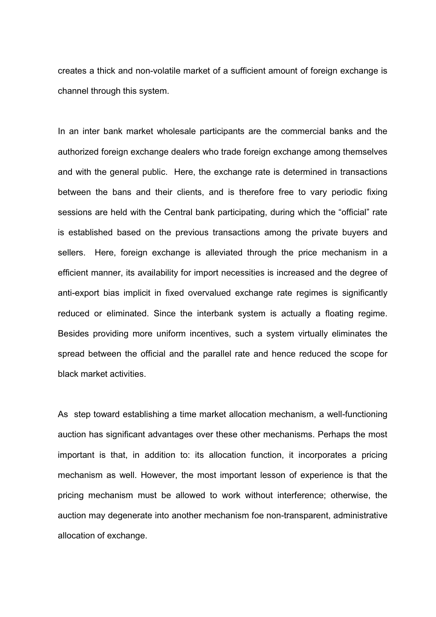creates a thick and non-volatile market of a sufficient amount of foreign exchange is channel through this system.

In an inter bank market wholesale participants are the commercial banks and the authorized foreign exchange dealers who trade foreign exchange among themselves and with the general public. Here, the exchange rate is determined in transactions between the bans and their clients, and is therefore free to vary periodic fixing sessions are held with the Central bank participating, during which the "official" rate is established based on the previous transactions among the private buyers and sellers. Here, foreign exchange is alleviated through the price mechanism in a efficient manner, its availability for import necessities is increased and the degree of anti-export bias implicit in fixed overvalued exchange rate regimes is significantly reduced or eliminated. Since the interbank system is actually a floating regime. Besides providing more uniform incentives, such a system virtually eliminates the spread between the official and the parallel rate and hence reduced the scope for black market activities.

As step toward establishing a time market allocation mechanism, a well-functioning auction has significant advantages over these other mechanisms. Perhaps the most important is that, in addition to: its allocation function, it incorporates a pricing mechanism as well. However, the most important lesson of experience is that the pricing mechanism must be allowed to work without interference; otherwise, the auction may degenerate into another mechanism foe non-transparent, administrative allocation of exchange.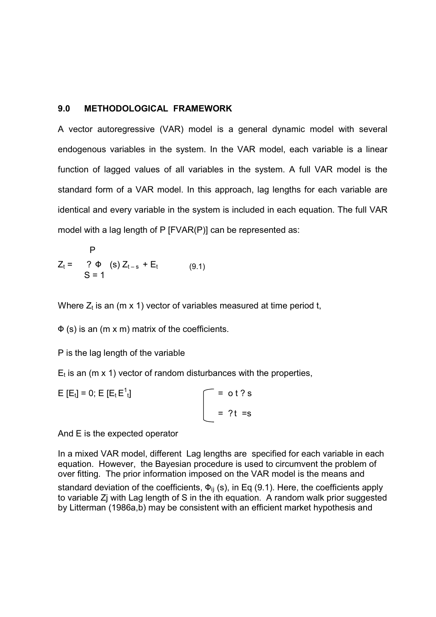### **9.0 METHODOLOGICAL FRAMEWORK**

A vector autoregressive (VAR) model is a general dynamic model with several endogenous variables in the system. In the VAR model, each variable is a linear function of lagged values of all variables in the system. A full VAR model is the standard form of a VAR model. In this approach, lag lengths for each variable are identical and every variable in the system is included in each equation. The full VAR model with a lag length of P [FVAR(P)] can be represented as:

$$
Z_{t} = \begin{cases} P \\ ? & \Phi \\ S = 1 \end{cases} \quad (s) \, Z_{t-s} + E_{t} \tag{9.1}
$$

Where  $\mathsf{Z}_\mathsf{t}$  is an (m x 1) vector of variables measured at time period t,

 $\Phi$  (s) is an (m x m) matrix of the coefficients.

P is the lag length of the variable

 $E_t$  is an (m x 1) vector of random disturbances with the properties,

E [E<sub>t</sub>] = 0; E [E<sub>t</sub> E<sup>1</sup>  $t_{\rm d}$  = ot ? s  $= ?t = s$ 

And E is the expected operator

In a mixed VAR model, different Lag lengths are specified for each variable in each equation. However, the Bayesian procedure is used to circumvent the problem of over fitting. The prior information imposed on the VAR model is the means and

standard deviation of the coefficients,  $\Phi_{ii}$  (s), in Eq (9.1). Here, the coefficients apply to variable Zj with Lag length of S in the ith equation. A random walk prior suggested by Litterman (1986a,b) may be consistent with an efficient market hypothesis and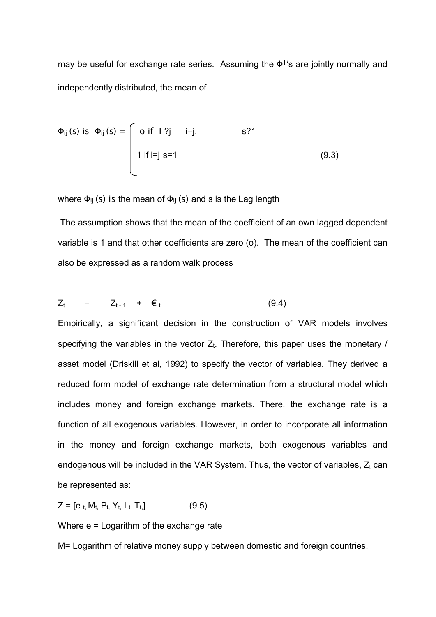may be useful for exchange rate series. Assuming the  $\Phi$ <sup>1</sup>'s are jointly normally and independently distributed, the mean of

$$
\Phi_{ij}(s) \text{ is } \Phi_{ij}(s) = \begin{bmatrix} 0 & \text{if } 1 \text{ ?j} & \text{ i = j,} \\ 1 & \text{if } i = j \text{ s = 1} \end{bmatrix}, \quad s \text{ ?1}
$$
\n(9.3)

where  $\Phi_{ij}$  (s) is the mean of  $\Phi_{ij}$  (s) and s is the Lag length

 The assumption shows that the mean of the coefficient of an own lagged dependent variable is 1 and that other coefficients are zero (o). The mean of the coefficient can also be expressed as a random walk process

$$
Z_t = Z_{t-1} + \varepsilon_t \qquad (9.4)
$$

Empirically, a significant decision in the construction of VAR models involves specifying the variables in the vector  $Z_t$ . Therefore, this paper uses the monetary / asset model (Driskill et al, 1992) to specify the vector of variables. They derived a reduced form model of exchange rate determination from a structural model which includes money and foreign exchange markets. There, the exchange rate is a function of all exogenous variables. However, in order to incorporate all information in the money and foreign exchange markets, both exogenous variables and endogenous will be included in the VAR System. Thus, the vector of variables,  $Z_t$  can be represented as:

 $Z = [e_t, M_t, P_t, Y_t, I_t, T_t]$  (9.5)

Where e = Logarithm of the exchange rate

M= Logarithm of relative money supply between domestic and foreign countries.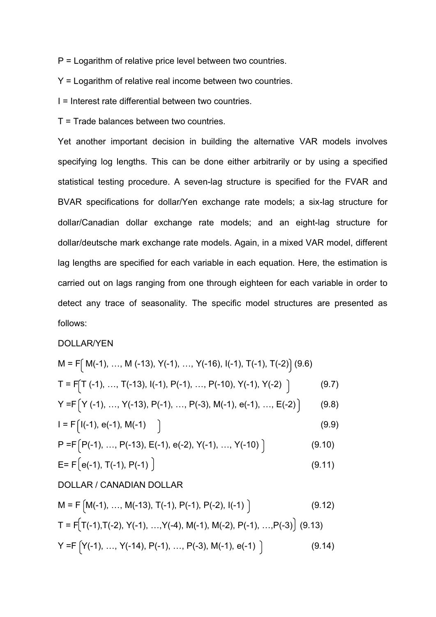P = Logarithm of relative price level between two countries.

Y = Logarithm of relative real income between two countries.

I = Interest rate differential between two countries.

T = Trade balances between two countries.

Yet another important decision in building the alternative VAR models involves specifying log lengths. This can be done either arbitrarily or by using a specified statistical testing procedure. A seven-lag structure is specified for the FVAR and BVAR specifications for dollar/Yen exchange rate models; a six-lag structure for dollar/Canadian dollar exchange rate models; and an eight-lag structure for dollar/deutsche mark exchange rate models. Again, in a mixed VAR model, different lag lengths are specified for each variable in each equation. Here, the estimation is carried out on lags ranging from one through eighteen for each variable in order to detect any trace of seasonality. The specific model structures are presented as follows:

### DOLLAR/YEN

$$
M = F[M(-1), ..., M(-13), Y(-1), ..., Y(-16), I(-1), T(-1), T(-2)] (9.6)
$$
  
\n
$$
T = F[T(-1), ..., T(-13), I(-1), P(-1), ..., P(-10), Y(-1), Y(-2)]
$$
(9.7)  
\n
$$
Y = F[Y(-1), ..., Y(-13), P(-1), ..., P(-3), M(-1), e(-1), ..., E(-2)]
$$
(9.8)

$$
I = F\left(I(-1), e(-1), M(-1)\right)
$$
 (9.9)

$$
P = F\Big(P(-1), \ldots, P(-13), E(-1), e(-2), Y(-1), \ldots, Y(-10)\Big) \tag{9.10}
$$

$$
E = F[e(-1), T(-1), P(-1)] \tag{9.11}
$$

DOLLAR / CANADIAN DOLLAR

$$
M = F\left(M(-1), ..., M(-13), T(-1), P(-1), P(-2), I(-1)\right)
$$
\n(9.12)

$$
T = F[T(-1), T(-2), Y(-1), ..., Y(-4), M(-1), M(-2), P(-1), ..., P(-3)]
$$
 (9.13)  
Y = F [Y(-1), ..., Y(-14), P(-1), ..., P(-3), M(-1), e(-1)] (9.14)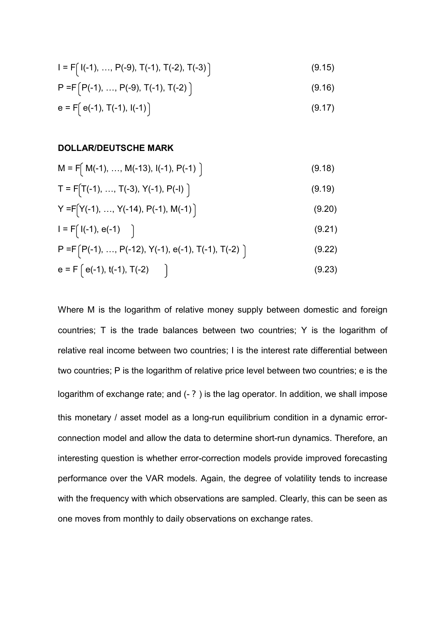$$
I = F[1(-1), ..., P(-9), T(-1), T(-2), T(-3)]
$$
\n
$$
P = F[P(-1), ..., P(-9), T(-1), T(-2)]
$$
\n
$$
e = F[e(-1), T(-1), I(-1)]
$$
\n(9.16)

### **DOLLAR/DEUTSCHE MARK**

$$
M = F[M(-1), ..., M(-13), I(-1), P(-1)]
$$
 (9.18)

$$
T = F[T(-1), ..., T(-3), Y(-1), P(-1)]
$$
\n(9.19)

$$
Y = F[Y(-1), ..., Y(-14), P(-1), M(-1)]
$$
\n(9.20)

$$
I = F[1(-1), e(-1)] \tag{9.21}
$$

$$
P = F[P(-1), ..., P(-12), Y(-1), e(-1), T(-1), T(-2)]
$$
\n
$$
e = F[e(-1), t(-1), T(-2)]
$$
\n(9.22)\n(9.23)

Where M is the logarithm of relative money supply between domestic and foreign countries; T is the trade balances between two countries; Y is the logarithm of relative real income between two countries; I is the interest rate differential between two countries; P is the logarithm of relative price level between two countries; e is the logarithm of exchange rate; and 
$$
(-?)
$$
 is the lag operator. In addition, we shall impose this monetary / asset model as a long-run equilibrium condition in a dynamic error-connection model and allow the data to determine short-run dynamics. Therefore, an

ection model and allow the data to determine short-run dynamics. Therefore, an interesting question is whether error-correction models provide improved forecasting performance over the VAR models. Again, the degree of volatility tends to increase with the frequency with which observations are sampled. Clearly, this can be seen as one moves from monthly to daily observations on exchange rates.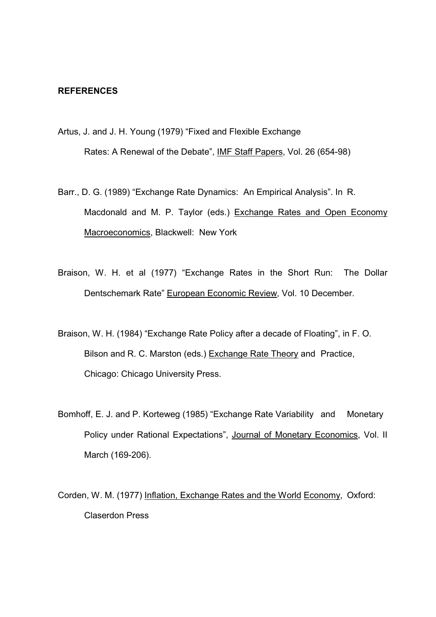### **REFERENCES**

- Artus, J. and J. H. Young (1979) "Fixed and Flexible Exchange Rates: A Renewal of the Debate", IMF Staff Papers, Vol. 26 (654-98)
- Barr., D. G. (1989) "Exchange Rate Dynamics: An Empirical Analysis". In R. Macdonald and M. P. Taylor (eds.) Exchange Rates and Open Economy Macroeconomics, Blackwell: New York
- Braison, W. H. et al (1977) "Exchange Rates in the Short Run: The Dollar Dentschemark Rate" European Economic Review, Vol. 10 December.
- Braison, W. H. (1984) "Exchange Rate Policy after a decade of Floating", in F. O. Bilson and R. C. Marston (eds.) Exchange Rate Theory and Practice, Chicago: Chicago University Press.
- Bomhoff, E. J. and P. Korteweg (1985) "Exchange Rate Variability and Monetary Policy under Rational Expectations", Journal of Monetary Economics, Vol. II March (169-206).
- Corden, W. M. (1977) Inflation, Exchange Rates and the World Economy, Oxford: Claserdon Press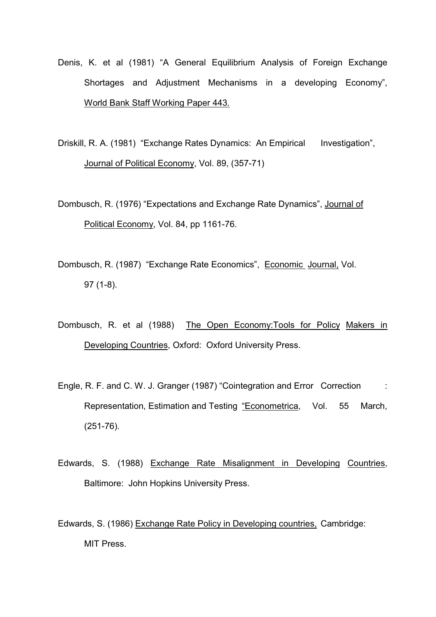- Denis, K. et al (1981) "A General Equilibrium Analysis of Foreign Exchange Shortages and Adjustment Mechanisms in a developing Economy", World Bank Staff Working Paper 443.
- Driskill, R. A. (1981) "Exchange Rates Dynamics: An Empirical Investigation", Journal of Political Economy, Vol. 89, (357-71)
- Dombusch, R. (1976) "Expectations and Exchange Rate Dynamics", Journal of Political Economy, Vol. 84, pp 1161-76.
- Dombusch, R. (1987) "Exchange Rate Economics", Economic Journal, Vol. 97 (1-8).
- Dombusch, R. et al (1988) The Open Economy:Tools for Policy Makers in Developing Countries, Oxford: Oxford University Press.
- Engle, R. F. and C. W. J. Granger (1987) "Cointegration and Error Correction : Representation, Estimation and Testing "Econometrica, Vol. 55 March, (251-76).
- Edwards, S. (1988) Exchange Rate Misalignment in Developing Countries, Baltimore: John Hopkins University Press.
- Edwards, S. (1986) Exchange Rate Policy in Developing countries, Cambridge: MIT Press.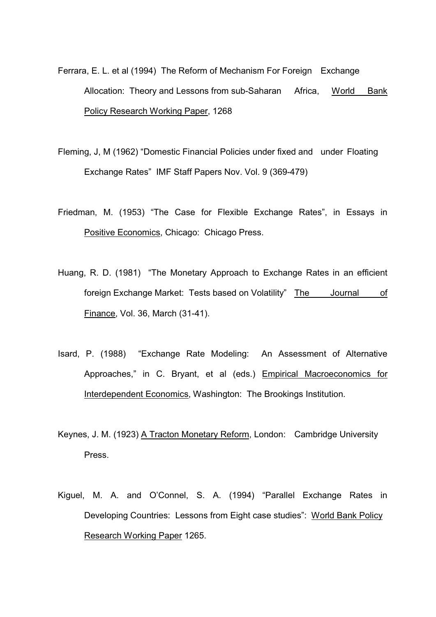- Ferrara, E. L. et al (1994) The Reform of Mechanism For Foreign Exchange Allocation: Theory and Lessons from sub-Saharan Africa, World Bank Policy Research Working Paper, 1268
- Fleming, J, M (1962) "Domestic Financial Policies under fixed and under Floating Exchange Rates" IMF Staff Papers Nov. Vol. 9 (369-479)
- Friedman, M. (1953) "The Case for Flexible Exchange Rates", in Essays in Positive Economics, Chicago: Chicago Press.
- Huang, R. D. (1981) "The Monetary Approach to Exchange Rates in an efficient foreign Exchange Market: Tests based on Volatility" The Journal of Finance, Vol. 36, March (31-41).
- Isard, P. (1988) "Exchange Rate Modeling: An Assessment of Alternative Approaches," in C. Bryant, et al (eds.) Empirical Macroeconomics for Interdependent Economics, Washington: The Brookings Institution.
- Keynes, J. M. (1923) A Tracton Monetary Reform, London: Cambridge University Press.
- Kiguel, M. A. and O'Connel, S. A. (1994) "Parallel Exchange Rates in Developing Countries: Lessons from Eight case studies": World Bank Policy Research Working Paper 1265.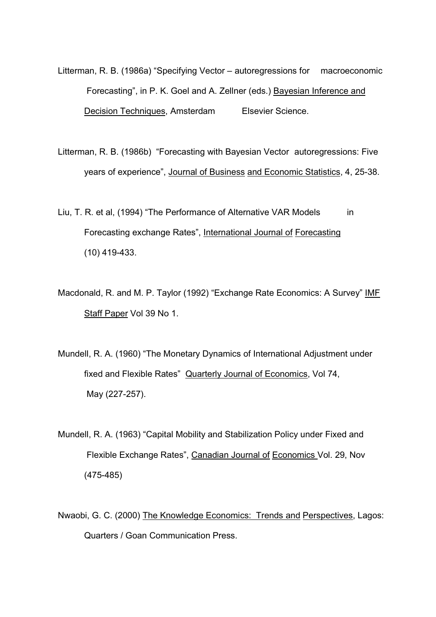Litterman, R. B. (1986a) "Specifying Vector – autoregressions for macroeconomic Forecasting", in P. K. Goel and A. Zellner (eds.) Bayesian Inference and Decision Techniques, Amsterdam Elsevier Science.

Litterman, R. B. (1986b) "Forecasting with Bayesian Vector autoregressions: Five years of experience", Journal of Business and Economic Statistics, 4, 25-38.

Liu, T. R. et al. (1994) "The Performance of Alternative VAR Models in Forecasting exchange Rates", International Journal of Forecasting (10) 419-433.

Macdonald, R. and M. P. Taylor (1992) "Exchange Rate Economics: A Survey" IMF Staff Paper Vol 39 No 1.

Mundell, R. A. (1960) "The Monetary Dynamics of International Adjustment under fixed and Flexible Rates" Quarterly Journal of Economics, Vol 74, May (227-257).

- Mundell, R. A. (1963) "Capital Mobility and Stabilization Policy under Fixed and Flexible Exchange Rates", Canadian Journal of Economics Vol. 29, Nov (475-485)
- Nwaobi, G. C. (2000) The Knowledge Economics: Trends and Perspectives, Lagos: Quarters / Goan Communication Press.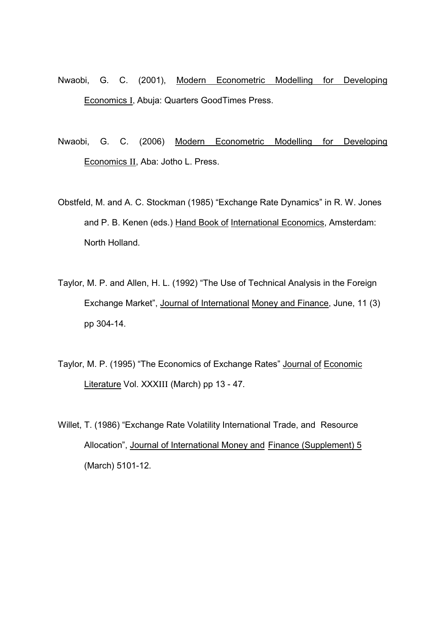- Nwaobi, G. C. (2001), Modern Econometric Modelling for Developing Economics I, Abuja: Quarters GoodTimes Press.
- Nwaobi, G. C. (2006) Modern Econometric Modelling for Developing Economics II, Aba: Jotho L. Press.
- Obstfeld, M. and A. C. Stockman (1985) "Exchange Rate Dynamics" in R. W. Jones and P. B. Kenen (eds.) Hand Book of International Economics, Amsterdam: North Holland.
- Taylor, M. P. and Allen, H. L. (1992) "The Use of Technical Analysis in the Foreign Exchange Market", Journal of International Money and Finance, June, 11 (3) pp 304-14.
- Taylor, M. P. (1995) "The Economics of Exchange Rates" Journal of Economic Literature Vol. XXXIII (March) pp 13 - 47.
- Willet, T. (1986) "Exchange Rate Volatility International Trade, and Resource Allocation", Journal of International Money and Finance (Supplement) 5 (March) 5101-12.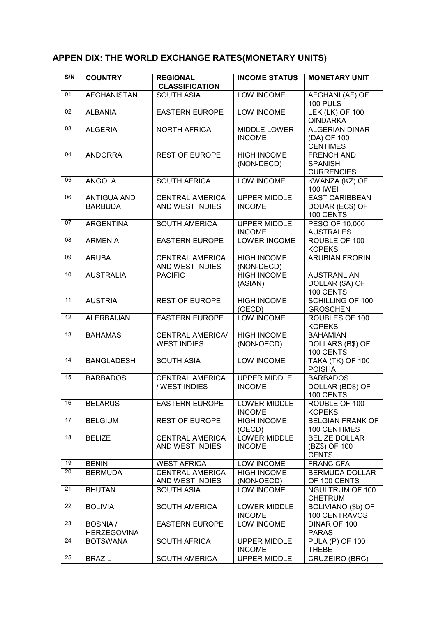# **APPEN DIX: THE WORLD EXCHANGE RATES(MONETARY UNITS)**

| S/N             | <b>COUNTRY</b>                       | <b>REGIONAL</b><br><b>CLASSIFICATION</b>      | <b>INCOME STATUS</b>                 | <b>MONETARY UNIT</b>                                     |
|-----------------|--------------------------------------|-----------------------------------------------|--------------------------------------|----------------------------------------------------------|
| 01              | <b>AFGHANISTAN</b>                   | <b>SOUTH ASIA</b>                             | <b>LOW INCOME</b>                    | AFGHANI (AF) OF<br><b>100 PULS</b>                       |
| 02              | <b>ALBANIA</b>                       | <b>EASTERN EUROPE</b>                         | <b>LOW INCOME</b>                    | <b>LEK (LK) OF 100</b><br><b>QINDARKA</b>                |
| 03              | <b>ALGERIA</b>                       | <b>NORTH AFRICA</b>                           | <b>MIDDLE LOWER</b><br><b>INCOME</b> | <b>ALGERIAN DINAR</b><br>(DA) OF 100<br><b>CENTIMES</b>  |
| 04              | <b>ANDORRA</b>                       | <b>REST OF EUROPE</b>                         | <b>HIGH INCOME</b><br>(NON-DECD)     | <b>FRENCH AND</b><br><b>SPANISH</b><br><b>CURRENCIES</b> |
| 05              | <b>ANGOLA</b>                        | <b>SOUTH AFRICA</b>                           | <b>LOW INCOME</b>                    | KWANZA (KZ) OF<br><b>100 IWEI</b>                        |
| 06              | <b>ANTIGUA AND</b><br><b>BARBUDA</b> | <b>CENTRAL AMERICA</b><br>AND WEST INDIES     | <b>UPPER MIDDLE</b><br><b>INCOME</b> | <b>EAST CARIBBEAN</b><br>DOUAR (EC\$) OF<br>100 CENTS    |
| 07              | <b>ARGENTINA</b>                     | <b>SOUTH AMERICA</b>                          | <b>UPPER MIDDLE</b><br><b>INCOME</b> | PESO OF 10,000<br><b>AUSTRALES</b>                       |
| 08              | <b>ARMENIA</b>                       | <b>EASTERN EUROPE</b>                         | <b>LOWER INCOME</b>                  | ROUBLE OF 100<br><b>KOPEKS</b>                           |
| 09              | <b>ARUBA</b>                         | <b>CENTRAL AMERICA</b><br>AND WEST INDIES     | <b>HIGH INCOME</b><br>(NON-DECD)     | <b>ARUBIAN FRORIN</b>                                    |
| 10              | <b>AUSTRALIA</b>                     | <b>PACIFIC</b>                                | <b>HIGH INCOME</b><br>(ASIAN)        | <b>AUSTRANLIAN</b><br>DOLLAR (\$A) OF<br>100 CENTS       |
| 11              | <b>AUSTRIA</b>                       | <b>REST OF EUROPE</b>                         | <b>HIGH INCOME</b><br>(OECD)         | <b>SCHILLING OF 100</b><br><b>GROSCHEN</b>               |
| $\overline{12}$ | <b>ALERBAIJAN</b>                    | <b>EASTERN EUROPE</b>                         | <b>LOW INCOME</b>                    | ROUBLES OF 100<br><b>KOPEKS</b>                          |
| $\overline{13}$ | <b>BAHAMAS</b>                       | <b>CENTRAL AMERICA/</b><br><b>WEST INDIES</b> | <b>HIGH INCOME</b><br>(NON-OECD)     | <b>BAHAMIAN</b><br>DOLLARS (B\$) OF<br>100 CENTS         |
| 14              | <b>BANGLADESH</b>                    | <b>SOUTH ASIA</b>                             | <b>LOW INCOME</b>                    | <b>TAKA (TK) OF 100</b><br><b>POISHA</b>                 |
| $\overline{15}$ | <b>BARBADOS</b>                      | <b>CENTRAL AMERICA</b><br>/ WEST INDIES       | <b>UPPER MIDDLE</b><br><b>INCOME</b> | <b>BARBADOS</b><br>DOLLAR (BD\$) OF<br>100 CENTS         |
| 16              | <b>BELARUS</b>                       | <b>EASTERN EUROPE</b>                         | <b>LOWER MIDDLE</b><br><b>INCOME</b> | ROUBLE OF 100<br><b>KOPEKS</b>                           |
| $\overline{17}$ | <b>BELGIUM</b>                       | <b>REST OF EUROPE</b>                         | <b>HIGH INCOME</b><br>(OECD)         | <b>BELGIAN FRANK OF</b><br>100 CENTIMES                  |
| 18              | <b>BELIZE</b>                        | <b>CENTRAL AMERICA</b><br>AND WEST INDIES     | <b>LOWER MIDDLE</b><br><b>INCOME</b> | <b>BELIZE DOLLAR</b><br>(BZ\$) OF 100<br><b>CENTS</b>    |
| 19              | <b>BENIN</b>                         | <b>WEST AFRICA</b>                            | LOW INCOME                           | <b>FRANC CFA</b>                                         |
| 20              | <b>BERMUDA</b>                       | <b>CENTRAL AMERICA</b><br>AND WEST INDIES     | <b>HIGH INCOME</b><br>(NON-OECD)     | <b>BERMUDA DOLLAR</b><br>OF 100 CENTS                    |
| 21              | <b>BHUTAN</b>                        | <b>SOUTH ASIA</b>                             | LOW INCOME                           | NGULTRUM OF 100<br><b>CHETRUM</b>                        |
| 22              | <b>BOLIVIA</b>                       | <b>SOUTH AMERICA</b>                          | LOWER MIDDLE<br><b>INCOME</b>        | BOLIVIANO (\$b) OF<br>100 CENTRAVOS                      |
| $\overline{23}$ | BOSNIA /<br><b>HERZEGOVINA</b>       | <b>EASTERN EUROPE</b>                         | LOW INCOME                           | DINAR OF 100<br><b>PARAS</b>                             |
| 24              | <b>BOTSWANA</b>                      | <b>SOUTH AFRICA</b>                           | <b>UPPER MIDDLE</b><br><b>INCOME</b> | <b>PULA (P) OF 100</b><br><b>THEBE</b>                   |
| 25              | <b>BRAZIL</b>                        | <b>SOUTH AMERICA</b>                          | UPPER MIDDLE                         | CRUZEIRO (BRC)                                           |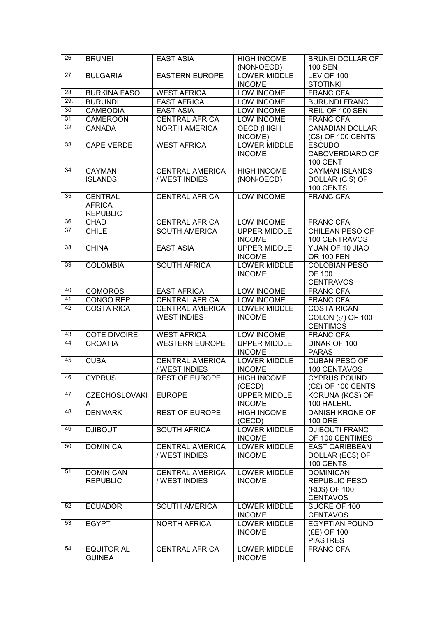| $\overline{26}$ | <b>BRUNEI</b>                                      | <b>EAST ASIA</b>                             | <b>HIGH INCOME</b><br>(NON-OECD)     | <b>BRUNEI DOLLAR OF</b><br><b>100 SEN</b>                                    |
|-----------------|----------------------------------------------------|----------------------------------------------|--------------------------------------|------------------------------------------------------------------------------|
| 27              | <b>BULGARIA</b>                                    | <b>EASTERN EUROPE</b>                        | <b>LOWER MIDDLE</b><br><b>INCOME</b> | LEV OF 100<br><b>STOTINKI</b>                                                |
| 28              | <b>BURKINA FASO</b>                                | <b>WEST AFRICA</b>                           | <b>LOW INCOME</b>                    | <b>FRANC CFA</b>                                                             |
| 29.             | <b>BURUNDI</b>                                     | <b>EAST AFRICA</b>                           | <b>LOW INCOME</b>                    | <b>BURUNDI FRANC</b>                                                         |
| 30              | <b>CAMBODIA</b>                                    | <b>EAST ASIA</b>                             | <b>LOW INCOME</b>                    | REIL OF 100 SEN                                                              |
| 31              | <b>CAMEROON</b>                                    | <b>CENTRAL AFRICA</b>                        | <b>LOW INCOME</b>                    | <b>FRANC CFA</b>                                                             |
| $\overline{32}$ | <b>CANADA</b>                                      | <b>NORTH AMERICA</b>                         | OECD (HIGH<br>INCOME)                | <b>CANADIAN DOLLAR</b><br>(C\$) OF 100 CENTS                                 |
| 33              | <b>CAPE VERDE</b>                                  | <b>WEST AFRICA</b>                           | <b>LOWER MIDDLE</b><br><b>INCOME</b> | <b>ESCUDO</b><br>CABOVERDIARO OF<br><b>100 CENT</b>                          |
| 34              | <b>CAYMAN</b><br><b>ISLANDS</b>                    | <b>CENTRAL AMERICA</b><br>/ WEST INDIES      | <b>HIGH INCOME</b><br>(NON-OECD)     | <b>CAYMAN ISLANDS</b><br>DOLLAR (CI\$) OF<br>100 CENTS                       |
| 35              | <b>CENTRAL</b><br><b>AFRICA</b><br><b>REPUBLIC</b> | <b>CENTRAL AFRICA</b>                        | <b>LOW INCOME</b>                    | <b>FRANC CFA</b>                                                             |
| 36              | <b>CHAD</b>                                        | <b>CENTRAL AFRICA</b>                        | <b>LOW INCOME</b>                    | <b>FRANC CFA</b>                                                             |
| 37              | <b>CHILE</b>                                       | <b>SOUTH AMERICA</b>                         | <b>UPPER MIDDLE</b><br><b>INCOME</b> | <b>CHILEAN PESO OF</b><br>100 CENTRAVOS                                      |
| 38              | <b>CHINA</b>                                       | <b>EAST ASIA</b>                             | <b>UPPER MIDDLE</b><br><b>INCOME</b> | YUAN OF 10 JIAO<br><b>OR 100 FEN</b>                                         |
| 39              | <b>COLOMBIA</b>                                    | <b>SOUTH AFRICA</b>                          | <b>LOWER MIDDLE</b><br><b>INCOME</b> | <b>COLOBIAN PESO</b><br>OF 100<br><b>CENTRAVOS</b>                           |
| 40              | <b>COMOROS</b>                                     | <b>EAST AFRICA</b>                           | <b>LOW INCOME</b>                    | <b>FRANC CFA</b>                                                             |
| 41              | CONGO REP                                          | <b>CENTRAL AFRICA</b>                        | <b>LOW INCOME</b>                    | <b>FRANC CFA</b>                                                             |
| $\overline{42}$ | <b>COSTA RICA</b>                                  | <b>CENTRAL AMERICA</b><br><b>WEST INDIES</b> | <b>LOWER MIDDLE</b><br><b>INCOME</b> | <b>COSTA RICAN</b><br>COLON $(\nsubseteq)$ OF 100<br><b>CENTIMOS</b>         |
| 43              | <b>COTE DIVOIRE</b>                                | <b>WEST AFRICA</b>                           | LOW INCOME                           | <b>FRANC CFA</b>                                                             |
| 44              | <b>CROATIA</b>                                     | <b>WESTERN EUROPE</b>                        | <b>UPPER MIDDLE</b><br><b>INCOME</b> | DINAR OF 100<br><b>PARAS</b>                                                 |
| 45              | <b>CUBA</b>                                        | <b>CENTRAL AMERICA</b><br>/ WEST INDIES      | <b>LOWER MIDDLE</b><br><b>INCOME</b> | <b>CUBAN PESO OF</b><br>100 CENTAVOS                                         |
| 46              | <b>CYPRUS</b>                                      | <b>REST OF EUROPE</b>                        | <b>HIGH INCOME</b><br>(OECD)         | <b>CYPRUS POUND</b><br>(C£) OF 100 CENTS                                     |
| 47              | <b>CZECHOSLOVAKI</b><br>A                          | <b>EUROPE</b>                                | <b>UPPER MIDDLE</b><br><b>INCOME</b> | KORUNA (KCS) OF<br>100 HALERU                                                |
| 48              | <b>DENMARK</b>                                     | <b>REST OF EUROPE</b>                        | <b>HIGH INCOME</b><br>(OECD)         | <b>DANISH KRONE OF</b><br><b>100 DRE</b>                                     |
| 49              | <b>DJIBOUTI</b>                                    | <b>SOUTH AFRICA</b>                          | <b>LOWER MIDDLE</b><br><b>INCOME</b> | <b>DJIBOUTI FRANC</b><br>OF 100 CENTIMES                                     |
| 50              | <b>DOMINICA</b>                                    | <b>CENTRAL AMERICA</b><br>/ WEST INDIES      | <b>LOWER MIDDLE</b><br><b>INCOME</b> | <b>EAST CARIBBEAN</b><br>DOLLAR (EC\$) OF<br>100 CENTS                       |
| 51              | <b>DOMINICAN</b><br><b>REPUBLIC</b>                | <b>CENTRAL AMERICA</b><br>/ WEST INDIES      | <b>LOWER MIDDLE</b><br><b>INCOME</b> | <b>DOMINICAN</b><br><b>REPUBLIC PESO</b><br>(RD\$) OF 100<br><b>CENTAVOS</b> |
| 52              | <b>ECUADOR</b>                                     | <b>SOUTH AMERICA</b>                         | <b>LOWER MIDDLE</b><br><b>INCOME</b> | SUCRE OF 100<br><b>CENTAVOS</b>                                              |
| 53              | <b>EGYPT</b>                                       | <b>NORTH AFRICA</b>                          | <b>LOWER MIDDLE</b><br><b>INCOME</b> | <b>EGYPTIAN POUND</b><br>(£E) OF 100<br><b>PIASTRES</b>                      |
| 54              | <b>EQUITORIAL</b><br><b>GUINEA</b>                 | <b>CENTRAL AFRICA</b>                        | LOWER MIDDLE<br><b>INCOME</b>        | <b>FRANC CFA</b>                                                             |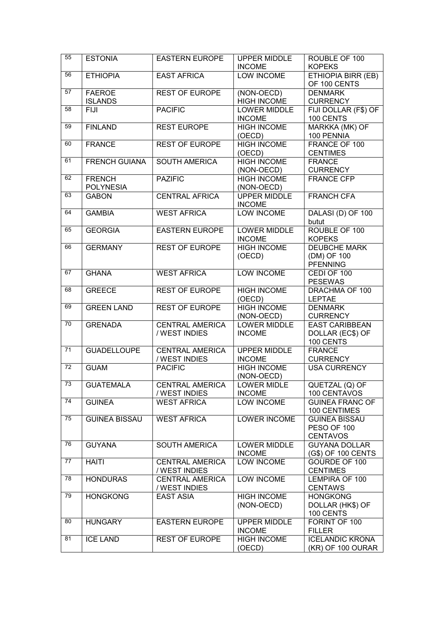| 55              | <b>ESTONIA</b>       | <b>EASTERN EUROPE</b>                   | <b>UPPER MIDDLE</b><br><b>INCOME</b> | ROUBLE OF 100<br><b>KOPEKS</b>         |
|-----------------|----------------------|-----------------------------------------|--------------------------------------|----------------------------------------|
| 56              | <b>ETHIOPIA</b>      | <b>EAST AFRICA</b>                      | <b>LOW INCOME</b>                    | <b>ETHIOPIA BIRR (EB)</b>              |
|                 |                      |                                         |                                      | OF 100 CENTS                           |
| 57              | <b>FAEROE</b>        | <b>REST OF EUROPE</b>                   | (NON-OECD)                           | <b>DENMARK</b>                         |
|                 | <b>ISLANDS</b>       |                                         | <b>HIGH INCOME</b>                   | <b>CURRENCY</b>                        |
| 58              | <b>FIJI</b>          | <b>PACIFIC</b>                          | <b>LOWER MIDDLE</b>                  | FIJI DOLLAR (F\$) OF                   |
|                 |                      |                                         | <b>INCOME</b>                        | 100 CENTS                              |
| 59              | <b>FINLAND</b>       | <b>REST EUROPE</b>                      | <b>HIGH INCOME</b>                   | MARKKA (MK) OF                         |
|                 |                      |                                         | (OECD)                               | 100 PENNIA                             |
| 60              | <b>FRANCE</b>        | <b>REST OF EUROPE</b>                   | <b>HIGH INCOME</b>                   | FRANCE OF 100                          |
| 61              | <b>FRENCH GUIANA</b> | <b>SOUTH AMERICA</b>                    | (OECD)<br><b>HIGH INCOME</b>         | <b>CENTIMES</b><br><b>FRANCE</b>       |
|                 |                      |                                         | (NON-OECD)                           | <b>CURRENCY</b>                        |
| 62              | <b>FRENCH</b>        | <b>PAZIFIC</b>                          | <b>HIGH INCOME</b>                   | <b>FRANCE CFP</b>                      |
|                 | <b>POLYNESIA</b>     |                                         | (NON-OECD)                           |                                        |
| 63              | <b>GABON</b>         | <b>CENTRAL AFRICA</b>                   | <b>UPPER MIDDLE</b>                  | <b>FRANCH CFA</b>                      |
|                 |                      |                                         | <b>INCOME</b>                        |                                        |
| 64              | <b>GAMBIA</b>        | <b>WEST AFRICA</b>                      | <b>LOW INCOME</b>                    | DALASI (D) OF 100                      |
|                 |                      |                                         |                                      | butut                                  |
| 65              | <b>GEORGIA</b>       | <b>EASTERN EUROPE</b>                   | <b>LOWER MIDDLE</b>                  | ROUBLE OF 100                          |
|                 |                      |                                         | <b>INCOME</b>                        | <b>KOPEKS</b>                          |
| 66              | <b>GERMANY</b>       | <b>REST OF EUROPE</b>                   | <b>HIGH INCOME</b>                   | <b>DEUBCHE MARK</b>                    |
|                 |                      |                                         | (OECD)                               | (DM) OF 100                            |
| 67              |                      |                                         |                                      | <b>PFENNING</b>                        |
|                 | <b>GHANA</b>         | <b>WEST AFRICA</b>                      | <b>LOW INCOME</b>                    | CEDI OF 100<br><b>PESEWAS</b>          |
| 68              | <b>GREECE</b>        | <b>REST OF EUROPE</b>                   | <b>HIGH INCOME</b>                   | DRACHMA OF 100                         |
|                 |                      |                                         | (OECD)                               | <b>LEPTAE</b>                          |
| 69              | <b>GREEN LAND</b>    | <b>REST OF EUROPE</b>                   | <b>HIGH INCOME</b>                   | <b>DENMARK</b>                         |
|                 |                      |                                         | (NON-OECD)                           | <b>CURRENCY</b>                        |
| $\overline{70}$ | <b>GRENADA</b>       | <b>CENTRAL AMERICA</b>                  | <b>LOWER MIDDLE</b>                  | <b>EAST CARIBBEAN</b>                  |
|                 |                      | / WEST INDIES                           | <b>INCOME</b>                        | DOLLAR (EC\$) OF                       |
|                 |                      |                                         |                                      | 100 CENTS                              |
| 71              | <b>GUADELLOUPE</b>   | <b>CENTRAL AMERICA</b>                  | <b>UPPER MIDDLE</b>                  | <b>FRANCE</b>                          |
| $\overline{72}$ | <b>GUAM</b>          | / WEST INDIES<br><b>PACIFIC</b>         | <b>INCOME</b><br><b>HIGH INCOME</b>  | <b>CURRENCY</b><br><b>USA CURRENCY</b> |
|                 |                      |                                         | (NON-OECD)                           |                                        |
| 73              | <b>GUATEMALA</b>     | <b>CENTRAL AMERICA</b>                  | <b>LOWER MIDLE</b>                   | QUETZAL (Q) OF                         |
|                 |                      | / WEST INDIES                           | <b>INCOME</b>                        | 100 CENTAVOS                           |
| 74              | <b>GUINEA</b>        | <b>WEST AFRICA</b>                      | <b>LOW INCOME</b>                    | <b>GUINEA FRANC OF</b>                 |
|                 |                      |                                         |                                      | 100 CENTIMES                           |
| 75              | <b>GUINEA BISSAU</b> | <b>WEST AFRICA</b>                      | <b>LOWER INCOME</b>                  | <b>GUINEA BISSAU</b>                   |
|                 |                      |                                         |                                      | PESO OF 100                            |
|                 |                      |                                         |                                      | <b>CENTAVOS</b>                        |
| 76              | <b>GUYANA</b>        | <b>SOUTH AMERICA</b>                    | <b>LOWER MIDDLE</b>                  | <b>GUYANA DOLLAR</b>                   |
|                 |                      |                                         | <b>INCOME</b>                        | (G\$) OF 100 CENTS                     |
| 77              | <b>HAITI</b>         | <b>CENTRAL AMERICA</b>                  | LOW INCOME                           | GOURDE OF 100                          |
| 78              | <b>HONDURAS</b>      | / WEST INDIES<br><b>CENTRAL AMERICA</b> | LOW INCOME                           | <b>CENTIMES</b><br>LEMPIRA OF 100      |
|                 |                      | / WEST INDIES                           |                                      | <b>CENTAWS</b>                         |
| 79              | <b>HONGKONG</b>      | <b>EAST ASIA</b>                        | <b>HIGH INCOME</b>                   | <b>HONGKONG</b>                        |
|                 |                      |                                         | (NON-OECD)                           | DOLLAR (HK\$) OF                       |
|                 |                      |                                         |                                      | 100 CENTS                              |
| 80              | <b>HUNGARY</b>       | <b>EASTERN EUROPE</b>                   | <b>UPPER MIDDLE</b>                  | FORINT OF 100                          |
|                 |                      |                                         | <b>INCOME</b>                        | <b>FILLER</b>                          |
| 81              | <b>ICE LAND</b>      | <b>REST OF EUROPE</b>                   | <b>HIGH INCOME</b>                   | <b>ICELANDIC KRONA</b>                 |
|                 |                      |                                         | (OECD)                               | (KR) OF 100 OURAR                      |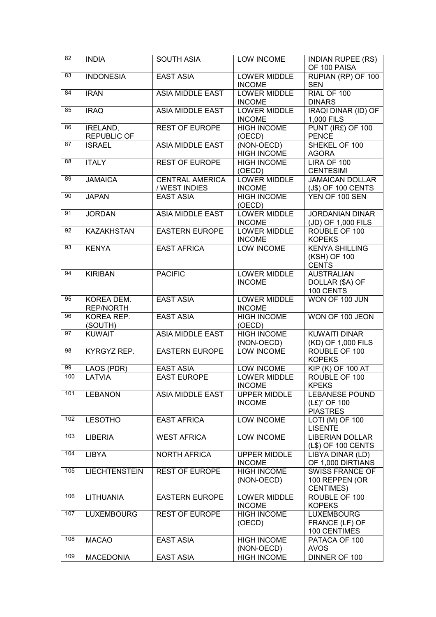| 82              | <b>INDIA</b>                   | <b>SOUTH ASIA</b>                       | <b>LOW INCOME</b>                    | <b>INDIAN RUPEE (RS)</b><br>OF 100 PAISA                     |
|-----------------|--------------------------------|-----------------------------------------|--------------------------------------|--------------------------------------------------------------|
| $\overline{83}$ | <b>INDONESIA</b>               | <b>EAST ASIA</b>                        | LOWER MIDDLE<br><b>INCOME</b>        | RUPIAN (RP) OF 100<br><b>SEN</b>                             |
| 84              | <b>IRAN</b>                    | <b>ASIA MIDDLE EAST</b>                 | <b>LOWER MIDDLE</b><br><b>INCOME</b> | RIAL OF 100<br><b>DINARS</b>                                 |
| 85              | <b>IRAQ</b>                    | <b>ASIA MIDDLE EAST</b>                 | <b>LOWER MIDDLE</b><br><b>INCOME</b> | <b>IRAQI DINAR (ID) OF</b><br>1,000 FILS                     |
| 86              | IRELAND,<br><b>REPUBLIC OF</b> | <b>REST OF EUROPE</b>                   | <b>HIGH INCOME</b><br>(OECD)         | PUNT (IRE) OF 100<br><b>PENCE</b>                            |
| 87              | <b>ISRAEL</b>                  | <b>ASIA MIDDLE EAST</b>                 | (NON-OECD)<br><b>HIGH INCOME</b>     | SHEKEL OF 100<br><b>AGORA</b>                                |
| 88              | <b>ITALY</b>                   | <b>REST OF EUROPE</b>                   | <b>HIGH INCOME</b><br>(OECD)         | LIRA OF 100<br><b>CENTESIMI</b>                              |
| 89              | <b>JAMAICA</b>                 | <b>CENTRAL AMERICA</b><br>/ WEST INDIES | <b>LOWER MIDDLE</b><br><b>INCOME</b> | <b>JAMAICAN DOLLAR</b><br>(J\$) OF 100 CENTS                 |
| 90              | <b>JAPAN</b>                   | <b>EAST ASIA</b>                        | <b>HIGH INCOME</b><br>(OECD)         | YEN OF 100 SEN                                               |
| 91              | <b>JORDAN</b>                  | <b>ASIA MIDDLE EAST</b>                 | <b>LOWER MIDDLE</b><br><b>INCOME</b> | <b>JORDANIAN DINAR</b><br>(JD) OF 1,000 FILS                 |
| 92              | <b>KAZAKHSTAN</b>              | <b>EASTERN EUROPE</b>                   | <b>LOWER MIDDLE</b><br><b>INCOME</b> | ROUBLE OF 100<br><b>KOPEKS</b>                               |
| 93              | <b>KENYA</b>                   | <b>EAST AFRICA</b>                      | LOW INCOME                           | <b>KENYA SHILLING</b><br>(KSH) OF 100<br><b>CENTS</b>        |
| 94              | <b>KIRIBAN</b>                 | <b>PACIFIC</b>                          | <b>LOWER MIDDLE</b><br><b>INCOME</b> | <b>AUSTRALIAN</b><br>DOLLAR (\$A) OF<br>100 CENTS            |
| $\overline{95}$ | KOREA DEM.<br><b>REP/NORTH</b> | <b>EAST ASIA</b>                        | <b>LOWER MIDDLE</b><br><b>INCOME</b> | WON OF 100 JUN                                               |
| $\overline{96}$ | KOREA REP.<br>(SOUTH)          | <b>EAST ASIA</b>                        | <b>HIGH INCOME</b><br>(OECD)         | WON OF 100 JEON                                              |
| 97              | <b>KUWAIT</b>                  | <b>ASIA MIDDLE EAST</b>                 | <b>HIGH INCOME</b><br>(NON-OECD)     | <b>KUWAITI DINAR</b><br>(KD) OF 1,000 FILS                   |
| 98              | KYRGYZ REP.                    | <b>EASTERN EUROPE</b>                   | LOW INCOME                           | ROUBLE OF 100<br><b>KOPEKS</b>                               |
| 99              | LAOS (PDR)                     | <b>EAST ASIA</b>                        | <b>LOW INCOME</b>                    | KIP (K) OF 100 AT                                            |
| 100             | <b>LATVIA</b>                  | <b>EAST EUROPE</b>                      | <b>LOWER MIDDLE</b><br><b>INCOME</b> | ROUBLE OF 100<br><b>KPEKS</b>                                |
| 101             | <b>LEBANON</b>                 | <b>ASIA MIDDLE EAST</b>                 | <b>UPPER MIDDLE</b><br><b>INCOME</b> | <b>LEBANESE POUND</b><br>(L£)" OF 100<br><b>PIASTRES</b>     |
| 102             | <b>LESOTHO</b>                 | <b>EAST AFRICA</b>                      | <b>LOW INCOME</b>                    | LOTI (M) OF 100<br><b>LISENTE</b>                            |
| 103             | <b>LIBERIA</b>                 | <b>WEST AFRICA</b>                      | LOW INCOME                           | <b>LIBERIAN DOLLAR</b><br>(L\$) OF 100 CENTS                 |
| 104             | LIBYA                          | <b>NORTH AFRICA</b>                     | <b>UPPER MIDDLE</b><br><b>INCOME</b> | LIBYA DINAR (LD)<br>OF 1,000 DIRTIANS                        |
| 105             | <b>LIECHTENSTEIN</b>           | <b>REST OF EUROPE</b>                   | <b>HIGH INCOME</b><br>(NON-OECD)     | <b>SWISS FRANCE OF</b><br>100 REPPEN (OR<br><b>CENTIMES)</b> |
| 106             | <b>LITHUANIA</b>               | <b>EASTERN EUROPE</b>                   | <b>LOWER MIDDLE</b><br><b>INCOME</b> | ROUBLE OF 100<br><b>KOPEKS</b>                               |
| 107             | <b>LUXEMBOURG</b>              | <b>REST OF EUROPE</b>                   | <b>HIGH INCOME</b><br>(OECD)         | <b>LUXEMBOURG</b><br>FRANCE (LF) OF<br>100 CENTIMES          |
| 108             | <b>MACAO</b>                   | <b>EAST ASIA</b>                        | <b>HIGH INCOME</b><br>(NON-OECD)     | PATACA OF 100<br><b>AVOS</b>                                 |
| 109             | <b>MACEDONIA</b>               | <b>EAST ASIA</b>                        | <b>HIGH INCOME</b>                   | DINNER OF 100                                                |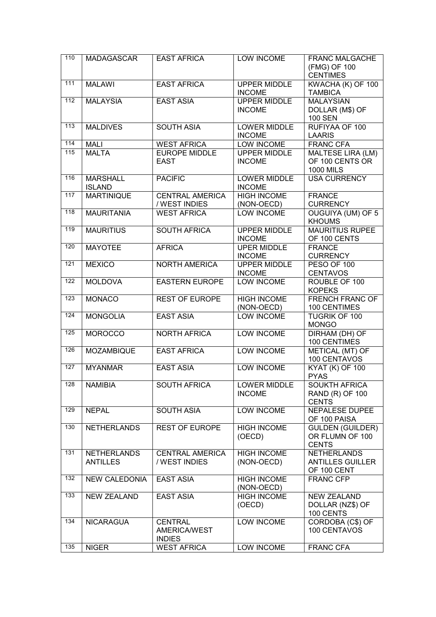| 110 | <b>MADAGASCAR</b>                     | <b>EAST AFRICA</b>                              | <b>LOW INCOME</b>                    | <b>FRANC MALGACHE</b><br>(FMG) OF 100<br><b>CENTIMES</b>        |
|-----|---------------------------------------|-------------------------------------------------|--------------------------------------|-----------------------------------------------------------------|
| 111 | <b>MALAWI</b>                         | <b>EAST AFRICA</b>                              | <b>UPPER MIDDLE</b><br><b>INCOME</b> | KWACHA (K) OF 100<br><b>TAMBICA</b>                             |
| 112 | <b>MALAYSIA</b>                       | <b>EAST ASIA</b>                                | <b>UPPER MIDDLE</b><br><b>INCOME</b> | <b>MALAYSIAN</b><br>DOLLAR (M\$) OF<br><b>100 SEN</b>           |
| 113 | <b>MALDIVES</b>                       | <b>SOUTH ASIA</b>                               | <b>LOWER MIDDLE</b><br><b>INCOME</b> | RUFIYAA OF 100<br><b>LAARIS</b>                                 |
| 114 | <b>MALI</b>                           | <b>WEST AFRICA</b>                              | <b>LOW INCOME</b>                    | FRANC CFA                                                       |
| 115 | <b>MALTA</b>                          | <b>EUROPE MIDDLE</b><br><b>EAST</b>             | <b>UPPER MIDDLE</b><br><b>INCOME</b> | <b>MALTESE LIRA (LM)</b><br>OF 100 CENTS OR<br><b>1000 MILS</b> |
| 116 | <b>MARSHALL</b><br><b>ISLAND</b>      | <b>PACIFIC</b>                                  | <b>LOWER MIDDLE</b><br><b>INCOME</b> | <b>USA CURRENCY</b>                                             |
| 117 | <b>MARTINIQUE</b>                     | <b>CENTRAL AMERICA</b><br>/ WEST INDIES         | <b>HIGH INCOME</b><br>(NON-OECD)     | <b>FRANCE</b><br><b>CURRENCY</b>                                |
| 118 | <b>MAURITANIA</b>                     | <b>WEST AFRICA</b>                              | <b>LOW INCOME</b>                    | OUGUIYA (UM) OF 5<br><b>KHOUMS</b>                              |
| 119 | <b>MAURITIUS</b>                      | <b>SOUTH AFRICA</b>                             | <b>UPPER MIDDLE</b><br><b>INCOME</b> | <b>MAURITIUS RUPEE</b><br>OF 100 CENTS                          |
| 120 | <b>MAYOTEE</b>                        | <b>AFRICA</b>                                   | <b>UPER MIDDLE</b><br><b>INCOME</b>  | <b>FRANCE</b><br><b>CURRENCY</b>                                |
| 121 | <b>MEXICO</b>                         | <b>NORTH AMERICA</b>                            | <b>UPPER MIDDLE</b><br><b>INCOME</b> | PESO OF 100<br><b>CENTAVOS</b>                                  |
| 122 | <b>MOLDOVA</b>                        | <b>EASTERN EUROPE</b>                           | <b>LOW INCOME</b>                    | ROUBLE OF 100<br><b>KOPEKS</b>                                  |
| 123 | <b>MONACO</b>                         | <b>REST OF EUROPE</b>                           | <b>HIGH INCOME</b><br>(NON-OECD)     | <b>FRENCH FRANC OF</b><br>100 CENTIMES                          |
| 124 | <b>MONGOLIA</b>                       | <b>EAST ASIA</b>                                | <b>LOW INCOME</b>                    | <b>TUGRIK OF 100</b><br><b>MONGO</b>                            |
| 125 | <b>MOROCCO</b>                        | <b>NORTH AFRICA</b>                             | <b>LOW INCOME</b>                    | <b>DIRHAM (DH) OF</b><br>100 CENTIMES                           |
| 126 | <b>MOZAMBIQUE</b>                     | <b>EAST AFRICA</b>                              | <b>LOW INCOME</b>                    | <b>METICAL (MT) OF</b><br>100 CENTAVOS                          |
| 127 | <b>MYANMAR</b>                        | <b>EAST ASIA</b>                                | <b>LOW INCOME</b>                    | <b>KYAT (K) OF 100</b><br><b>PYAS</b>                           |
| 128 | <b>NAMIBIA</b>                        | <b>SOUTH AFRICA</b>                             | <b>LOWER MIDDLE</b><br><b>INCOME</b> | <b>SOUKTH AFRICA</b><br>RAND (R) OF 100<br><b>CENTS</b>         |
| 129 | <b>NEPAL</b>                          | <b>SOUTH ASIA</b>                               | <b>LOW INCOME</b>                    | <b>NEPALESE DUPEE</b><br>OF 100 PAISA                           |
| 130 | <b>NETHERLANDS</b>                    | <b>REST OF EUROPE</b>                           | <b>HIGH INCOME</b><br>(OECD)         | <b>GULDEN (GUILDER)</b><br>OR FLUMN OF 100<br><b>CENTS</b>      |
| 131 | <b>NETHERLANDS</b><br><b>ANTILLES</b> | <b>CENTRAL AMERICA</b><br>/ WEST INDIES         | <b>HIGH INCOME</b><br>(NON-OECD)     | <b>NETHERLANDS</b><br><b>ANTILLES GUILLER</b><br>OF 100 CENT    |
| 132 | <b>NEW CALEDONIA</b>                  | <b>EAST ASIA</b>                                | <b>HIGH INCOME</b><br>(NON-OECD)     | <b>FRANC CFP</b>                                                |
| 133 | <b>NEW ZEALAND</b>                    | <b>EAST ASIA</b>                                | <b>HIGH INCOME</b><br>(OECD)         | <b>NEW ZEALAND</b><br>DOLLAR (NZ\$) OF<br>100 CENTS             |
| 134 | <b>NICARAGUA</b>                      | CENTRAL<br><b>AMERICA/WEST</b><br><b>INDIES</b> | LOW INCOME                           | CORDOBA (C\$) OF<br>100 CENTAVOS                                |
| 135 | <b>NIGER</b>                          | <b>WEST AFRICA</b>                              | LOW INCOME                           | <b>FRANC CFA</b>                                                |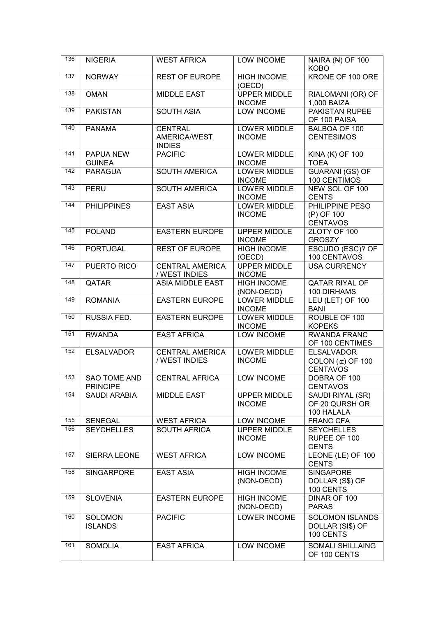| 136 | <b>NIGERIA</b>                         | <b>WEST AFRICA</b>                                     | <b>LOW INCOME</b>                    | NAIRA (N) OF 100<br><b>KOBO</b>                                     |
|-----|----------------------------------------|--------------------------------------------------------|--------------------------------------|---------------------------------------------------------------------|
| 137 | <b>NORWAY</b>                          | <b>REST OF EUROPE</b>                                  | <b>HIGH INCOME</b><br>(OECD)         | <b>KRONE OF 100 ORE</b>                                             |
| 138 | <b>OMAN</b>                            | <b>MIDDLE EAST</b>                                     | <b>UPPER MIDDLE</b><br><b>INCOME</b> | RIALOMANI (OR) OF<br>1,000 BAIZA                                    |
| 139 | <b>PAKISTAN</b>                        | <b>SOUTH ASIA</b>                                      | <b>LOW INCOME</b>                    | <b>PAKISTAN RUPEE</b><br>OF 100 PAISA                               |
| 140 | <b>PANAMA</b>                          | <b>CENTRAL</b><br><b>AMERICA/WEST</b><br><b>INDIES</b> | <b>LOWER MIDDLE</b><br><b>INCOME</b> | BALBOA OF 100<br><b>CENTESIMOS</b>                                  |
| 141 | PAPUA NEW<br><b>GUINEA</b>             | <b>PACIFIC</b>                                         | <b>LOWER MIDDLE</b><br><b>INCOME</b> | <b>KINA (K) OF 100</b><br><b>TOEA</b>                               |
| 142 | <b>PARAGUA</b>                         | <b>SOUTH AMERICA</b>                                   | <b>LOWER MIDDLE</b><br><b>INCOME</b> | <b>GUARANI (GS) OF</b><br>100 CENTIMOS                              |
| 143 | <b>PERU</b>                            | <b>SOUTH AMERICA</b>                                   | <b>LOWER MIDDLE</b><br><b>INCOME</b> | NEW SOL OF 100<br><b>CENTS</b>                                      |
| 144 | <b>PHILIPPINES</b>                     | <b>EAST ASIA</b>                                       | <b>LOWER MIDDLE</b><br><b>INCOME</b> | PHILIPPINE PESO<br>(P) OF 100<br><b>CENTAVOS</b>                    |
| 145 | <b>POLAND</b>                          | <b>EASTERN EUROPE</b>                                  | <b>UPPER MIDDLE</b><br><b>INCOME</b> | ZLOTY OF 100<br><b>GROSZY</b>                                       |
| 146 | <b>PORTUGAL</b>                        | <b>REST OF EUROPE</b>                                  | <b>HIGH INCOME</b><br>(OECD)         | ESCUDO (ESC)? OF<br>100 CENTAVOS                                    |
| 147 | PUERTO RICO                            | <b>CENTRAL AMERICA</b><br>/ WEST INDIES                | <b>UPPER MIDDLE</b><br><b>INCOME</b> | <b>USA CURRENCY</b>                                                 |
| 148 | QATAR                                  | <b>ASIA MIDDLE EAST</b>                                | <b>HIGH INCOME</b><br>(NON-OECD)     | <b>QATAR RIYAL OF</b><br>100 DIRHAMS                                |
| 149 | <b>ROMANIA</b>                         | <b>EASTERN EUROPE</b>                                  | <b>LOWER MIDDLE</b><br><b>INCOME</b> | LEU (LET) OF 100<br><b>BANI</b>                                     |
| 150 | RUSSIA FED.                            | <b>EASTERN EUROPE</b>                                  | <b>LOWER MIDDLE</b><br><b>INCOME</b> | ROUBLE OF 100<br><b>KOPEKS</b>                                      |
| 151 | <b>RWANDA</b>                          | <b>EAST AFRICA</b>                                     | <b>LOW INCOME</b>                    | <b>RWANDA FRANC</b><br>OF 100 CENTIMES                              |
| 152 | <b>ELSALVADOR</b>                      | <b>CENTRAL AMERICA</b><br>/ WEST INDIES                | <b>LOWER MIDDLE</b><br><b>INCOME</b> | <b>ELSALVADOR</b><br>COLON $(\nsubseteq)$ OF 100<br><b>CENTAVOS</b> |
| 153 | <b>SAO TOME AND</b><br><b>PRINCIPE</b> | <b>CENTRAL AFRICA</b>                                  | <b>LOW INCOME</b>                    | DOBRA OF 100<br><b>CENTAVOS</b>                                     |
| 154 | <b>SAUDI ARABIA</b>                    | <b>MIDDLE EAST</b>                                     | <b>UPPER MIDDLE</b><br><b>INCOME</b> | SAUDI RIYAL (SR)<br>OF 20 QURSH OR<br>100 HALALA                    |
| 155 | <b>SENEGAL</b>                         | <b>WEST AFRICA</b>                                     | <b>LOW INCOME</b>                    | <b>FRANC CFA</b>                                                    |
| 156 | <b>SEYCHELLES</b>                      | <b>SOUTH AFRICA</b>                                    | <b>UPPER MIDDLE</b><br><b>INCOME</b> | <b>SEYCHELLES</b><br>RUPEE OF 100<br><b>CENTS</b>                   |
| 157 | <b>SIERRA LEONE</b>                    | <b>WEST AFRICA</b>                                     | <b>LOW INCOME</b>                    | LEONE (LE) OF 100<br><b>CENTS</b>                                   |
| 158 | <b>SINGARPORE</b>                      | <b>EAST ASIA</b>                                       | <b>HIGH INCOME</b><br>(NON-OECD)     | <b>SINGAPORE</b><br>DOLLAR (S\$) OF<br>100 CENTS                    |
| 159 | <b>SLOVENIA</b>                        | <b>EASTERN EUROPE</b>                                  | <b>HIGH INCOME</b><br>(NON-OECD)     | DINAR OF 100<br><b>PARAS</b>                                        |
| 160 | <b>SOLOMON</b><br><b>ISLANDS</b>       | <b>PACIFIC</b>                                         | <b>LOWER INCOME</b>                  | <b>SOLOMON ISLANDS</b><br>DOLLAR (SI\$) OF<br>100 CENTS             |
| 161 | <b>SOMOLIA</b>                         | <b>EAST AFRICA</b>                                     | <b>LOW INCOME</b>                    | <b>SOMALI SHILLAING</b><br>OF 100 CENTS                             |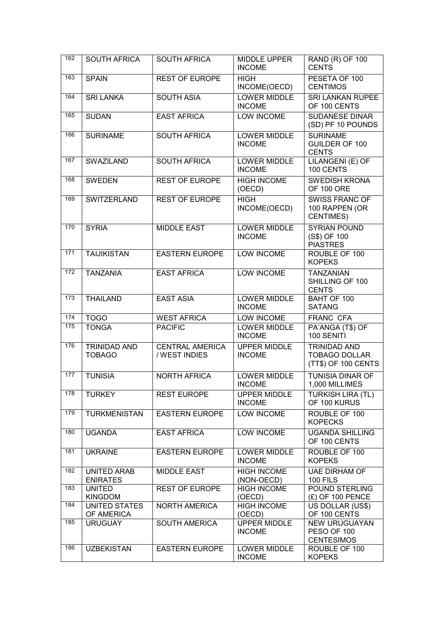| 162              | <b>SOUTH AFRICA</b>                   | <b>SOUTH AFRICA</b>                     | <b>MIDDLE UPPER</b><br><b>INCOME</b> | RAND (R) OF 100<br><b>CENTS</b>                                    |
|------------------|---------------------------------------|-----------------------------------------|--------------------------------------|--------------------------------------------------------------------|
| 163              | <b>SPAIN</b>                          | <b>REST OF EUROPE</b>                   | <b>HIGH</b><br>INCOME(OECD)          | PESETA OF 100<br><b>CENTIMOS</b>                                   |
| 164              | <b>SRI LANKA</b>                      | <b>SOUTH ASIA</b>                       | <b>LOWER MIDDLE</b><br><b>INCOME</b> | <b>SRI LANKAN RUPEE</b><br>OF 100 CENTS                            |
| 165              | <b>SUDAN</b>                          | <b>EAST AFRICA</b>                      | <b>LOW INCOME</b>                    | <b>SUDANESE DINAR</b><br>(SD) PF 10 POUNDS                         |
| 166              | <b>SURINAME</b>                       | <b>SOUTH AFRICA</b>                     | <b>LOWER MIDDLE</b><br><b>INCOME</b> | <b>SURINAME</b><br><b>GUILDER OF 100</b><br><b>CENTS</b>           |
| 167              | <b>SWAZILAND</b>                      | <b>SOUTH AFRICA</b>                     | <b>LOWER MIDDLE</b><br><b>INCOME</b> | LILANGENI (E) OF<br>100 CENTS                                      |
| 168              | <b>SWEDEN</b>                         | <b>REST OF EUROPE</b>                   | <b>HIGH INCOME</b><br>(OECD)         | <b>SWEDISH KRONA</b><br><b>OF 100 ORE</b>                          |
| 169              | SWITZERLAND                           | <b>REST OF EUROPE</b>                   | <b>HIGH</b><br>INCOME(OECD)          | <b>SWISS FRANC OF</b><br>100 RAPPEN (OR<br><b>CENTIMES)</b>        |
| 170              | <b>SYRIA</b>                          | <b>MIDDLE EAST</b>                      | <b>LOWER MIDDLE</b><br><b>INCOME</b> | <b>SYRIAN POUND</b><br>(S\$) OF 100<br><b>PIASTRES</b>             |
| 171              | <b>TAIJIKISTAN</b>                    | <b>EASTERN EUROPE</b>                   | <b>LOW INCOME</b>                    | ROUBLE OF 100<br><b>KOPEKS</b>                                     |
| 172              | <b>TANZANIA</b>                       | <b>EAST AFRICA</b>                      | <b>LOW INCOME</b>                    | <b>TANZANIAN</b><br>SHILLING OF 100<br><b>CENTS</b>                |
| $\overline{173}$ | <b>THAILAND</b>                       | <b>EAST ASIA</b>                        | <b>LOWER MIDDLE</b><br><b>INCOME</b> | BAHT OF 100<br><b>SATANG</b>                                       |
| 174              | <b>TOGO</b>                           | <b>WEST AFRICA</b>                      | LOW INCOME                           | FRANC CFA                                                          |
| 175              | <b>TONGA</b>                          | <b>PACIFIC</b>                          | <b>LOWER MIDDLE</b><br><b>INCOME</b> | PA'ANGA (T\$) OF<br>100 SENITI                                     |
| 176              | <b>TRINIDAD AND</b><br><b>TOBAGO</b>  | <b>CENTRAL AMERICA</b><br>/ WEST INDIES | <b>UPPER MIDDLE</b><br><b>INCOME</b> | <b>TRINIDAD AND</b><br><b>TOBAGO DOLLAR</b><br>(TT\$) OF 100 CENTS |
| 177              | <b>TUNISIA</b>                        | <b>NORTH AFRICA</b>                     | <b>LOWER MIDDLE</b><br><b>INCOME</b> | <b>TUNISIA DINAR OF</b><br>1,000 MILLIMES                          |
| 178              | <b>TURKEY</b>                         | <b>REST EUROPE</b>                      | <b>UPPER MIDDLE</b><br><b>INCOME</b> | <b>TURKISH LIRA (TL)</b><br>OF 100 KURUS                           |
| 179              | <b>TURKMENISTAN</b>                   | <b>EASTERN EUROPE</b>                   | <b>LOW INCOME</b>                    | ROUBLE OF 100<br><b>KOPECKS</b>                                    |
| 180              | <b>UGANDA</b>                         | <b>EAST AFRICA</b>                      | LOW INCOME                           | <b>UGANDA SHILLING</b><br>OF 100 CENTS                             |
| 181              | <b>UKRAINE</b>                        | <b>EASTERN EUROPE</b>                   | LOWER MIDDLE<br><b>INCOME</b>        | ROUBLE OF 100<br><b>KOPEKS</b>                                     |
| 182              | <b>UNITED ARAB</b><br><b>ENIRATES</b> | <b>MIDDLE EAST</b>                      | <b>HIGH INCOME</b><br>(NON-OECD)     | <b>UAE DIRHAM OF</b><br><b>100 FILS</b>                            |
| 183              | <b>UNITED</b><br><b>KINGDOM</b>       | <b>REST OF EUROPE</b>                   | <b>HIGH INCOME</b><br>(OECD)         | POUND STERLING<br>$(E)$ OF 100 PENCE                               |
| 184              | UNITED STATES<br>OF AMERICA           | <b>NORTH AMERICA</b>                    | <b>HIGH INCOME</b><br>(OECD)         | US DOLLAR (US\$)<br>OF 100 CENTS                                   |
| 185              | <b>URUGUAY</b>                        | <b>SOUTH AMERICA</b>                    | <b>UPPER MIDDLE</b><br><b>INCOME</b> | <b>NEW URUGUAYAN</b><br>PESO OF 100<br><b>CENTESIMOS</b>           |
| 186              | <b>UZBEKISTAN</b>                     | <b>EASTERN EUROPE</b>                   | LOWER MIDDLE<br><b>INCOME</b>        | ROUBLE OF 100<br><b>KOPEKS</b>                                     |